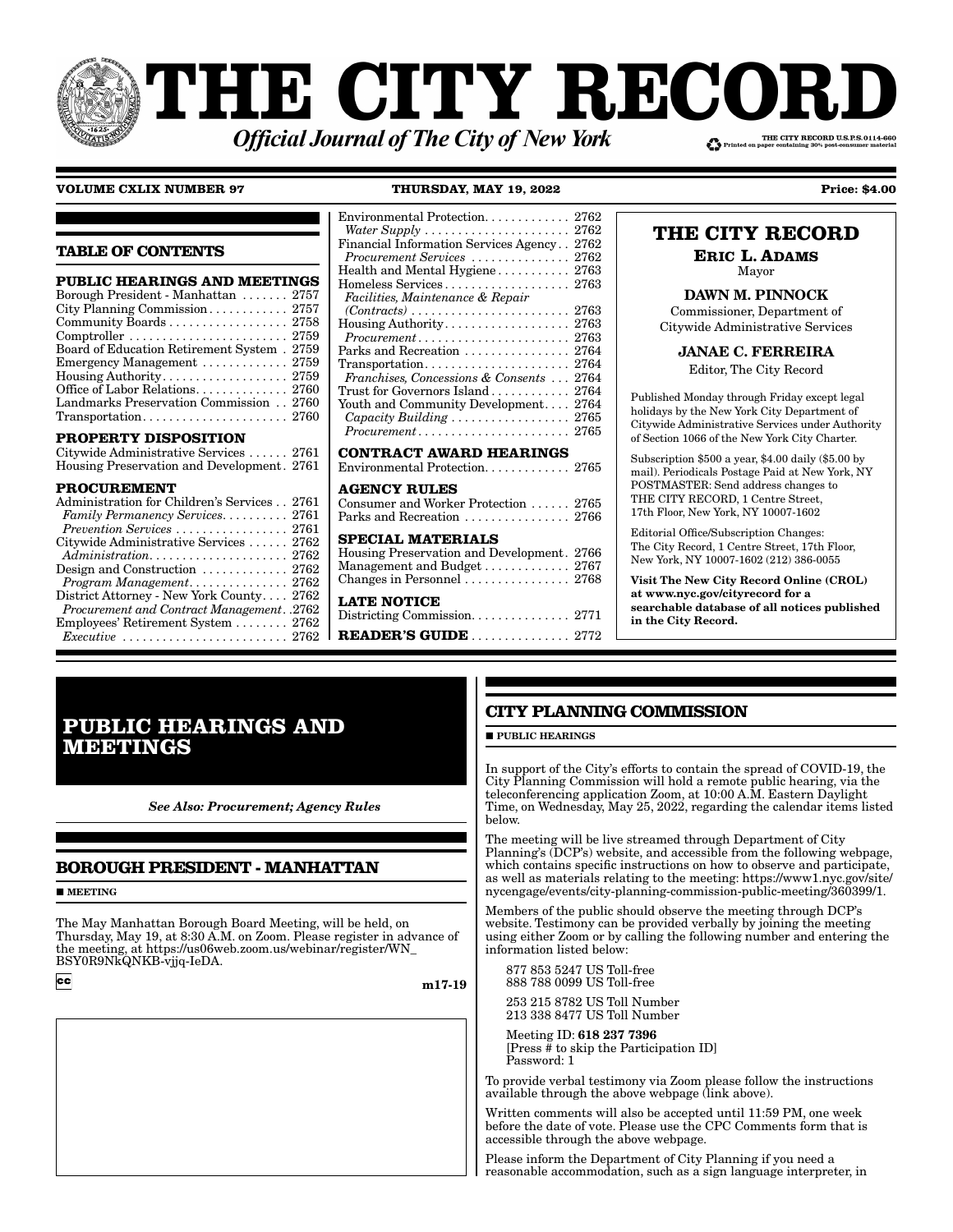# **THE CITY RECOI** THE CITY RECORD U.S.P.S.0114-660 **Official Journal of The City of New York**

# **VOLUME CXLIX NUMBER 97 THURSDAY, MAY 19, 2022 Price: \$4.00**

**TABLE OF CONTENTS**

| <b>PUBLIC HEARINGS AND MEETINGS</b>                                     |
|-------------------------------------------------------------------------|
| Borough President - Manhattan  2757                                     |
|                                                                         |
| Community Boards 2758                                                   |
|                                                                         |
| Board of Education Retirement System . 2759                             |
| Emergency Management $\ldots \ldots \ldots \ldots 2759$                 |
|                                                                         |
|                                                                         |
| Landmarks Preservation Commission 2760                                  |
| $Transportation. \ldots \ldots \ldots \ldots \ldots \ldots \ldots 2760$ |
|                                                                         |

### **PROPERTY DISPOSITION**

| Citywide Administrative Services  2761     |  |
|--------------------------------------------|--|
| Housing Preservation and Development. 2761 |  |

### **PROCUREMENT**

| Environmental Protection. 2762                                       |
|----------------------------------------------------------------------|
| Water Supply $\ldots \ldots \ldots \ldots \ldots \ldots \ldots 2762$ |
| Financial Information Services Agency 2762                           |
| Procurement Services  2762                                           |
| Health and Mental Hygiene 2763                                       |
| $\rm{Homeless~Services}$ 2763                                        |
| Facilities, Maintenance & Repair                                     |
|                                                                      |
| Housing Authority 2763                                               |
| $Procurrent \ldots \ldots \ldots \ldots \ldots \ldots \ldots 2763$   |
| Parks and Recreation $\,\dots\, \dots\, \dots\, \dots\, 2764$        |
| $\mathrm{Transformer}\dots\dots\dots\dots\dots\dots\ 2764$           |
| Franchises, Concessions & Consents  2764                             |
| Trust for Governors Island 2764 $\,$                                 |
| Youth and Community Development 2764                                 |
|                                                                      |
| $Procurrent \ldots \ldots \ldots \ldots \ldots \ldots \ldots 2765$   |
| $\alpha$                                                             |

**CONTRACT AWARD HEARINGS** Environmental Protection. . . . . . . . . . . . . 2765

#### **AGENCY RULES**

| Consumer and Worker Protection  2765 |  |
|--------------------------------------|--|
| Parks and Recreation  2766           |  |

# **SPECIAL MATERIALS**

| Housing Preservation and Development. 2766              |  |
|---------------------------------------------------------|--|
|                                                         |  |
| Changes in Personnel $\ldots \ldots \ldots \ldots 2768$ |  |

**LATE NOTICE**

Districting Commission. . . . . . . . . . . . . . . 2771

m17-19

**READER'S GUIDE** . . . . . . . . . . . . . . . 2772

# **THE CITY RECORD**

**ERIC L. ADAMS** Mayor

# DAWN M. PINNOCK

Commissioner, Department of Citywide Administrative Services

JANAE C. FERREIRA

Editor, The City Record

Published Monday through Friday except legal holidays by the New York City Department of Citywide Administrative Services under Authority of Section 1066 of the New York City Charter.

Subscription \$500 a year, \$4.00 daily (\$5.00 by mail). Periodicals Postage Paid at New York, NY POSTMASTER: Send address changes to THE CITY RECORD, 1 Centre Street, 17th Floor, New York, NY 10007-1602

Editorial Office/Subscription Changes: The City Record, 1 Centre Street, 17th Floor, New York, NY 10007-1602 (212) 386-0055

Visit The New City Record Online (CROL) at www.nyc.gov/cityrecord for a searchable database of all notices published in the City Record.

# **PUBLIC HEARINGS AND MEETINGS**

*See Also: Procurement; Agency Rules*

# **BOROUGH PRESIDENT - MANHATTAN**

**MEETING** 

The May Manhattan Borough Board Meeting, will be held, on Thursday, May 19, at 8:30 A.M. on Zoom. Please register in advance of the meeting, at https://us06web.zoom.us/webinar/register/WN\_ BSY0R9NkQNKB-vjjq-IeDA.

 $|cc|$ 

**PUBLIC HEARINGS** 

**CITY PLANNING COMMISSION**

In support of the City's efforts to contain the spread of COVID-19, the City Planning Commission will hold a remote public hearing, via the teleconferencing application Zoom, at 10:00 A.M. Eastern Daylight Time, on Wednesday, May 25, 2022, regarding the calendar items listed below.

The meeting will be live streamed through Department of City Planning's (DCP's) website, and accessible from the following webpage, which contains specific instructions on how to observe and participate, as well as materials relating to the meeting: https://www1.nyc.gov/site/ nycengage/events/city-planning-commission-public-meeting/360399/1.

Members of the public should observe the meeting through DCP's website. Testimony can be provided verbally by joining the meeting using either Zoom or by calling the following number and entering the information listed below:

 877 853 5247 US Toll-free 888 788 0099 US Toll-free

 253 215 8782 US Toll Number 213 338 8477 US Toll Number

 Meeting ID: 618 237 7396 [Press # to skip the Participation ID] Password: 1

To provide verbal testimony via Zoom please follow the instructions available through the above webpage (link above).

Written comments will also be accepted until 11:59 PM, one week before the date of vote. Please use the CPC Comments form that is accessible through the above webpage.

Please inform the Department of City Planning if you need a reasonable accommodation, such as a sign language interpreter, in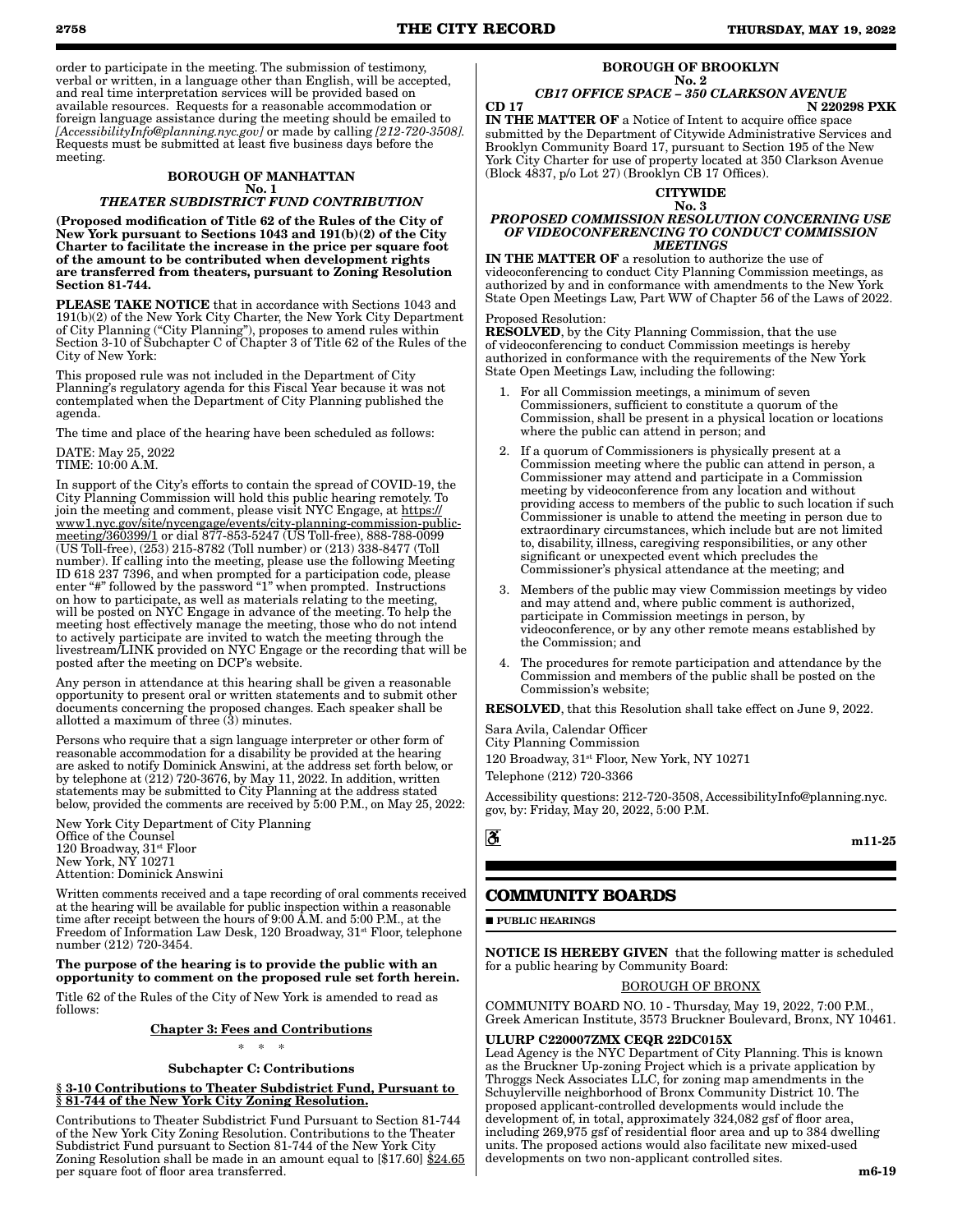order to participate in the meeting. The submission of testimony, verbal or written, in a language other than English, will be accepted, and real time interpretation services will be provided based on available resources. Requests for a reasonable accommodation or foreign language assistance during the meeting should be emailed to *[AccessibilityInfo@planning.nyc.gov]* or made by calling *[212-720-3508].* Requests must be submitted at least five business days before the meeting.

#### BOROUGH OF MANHATTAN No. 1 *THEATER SUBDISTRICT FUND CONTRIBUTION*

(Proposed modification of Title 62 of the Rules of the City of New York pursuant to Sections 1043 and 191(b)(2) of the City Charter to facilitate the increase in the price per square foot of the amount to be contributed when development rights are transferred from theaters, pursuant to Zoning Resolution Section 81-744.

PLEASE TAKE NOTICE that in accordance with Sections 1043 and 191(b)(2) of the New York City Charter, the New York City Department of City Planning ("City Planning"), proposes to amend rules within Section 3-10 of Subchapter C of Chapter 3 of Title 62 of the Rules of the City of New York:

This proposed rule was not included in the Department of City Planning's regulatory agenda for this Fiscal Year because it was not contemplated when the Department of City Planning published the agenda.

The time and place of the hearing have been scheduled as follows:

# DATE: May 25, 2022

TIME: 10:00 A.M.

In support of the City's efforts to contain the spread of COVID-19, the City Planning Commission will hold this public hearing remotely. To join the meeting and comment, please visit NYC Engage, at https:// www1.nyc.gov/site/nycengage/events/city-planning-commission-publicmeeting/360399/1 or dial 877-853-5247 (US Toll-free), 888-788-0099 (US Toll-free), (253) 215-8782 (Toll number) or (213) 338-8477 (Toll number). If calling into the meeting, please use the following Meeting ID 618 237 7396, and when prompted for a participation code, please enter "#" followed by the password "1" when prompted. Instructions on how to participate, as well as materials relating to the meeting, will be posted on NYC Engage in advance of the meeting. To help the meeting host effectively manage the meeting, those who do not intend to actively participate are invited to watch the meeting through the livestream/LINK provided on NYC Engage or the recording that will be posted after the meeting on DCP's website.

Any person in attendance at this hearing shall be given a reasonable opportunity to present oral or written statements and to submit other documents concerning the proposed changes. Each speaker shall be allotted a maximum of three (3) minutes.

Persons who require that a sign language interpreter or other form of reasonable accommodation for a disability be provided at the hearing are asked to notify Dominick Answini, at the address set forth below, or by telephone at (212) 720-3676, by May 11, 2022. In addition, written statements may be submitted to City Planning at the address stated below, provided the comments are received by 5:00 P.M., on May 25, 2022:

New York City Department of City Planning Office of the Counsel 120 Broadway, 31st Floor New York, NY 10271 Attention: Dominick Answini

Written comments received and a tape recording of oral comments received at the hearing will be available for public inspection within a reasonable time after receipt between the hours of 9:00 A.M. and 5:00 P.M., at the Freedom of Information Law Desk, 120 Broadway, 31<sup>st</sup> Floor, telephone number (212) 720-3454.

## The purpose of the hearing is to provide the public with an opportunity to comment on the proposed rule set forth herein.

Title 62 of the Rules of the City of New York is amended to read as follows:

Chapter 3: Fees and Contributions

\* \* \*

# Subchapter C: Contributions

§ 3-10 Contributions to Theater Subdistrict Fund, Pursuant to § 81-744 of the New York City Zoning Resolution.

Contributions to Theater Subdistrict Fund Pursuant to Section 81-744 of the New York City Zoning Resolution. Contributions to the Theater Subdistrict Fund pursuant to Section 81-744 of the New York City Zoning Resolution shall be made in an amount equal to [\$17.60] \$24.65 per square foot of floor area transferred.

# BOROUGH OF BROOKLYN

#### No. 2 *CB17 OFFICE SPACE – 350 CLARKSON AVENUE*

CD 17 N 220298 PXK IN THE MATTER OF a Notice of Intent to acquire office space

submitted by the Department of Citywide Administrative Services and Brooklyn Community Board 17, pursuant to Section 195 of the New York City Charter for use of property located at 350 Clarkson Avenue (Block 4837, p/o Lot 27) (Brooklyn CB 17 Offices).

**CITYWIDE** 

#### No. 3 *PROPOSED COMMISSION RESOLUTION CONCERNING USE OF VIDEOCONFERENCING TO CONDUCT COMMISSION MEETINGS*

IN THE MATTER OF a resolution to authorize the use of videoconferencing to conduct City Planning Commission meetings, as authorized by and in conformance with amendments to the New York State Open Meetings Law, Part WW of Chapter 56 of the Laws of 2022.

### Proposed Resolution:

RESOLVED, by the City Planning Commission, that the use of videoconferencing to conduct Commission meetings is hereby authorized in conformance with the requirements of the New York State Open Meetings Law, including the following:

- 1. For all Commission meetings, a minimum of seven Commissioners, sufficient to constitute a quorum of the Commission, shall be present in a physical location or locations where the public can attend in person; and
- If a quorum of Commissioners is physically present at a Commission meeting where the public can attend in person, a Commissioner may attend and participate in a Commission meeting by videoconference from any location and without providing access to members of the public to such location if such Commissioner is unable to attend the meeting in person due to extraordinary circumstances, which include but are not limited to, disability, illness, caregiving responsibilities, or any other significant or unexpected event which precludes the Commissioner's physical attendance at the meeting; and
- 3. Members of the public may view Commission meetings by video and may attend and, where public comment is authorized, participate in Commission meetings in person, by videoconference, or by any other remote means established by the Commission; and
- The procedures for remote participation and attendance by the Commission and members of the public shall be posted on the Commission's website;

RESOLVED, that this Resolution shall take effect on June 9, 2022.

Sara Avila, Calendar Officer

City Planning Commission

120 Broadway,  $31^{st}$  Floor, New York, NY 10271

Telephone (212) 720-3366

Accessibility questions: 212-720-3508, AccessibilityInfo@planning.nyc. gov, by: Friday, May 20, 2022, 5:00 P.M.

<u>ී,</u>

m11-25

# **COMMUNITY BOARDS**

**PUBLIC HEARINGS** 

NOTICE IS HEREBY GIVEN that the following matter is scheduled for a public hearing by Community Board:

### BOROUGH OF BRONX

COMMUNITY BOARD NO. 10 - Thursday, May 19, 2022, 7:00 P.M., Greek American Institute, 3573 Bruckner Boulevard, Bronx, NY 10461.

# ULURP C220007ZMX CEQR 22DC015X

Lead Agency is the NYC Department of City Planning. This is known as the Bruckner Up-zoning Project which is a private application by Throggs Neck Associates LLC, for zoning map amendments in the Schuylerville neighborhood of Bronx Community District 10. The proposed applicant-controlled developments would include the development of, in total, approximately 324,082 gsf of floor area, including 269,975 gsf of residential floor area and up to 384 dwelling units. The proposed actions would also facilitate new mixed-used developments on two non-applicant controlled sites.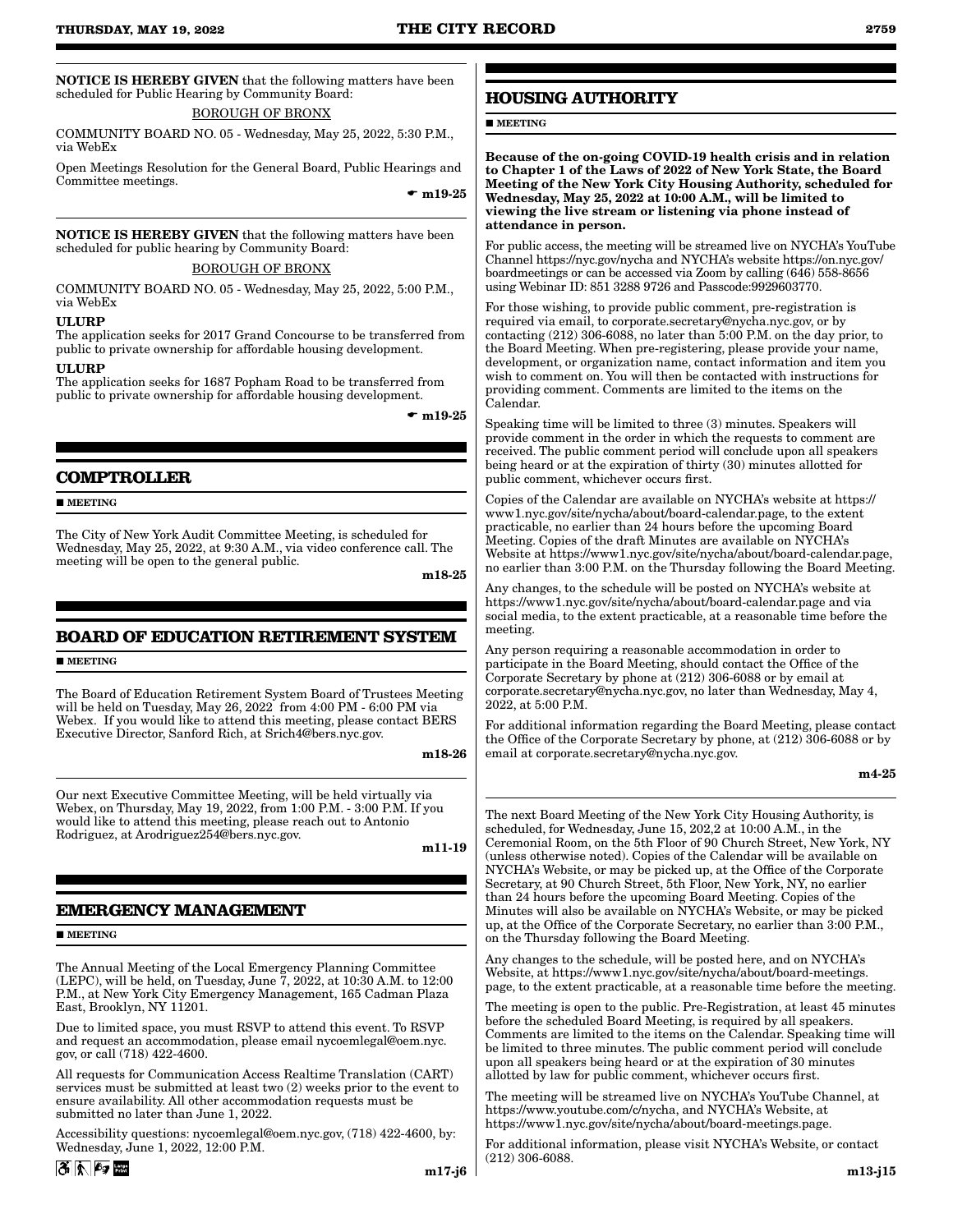NOTICE IS HEREBY GIVEN that the following matters have been scheduled for Public Hearing by Community Board:

### BOROUGH OF BRONX

COMMUNITY BOARD NO. 05 - Wednesday, May 25, 2022, 5:30 P.M., via WebEx

Open Meetings Resolution for the General Board, Public Hearings and Committee meetings.

 $\bullet$  m19-25

NOTICE IS HEREBY GIVEN that the following matters have been scheduled for public hearing by Community Board:

### BOROUGH OF BRONX

COMMUNITY BOARD NO. 05 - Wednesday, May 25, 2022, 5:00 P.M., via WebEx

#### **ULURP**

The application seeks for 2017 Grand Concourse to be transferred from public to private ownership for affordable housing development.

#### ULURP

The application seeks for 1687 Popham Road to be transferred from public to private ownership for affordable housing development.

 $\bullet$  m19-25

# **COMPTROLLER**

**MEETING** 

The City of New York Audit Committee Meeting, is scheduled for Wednesday, May 25, 2022, at 9:30 A.M., via video conference call. The meeting will be open to the general public.

m18-25

# **BOARD OF EDUCATION RETIREMENT SYSTEM**

**MEETING** 

The Board of Education Retirement System Board of Trustees Meeting will be held on Tuesday, May 26, 2022 from 4:00 PM - 6:00 PM via Webex. If you would like to attend this meeting, please contact BERS Executive Director, Sanford Rich, at Srich4@bers.nyc.gov.

m18-26

Our next Executive Committee Meeting, will be held virtually via Webex, on Thursday, May 19, 2022, from 1:00 P.M. - 3:00 P.M. If you would like to attend this meeting, please reach out to Antonio Rodriguez, at Arodriguez254@bers.nyc.gov.

m11-19

# **EMERGENCY MANAGEMENT**

#### **MEETING**

The Annual Meeting of the Local Emergency Planning Committee (LEPC), will be held, on Tuesday, June 7, 2022, at 10:30 A.M. to 12:00 P.M., at New York City Emergency Management, 165 Cadman Plaza East, Brooklyn, NY 11201.

Due to limited space, you must RSVP to attend this event. To RSVP and request an accommodation, please email nycoemlegal@oem.nyc. gov, or call (718) 422-4600.

All requests for Communication Access Realtime Translation (CART) services must be submitted at least two (2) weeks prior to the event to ensure availability. All other accommodation requests must be submitted no later than June 1, 2022.

Accessibility questions: nycoemlegal@oem.nyc.gov, (718) 422-4600, by: Wednesday, June 1, 2022, 12:00 P.M.

# **HOUSING AUTHORITY**

**MEETING** 

Because of the on-going COVID-19 health crisis and in relation to Chapter 1 of the Laws of 2022 of New York State, the Board Meeting of the New York City Housing Authority, scheduled for Wednesday, May 25, 2022 at 10:00 A.M., will be limited to viewing the live stream or listening via phone instead of attendance in person.

For public access, the meeting will be streamed live on NYCHA's YouTube Channel https://nyc.gov/nycha and NYCHA's website https://on.nyc.gov/ boardmeetings or can be accessed via Zoom by calling (646) 558-8656 using Webinar ID: 851 3288 9726 and Passcode:9929603770.

For those wishing, to provide public comment, pre-registration is required via email, to corporate.secretary@nycha.nyc.gov, or by contacting (212) 306-6088, no later than 5:00 P.M. on the day prior, to the Board Meeting. When pre-registering, please provide your name, development, or organization name, contact information and item you wish to comment on. You will then be contacted with instructions for providing comment. Comments are limited to the items on the Calendar.

Speaking time will be limited to three (3) minutes. Speakers will provide comment in the order in which the requests to comment are received. The public comment period will conclude upon all speakers being heard or at the expiration of thirty (30) minutes allotted for public comment, whichever occurs first.

Copies of the Calendar are available on NYCHA's website at https:// www1.nyc.gov/site/nycha/about/board-calendar.page, to the extent practicable, no earlier than 24 hours before the upcoming Board Meeting. Copies of the draft Minutes are available on NYCHA's Website at https://www1.nyc.gov/site/nycha/about/board-calendar.page, no earlier than 3:00 P.M. on the Thursday following the Board Meeting.

Any changes, to the schedule will be posted on NYCHA's website at https://www1.nyc.gov/site/nycha/about/board-calendar.page and via social media, to the extent practicable, at a reasonable time before the meeting.

Any person requiring a reasonable accommodation in order to participate in the Board Meeting, should contact the Office of the Corporate Secretary by phone at (212) 306-6088 or by email at corporate.secretary@nycha.nyc.gov, no later than Wednesday, May 4, 2022, at 5:00 P.M.

For additional information regarding the Board Meeting, please contact the Office of the Corporate Secretary by phone, at (212) 306-6088 or by email at corporate.secretary@nycha.nyc.gov.

m4-25

The next Board Meeting of the New York City Housing Authority, is scheduled, for Wednesday, June 15, 202,2 at 10:00 A.M., in the Ceremonial Room, on the 5th Floor of 90 Church Street, New York, NY (unless otherwise noted). Copies of the Calendar will be available on NYCHA's Website, or may be picked up, at the Office of the Corporate Secretary, at 90 Church Street, 5th Floor, New York, NY, no earlier than 24 hours before the upcoming Board Meeting. Copies of the Minutes will also be available on NYCHA's Website, or may be picked up, at the Office of the Corporate Secretary, no earlier than 3:00 P.M., on the Thursday following the Board Meeting.

Any changes to the schedule, will be posted here, and on NYCHA's Website, at https://www1.nyc.gov/site/nycha/about/board-meetings. page, to the extent practicable, at a reasonable time before the meeting.

The meeting is open to the public. Pre-Registration, at least 45 minutes before the scheduled Board Meeting, is required by all speakers. Comments are limited to the items on the Calendar. Speaking time will be limited to three minutes. The public comment period will conclude upon all speakers being heard or at the expiration of 30 minutes allotted by law for public comment, whichever occurs first.

The meeting will be streamed live on NYCHA's YouTube Channel, at https://www.youtube.com/c/nycha, and NYCHA's Website, at https://www1.nyc.gov/site/nycha/about/board-meetings.page.

For additional information, please visit NYCHA's Website, or contact (212) 306-6088.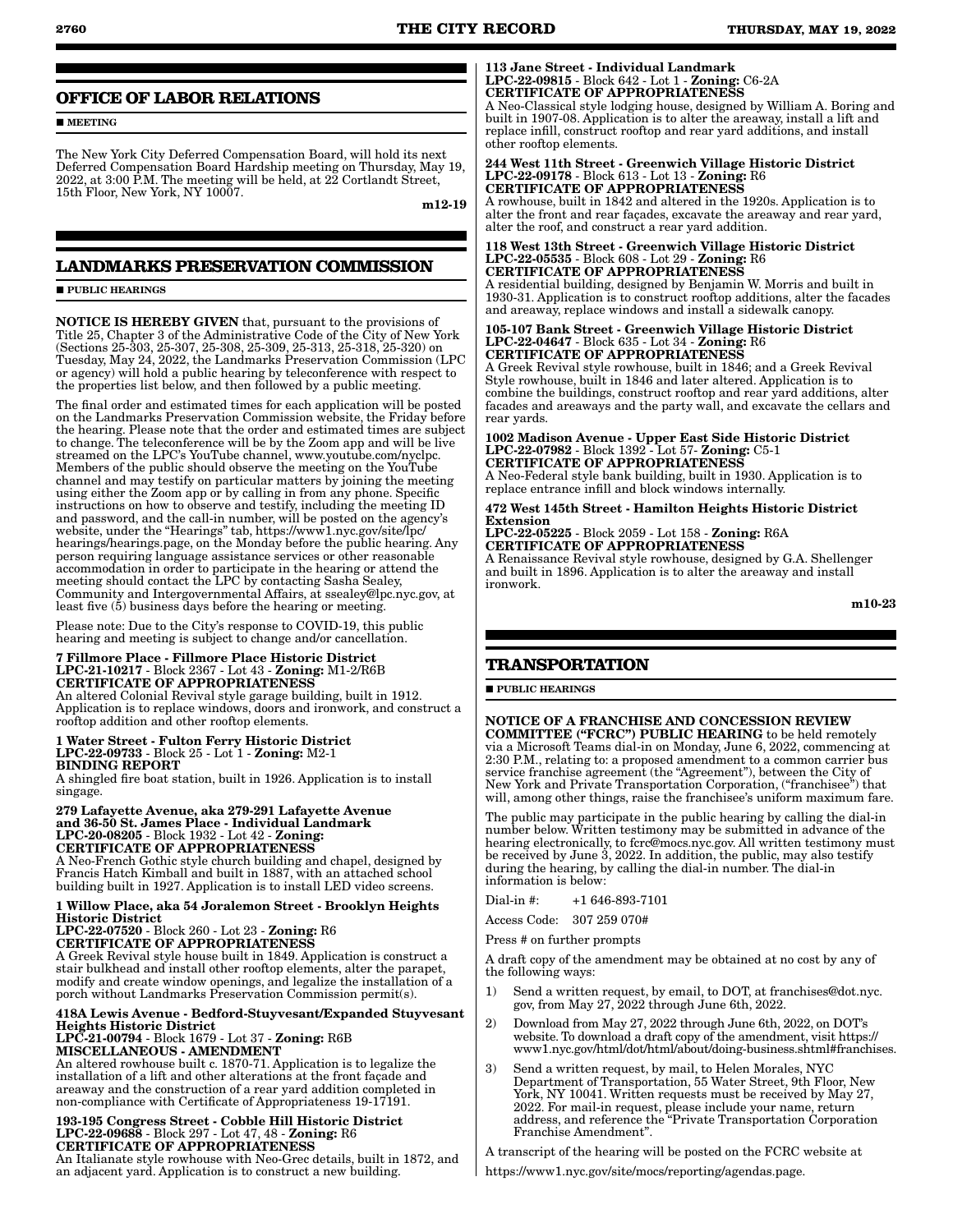# **OFFICE OF LABOR RELATIONS**

**MEETING** 

The New York City Deferred Compensation Board, will hold its next Deferred Compensation Board Hardship meeting on Thursday, May 19, 2022, at 3:00 P.M. The meeting will be held, at 22 Cortlandt Street, 15th Floor, New York, NY 10007.

m12-19

# **LANDMARKS PRESERVATION COMMISSION**

**PUBLIC HEARINGS** 

NOTICE IS HEREBY GIVEN that, pursuant to the provisions of Title 25, Chapter 3 of the Administrative Code of the City of New York (Sections 25-303, 25-307, 25-308, 25-309, 25-313, 25-318, 25-320) on Tuesday, May 24, 2022, the Landmarks Preservation Commission (LPC or agency) will hold a public hearing by teleconference with respect to the properties list below, and then followed by a public meeting.

The final order and estimated times for each application will be posted on the Landmarks Preservation Commission website, the Friday before the hearing. Please note that the order and estimated times are subject to change. The teleconference will be by the Zoom app and will be live streamed on the LPC's YouTube channel, www.youtube.com/nyclpc. Members of the public should observe the meeting on the YouTube channel and may testify on particular matters by joining the meeting using either the Zoom app or by calling in from any phone. Specific instructions on how to observe and testify, including the meeting ID and password, and the call-in number, will be posted on the agency's website, under the "Hearings" tab, https://www1.nyc.gov/site/lpc/ hearings/hearings.page, on the Monday before the public hearing. Any person requiring language assistance services or other reasonable accommodation in order to participate in the hearing or attend the meeting should contact the LPC by contacting Sasha Sealey, Community and Intergovernmental Affairs, at ssealey@lpc.nyc.gov, at least five (5) business days before the hearing or meeting.

Please note: Due to the City's response to COVID-19, this public hearing and meeting is subject to change and/or cancellation.

#### 7 Fillmore Place - Fillmore Place Historic District LPC-21-10217 - Block 2367 - Lot 43 - Zoning: M1-2/R6B CERTIFICATE OF APPROPRIATENESS

An altered Colonial Revival style garage building, built in 1912. Application is to replace windows, doors and ironwork, and construct a rooftop addition and other rooftop elements.

#### 1 Water Street - Fulton Ferry Historic District LPC-22-09733 - Block 25 - Lot 1 - Zoning: M2-1 BINDING REPORT

A shingled fire boat station, built in 1926. Application is to install singage.

279 Lafayette Avenue, aka 279-291 Lafayette Avenue and 36-50 St. James Place - Individual Landmark LPC-20-08205 - Block 1932 - Lot 42 - Zoning: CERTIFICATE OF APPROPRIATENESS A Neo-French Gothic style church building and chapel, designed by

Francis Hatch Kimball and built in 1887, with an attached school building built in 1927. Application is to install LED video screens.

#### 1 Willow Place, aka 54 Joralemon Street - Brooklyn Heights Historic District

LPC-22-07520 - Block 260 - Lot 23 - Zoning: R6

CERTIFICATE OF APPROPRIATENESS

A Greek Revival style house built in 1849. Application is construct a stair bulkhead and install other rooftop elements, alter the parapet, modify and create window openings, and legalize the installation of a porch without Landmarks Preservation Commission permit(s).

#### 418A Lewis Avenue - Bedford-Stuyvesant/Expanded Stuyvesant Heights Historic District

LPC-21-00794 - Block 1679 - Lot 37 - Zoning: R6B MISCELLANEOUS - AMENDMENT

An altered rowhouse built c. 1870-71. Application is to legalize the installation of a lift and other alterations at the front façade and areaway and the construction of a rear yard addition completed in non-compliance with Certificate of Appropriateness 19-17191.

#### 193-195 Congress Street - Cobble Hill Historic District LPC-22-09688 - Block 297 - Lot 47, 48 - Zoning: R6 CERTIFICATE OF APPROPRIATENESS

An Italianate style rowhouse with Neo-Grec details, built in 1872, and an adjacent yard. Application is to construct a new building.

#### 113 Jane Street - Individual Landmark LPC-22-09815 - Block 642 - Lot 1 - Zoning: C6-2A CERTIFICATE OF APPROPRIATENESS

A Neo-Classical style lodging house, designed by William A. Boring and built in 1907-08. Application is to alter the areaway, install a lift and replace infill, construct rooftop and rear yard additions, and install other rooftop elements.

#### 244 West 11th Street - Greenwich Village Historic District LPC-22-09178 - Block 613 - Lot 13 - Zoning: R6 CERTIFICATE OF APPROPRIATENESS

A rowhouse, built in 1842 and altered in the 1920s. Application is to alter the front and rear façades, excavate the areaway and rear yard, alter the roof, and construct a rear yard addition.

#### 118 West 13th Street - Greenwich Village Historic District LPC-22-05535 - Block 608 - Lot 29 - Zoning: R6 CERTIFICATE OF APPROPRIATENESS

A residential building, designed by Benjamin W. Morris and built in 1930-31. Application is to construct rooftop additions, alter the facades and areaway, replace windows and install a sidewalk canopy.

#### 105-107 Bank Street - Greenwich Village Historic District LPC-22-04647 - Block 635 - Lot 34 - Zoning: R6 CERTIFICATE OF APPROPRIATENESS

A Greek Revival style rowhouse, built in 1846; and a Greek Revival Style rowhouse, built in 1846 and later altered. Application is to combine the buildings, construct rooftop and rear yard additions, alter facades and areaways and the party wall, and excavate the cellars and rear yards.

1002 Madison Avenue - Upper East Side Historic District LPC-22-07982 - Block 1392 - Lot 57- Zoning: C5-1 CERTIFICATE OF APPROPRIATENESS

A Neo-Federal style bank building, built in 1930. Application is to replace entrance infill and block windows internally.

# 472 West 145th Street - Hamilton Heights Historic District Extension

LPC-22-05225 - Block 2059 - Lot 158 - Zoning: R6A CERTIFICATE OF APPROPRIATENESS

A Renaissance Revival style rowhouse, designed by G.A. Shellenger and built in 1896. Application is to alter the areaway and install ironwork.

m10-23

# **TRANSPORTATION**

**PUBLIC HEARINGS** 

NOTICE OF A FRANCHISE AND CONCESSION REVIEW COMMITTEE ("FCRC") PUBLIC HEARING to be held remotely via a Microsoft Teams dial-in on Monday, June 6, 2022, commencing at 2:30 P.M., relating to: a proposed amendment to a common carrier bus service franchise agreement (the "Agreement"), between the City of New York and Private Transportation Corporation, (''franchisee") that will, among other things, raise the franchisee's uniform maximum fare.

The public may participate in the public hearing by calling the dial-in number below. Written testimony may be submitted in advance of the hearing electronically, to fcrc@mocs.nyc.gov. All written testimony must be received by June 3, 2022. In addition, the public, may also testify during the hearing, by calling the dial-in number. The dial-in information is below:

Dial-in #: +1 646-893-7101

Access Code: 307 259 070#

Press # on further prompts

A draft copy of the amendment may be obtained at no cost by any of the following ways:

- 1) Send a written request, by email, to DOT, at franchises@dot.nyc. gov, from May 27, 2022 through June 6th, 2022.
- 2) Download from May 27, 2022 through June 6th, 2022, on DOT's website. To download a draft copy of the amendment, visit https:// www1.nyc.gov/html/dot/html/about/doing-business.shtml#franchises.
- 3) Send a written request, by mail, to Helen Morales, NYC Department of Transportation, 55 Water Street, 9th Floor, New York, NY 10041. Written requests must be received by May 27, 2022. For mail-in request, please include your name, return address, and reference the "Private Transportation Corporation Franchise Amendment".

A transcript of the hearing will be posted on the FCRC website at

https://www1.nyc.gov/site/mocs/reporting/agendas.page.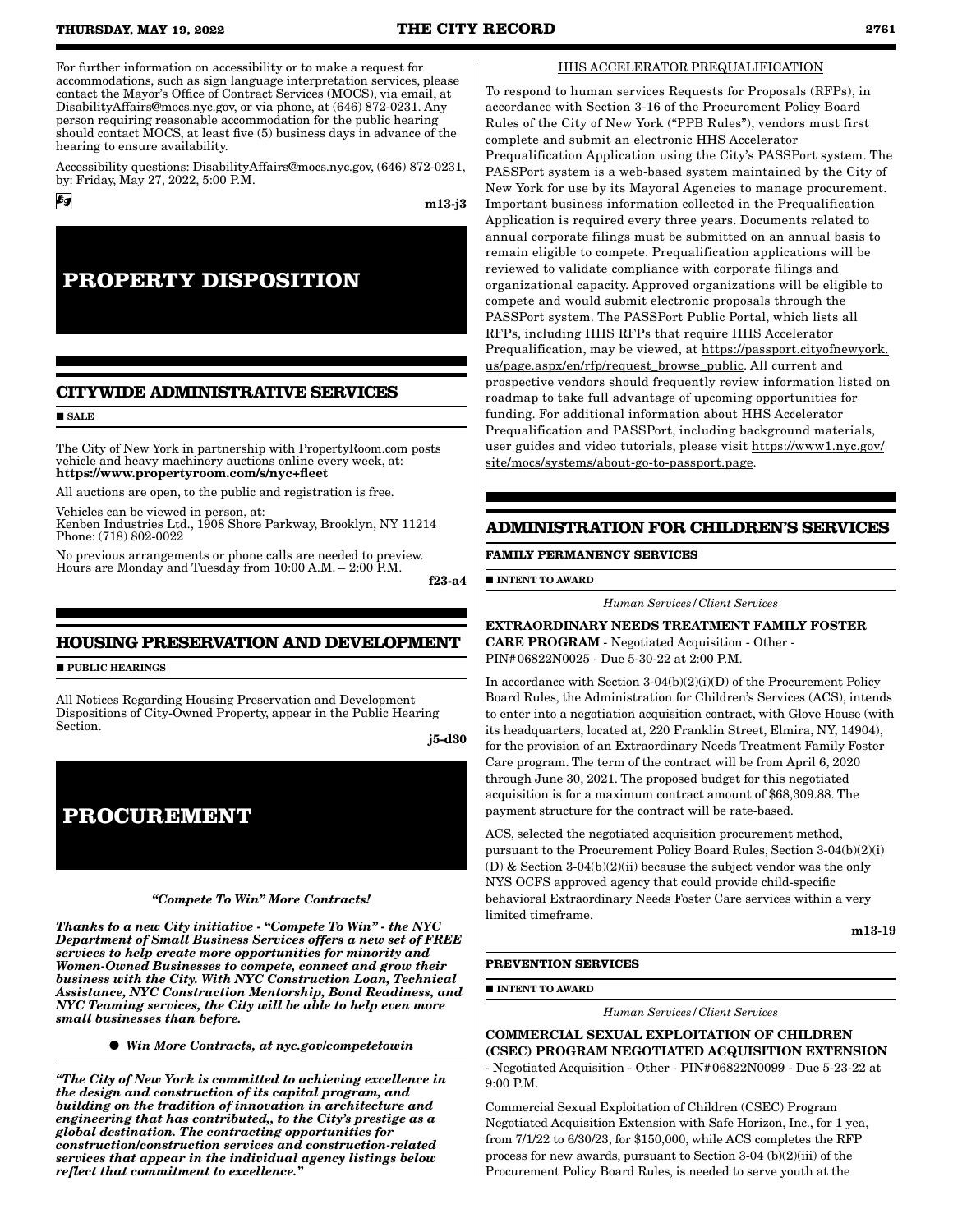For further information on accessibility or to make a request for accommodations, such as sign language interpretation services, please contact the Mayor's Office of Contract Services (MOCS), via email, at DisabilityAffairs@mocs.nyc.gov, or via phone, at (646) 872-0231. Any person requiring reasonable accommodation for the public hearing should contact MOCS, at least five (5) business days in advance of the hearing to ensure availability.

Accessibility questions: DisabilityAffairs@mocs.nyc.gov, (646) 872-0231, by: Friday, May 27, 2022, 5:00 P.M.

m13-j3

# **PROPERTY DISPOSITION**

# **CITYWIDE ADMINISTRATIVE SERVICES**

### **SALE**

6g

The City of New York in partnership with PropertyRoom.com posts vehicle and heavy machinery auctions online every week, at: https://www.propertyroom.com/s/nyc+fleet

All auctions are open, to the public and registration is free.

Vehicles can be viewed in person, at:

Kenben Industries Ltd., 1908 Shore Parkway, Brooklyn, NY 11214 Phone: (718) 802-0022

No previous arrangements or phone calls are needed to preview. Hours are Monday and Tuesday from 10:00 A.M. – 2:00 P.M. f23-a4

# **HOUSING PRESERVATION AND DEVELOPMENT**

**PUBLIC HEARINGS** 

All Notices Regarding Housing Preservation and Development Dispositions of City-Owned Property, appear in the Public Hearing Section.

j5-d30

# **PROCUREMENT**

#### *"Compete To Win" More Contracts!*

*Thanks to a new City initiative - "Compete To Win" - the NYC Department of Small Business Services offers a new set of FREE services to help create more opportunities for minority and Women-Owned Businesses to compete, connect and grow their business with the City. With NYC Construction Loan, Technical Assistance, NYC Construction Mentorship, Bond Readiness, and NYC Teaming services, the City will be able to help even more small businesses than before.*

*Win More Contracts, at nyc.gov/competetowin*

*"The City of New York is committed to achieving excellence in the design and construction of its capital program, and building on the tradition of innovation in architecture and engineering that has contributed,, to the City's prestige as a global destination. The contracting opportunities for construction/construction services and construction-related services that appear in the individual agency listings below reflect that commitment to excellence."*

#### HHS ACCELERATOR PREQUALIFICATION

To respond to human services Requests for Proposals (RFPs), in accordance with Section 3-16 of the Procurement Policy Board Rules of the City of New York ("PPB Rules"), vendors must first complete and submit an electronic HHS Accelerator Prequalification Application using the City's PASSPort system. The PASSPort system is a web-based system maintained by the City of New York for use by its Mayoral Agencies to manage procurement. Important business information collected in the Prequalification Application is required every three years. Documents related to annual corporate filings must be submitted on an annual basis to remain eligible to compete. Prequalification applications will be reviewed to validate compliance with corporate filings and organizational capacity. Approved organizations will be eligible to compete and would submit electronic proposals through the PASSPort system. The PASSPort Public Portal, which lists all RFPs, including HHS RFPs that require HHS Accelerator Prequalification, may be viewed, at https://passport.cityofnewyork. us/page.aspx/en/rfp/request\_browse\_public. All current and prospective vendors should frequently review information listed on roadmap to take full advantage of upcoming opportunities for funding. For additional information about HHS Accelerator Prequalification and PASSPort, including background materials, user guides and video tutorials, please visit https://www1.nyc.gov/ site/mocs/systems/about-go-to-passport.page.

# **ADMINISTRATION FOR CHILDREN'S SERVICES**

#### **FAMILY PERMANENCY SERVICES**

**INTENT TO AWARD** 

*Human Services/Client Services*

EXTRAORDINARY NEEDS TREATMENT FAMILY FOSTER CARE PROGRAM - Negotiated Acquisition - Other - PIN#06822N0025 - Due 5-30-22 at 2:00 P.M.

In accordance with Section 3-04(b)(2)(i)(D) of the Procurement Policy Board Rules, the Administration for Children's Services (ACS), intends to enter into a negotiation acquisition contract, with Glove House (with its headquarters, located at, 220 Franklin Street, Elmira, NY, 14904), for the provision of an Extraordinary Needs Treatment Family Foster Care program. The term of the contract will be from April 6, 2020 through June 30, 2021. The proposed budget for this negotiated acquisition is for a maximum contract amount of \$68,309.88. The payment structure for the contract will be rate-based.

ACS, selected the negotiated acquisition procurement method, pursuant to the Procurement Policy Board Rules, Section 3-04(b)(2)(i) (D) & Section 3-04(b)(2)(ii) because the subject vendor was the only NYS OCFS approved agency that could provide child-specific behavioral Extraordinary Needs Foster Care services within a very limited timeframe.

m13-19

#### **PREVENTION SERVICES**

**INTENT TO AWARD** 

*Human Services/Client Services*

COMMERCIAL SEXUAL EXPLOITATION OF CHILDREN (CSEC) PROGRAM NEGOTIATED ACQUISITION EXTENSION - Negotiated Acquisition - Other - PIN#06822N0099 - Due 5-23-22 at 9:00 P.M.

Commercial Sexual Exploitation of Children (CSEC) Program Negotiated Acquisition Extension with Safe Horizon, Inc., for 1 yea, from 7/1/22 to 6/30/23, for \$150,000, while ACS completes the RFP process for new awards, pursuant to Section 3-04 (b)(2)(iii) of the Procurement Policy Board Rules, is needed to serve youth at the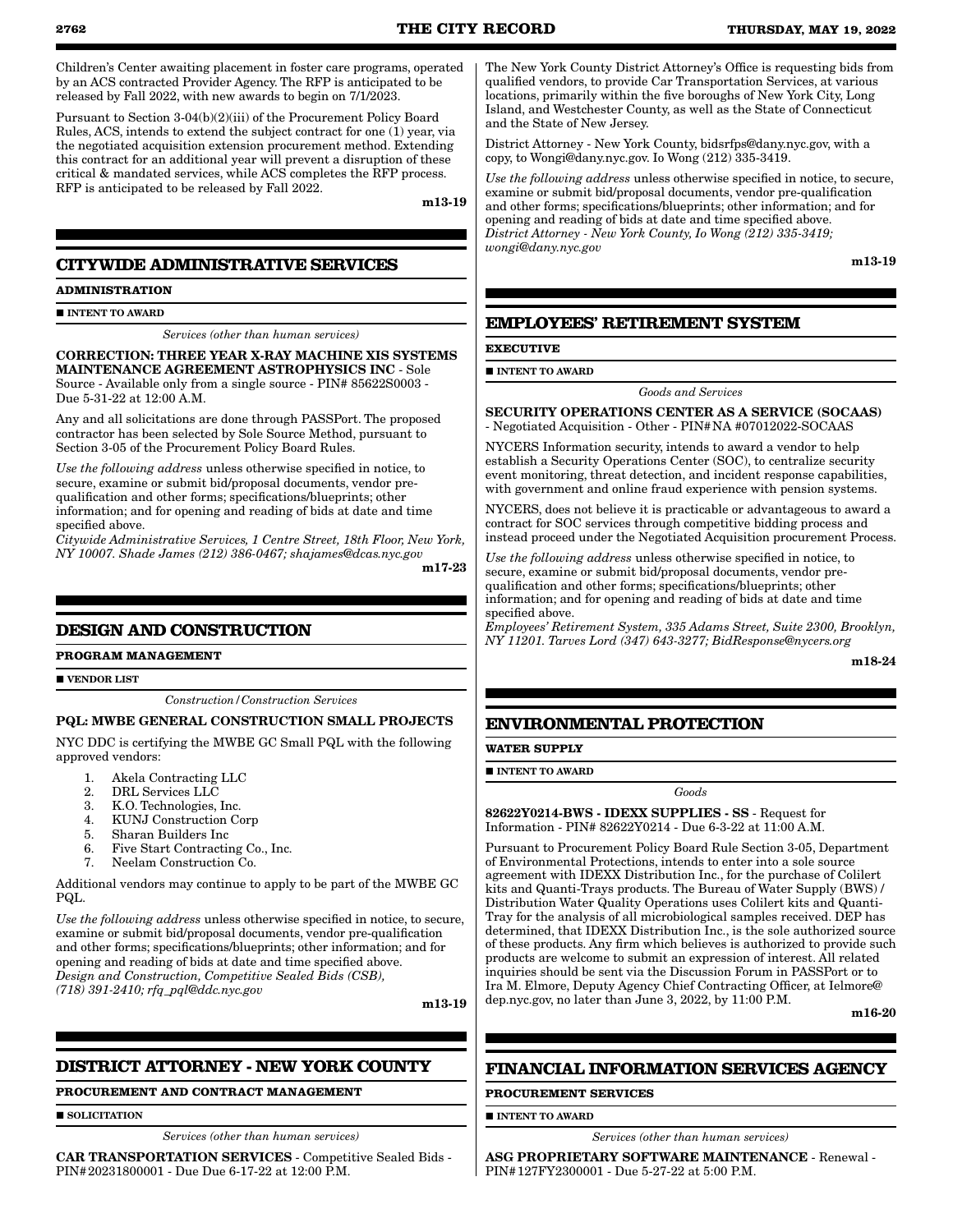Children's Center awaiting placement in foster care programs, operated by an ACS contracted Provider Agency. The RFP is anticipated to be released by Fall 2022, with new awards to begin on 7/1/2023.

Pursuant to Section 3-04(b)(2)(iii) of the Procurement Policy Board Rules, ACS, intends to extend the subject contract for one (1) year, via the negotiated acquisition extension procurement method. Extending this contract for an additional year will prevent a disruption of these critical & mandated services, while ACS completes the RFP process. RFP is anticipated to be released by Fall 2022.

m13-19

# **CITYWIDE ADMINISTRATIVE SERVICES**

## **ADMINISTRATION**

#### **INTENT TO AWARD**

#### *Services (other than human services)*

CORRECTION: THREE YEAR X-RAY MACHINE XIS SYSTEMS MAINTENANCE AGREEMENT ASTROPHYSICS INC - Sole Source - Available only from a single source - PIN# 85622S0003 - Due 5-31-22 at 12:00 A.M.

Any and all solicitations are done through PASSPort. The proposed contractor has been selected by Sole Source Method, pursuant to Section 3-05 of the Procurement Policy Board Rules.

*Use the following address* unless otherwise specified in notice, to secure, examine or submit bid/proposal documents, vendor prequalification and other forms; specifications/blueprints; other information; and for opening and reading of bids at date and time specified above.

*Citywide Administrative Services, 1 Centre Street, 18th Floor, New York, NY 10007. Shade James (212) 386-0467; shajames@dcas.nyc.gov*

m17-23

# **DESIGN AND CONSTRUCTION**

#### **PROGRAM MANAGEMENT**

**VENDOR LIST** 

*Construction/Construction Services*

#### PQL: MWBE GENERAL CONSTRUCTION SMALL PROJECTS

NYC DDC is certifying the MWBE GC Small PQL with the following approved vendors:

- 1. Akela Contracting LLC
- 2. DRL Services LLC
- 3. K.O. Technologies, Inc.
- 4. KUNJ Construction Corp
- 5. Sharan Builders Inc
- 6. Five Start Contracting Co., Inc.<br>7. Neelam Construction Co.
- 7. Neelam Construction Co.

Additional vendors may continue to apply to be part of the MWBE GC PQL.

*Use the following address* unless otherwise specified in notice, to secure, examine or submit bid/proposal documents, vendor pre-qualification and other forms; specifications/blueprints; other information; and for opening and reading of bids at date and time specified above. *Design and Construction, Competitive Sealed Bids (CSB), (718) 391-2410; rfq\_pql@ddc.nyc.gov*

m13-19

# **DISTRICT ATTORNEY - NEW YORK COUNTY**

#### **PROCUREMENT AND CONTRACT MANAGEMENT**

**SOLICITATION** 

*Services (other than human services)*

CAR TRANSPORTATION SERVICES - Competitive Sealed Bids - PIN#20231800001 - Due Due 6-17-22 at 12:00 P.M.

The New York County District Attorney's Office is requesting bids from qualified vendors, to provide Car Transportation Services, at various locations, primarily within the five boroughs of New York City, Long Island, and Westchester County, as well as the State of Connecticut and the State of New Jersey.

District Attorney - New York County, bidsrfps@dany.nyc.gov, with a copy, to Wongi@dany.nyc.gov. Io Wong (212) 335-3419.

*Use the following address* unless otherwise specified in notice, to secure, examine or submit bid/proposal documents, vendor pre-qualification and other forms; specifications/blueprints; other information; and for opening and reading of bids at date and time specified above. *District Attorney - New York County, Io Wong (212) 335-3419; wongi@dany.nyc.gov*

m13-19

# **EMPLOYEES' RETIREMENT SYSTEM**

#### **EXECUTIVE**

 $\blacksquare$ INTENT TO AWARD

#### *Goods and Services*

SECURITY OPERATIONS CENTER AS A SERVICE (SOCAAS) - Negotiated Acquisition - Other - PIN#NA #07012022-SOCAAS

NYCERS Information security, intends to award a vendor to help establish a Security Operations Center (SOC), to centralize security event monitoring, threat detection, and incident response capabilities, with government and online fraud experience with pension systems.

NYCERS, does not believe it is practicable or advantageous to award a contract for SOC services through competitive bidding process and instead proceed under the Negotiated Acquisition procurement Process.

*Use the following address* unless otherwise specified in notice, to secure, examine or submit bid/proposal documents, vendor prequalification and other forms; specifications/blueprints; other information; and for opening and reading of bids at date and time specified above.

*Employees' Retirement System, 335 Adams Street, Suite 2300, Brooklyn, NY 11201. Tarves Lord (347) 643-3277; BidResponse@nycers.org*

m18-24

# **ENVIRONMENTAL PROTECTION**

**WATER SUPPLY**

**INTENT TO AWARD** 

#### *Goods*

82622Y0214-BWS - IDEXX SUPPLIES - SS - Request for Information - PIN# 82622Y0214 - Due 6-3-22 at 11:00 A.M.

Pursuant to Procurement Policy Board Rule Section 3-05, Department of Environmental Protections, intends to enter into a sole source agreement with IDEXX Distribution Inc., for the purchase of Colilert kits and Quanti-Trays products. The Bureau of Water Supply (BWS) / Distribution Water Quality Operations uses Colilert kits and Quanti-Tray for the analysis of all microbiological samples received. DEP has determined, that IDEXX Distribution Inc., is the sole authorized source of these products. Any firm which believes is authorized to provide such products are welcome to submit an expression of interest. All related inquiries should be sent via the Discussion Forum in PASSPort or to Ira M. Elmore, Deputy Agency Chief Contracting Officer, at Ielmore@ dep.nyc.gov, no later than June 3, 2022, by 11:00 P.M.

m16-20

# **FINANCIAL INFORMATION SERVICES AGENCY**

**PROCUREMENT SERVICES**

**INTENT TO AWARD** 

*Services (other than human services)*

ASG PROPRIETARY SOFTWARE MAINTENANCE - Renewal - PIN#127FY2300001 - Due 5-27-22 at 5:00 P.M.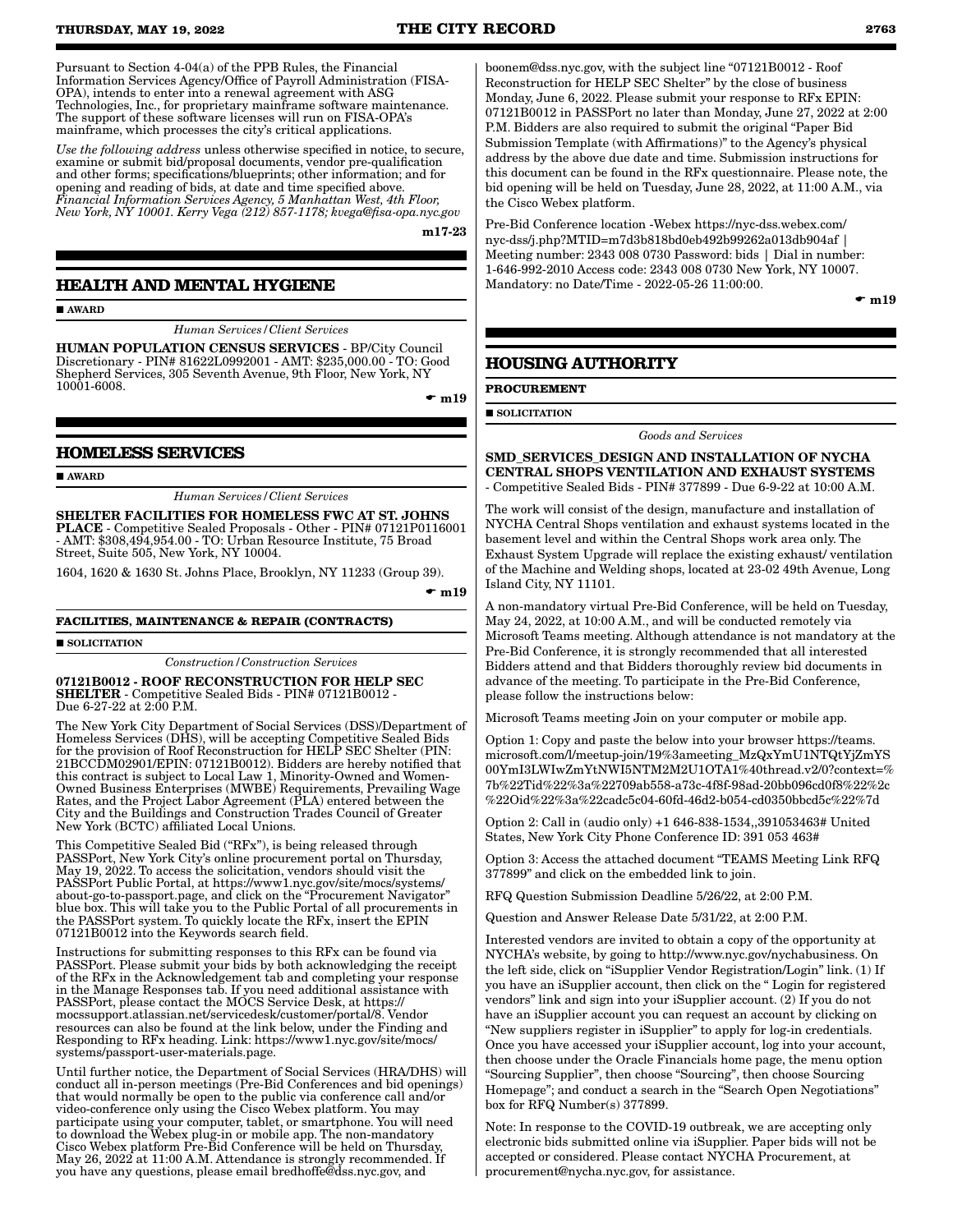**THURSDAY, MAY 19, 2022 THE CITY RECORD 2763**

Pursuant to Section 4-04(a) of the PPB Rules, the Financial Information Services Agency/Office of Payroll Administration (FISA-OPA), intends to enter into a renewal agreement with ASG Technologies, Inc., for proprietary mainframe software maintenance. The support of these software licenses will run on FISA-OPA's mainframe, which processes the city's critical applications.

*Use the following address* unless otherwise specified in notice, to secure, examine or submit bid/proposal documents, vendor pre-qualification and other forms; specifications/blueprints; other information; and for opening and reading of bids, at date and time specified above. *Financial Information Services Agency, 5 Manhattan West, 4th Floor, New York, NY 10001. Kerry Vega (212) 857-1178; kvega@fisa-opa.nyc.gov*

m17-23

# **HEALTH AND MENTAL HYGIENE**

AWARD

*Human Services/Client Services*

HUMAN POPULATION CENSUS SERVICES - BP/City Council Discretionary - PIN# 81622L0992001 - AMT: \$235,000.00 - TO: Good Shepherd Services, 305 Seventh Avenue, 9th Floor, New York, NY 10001-6008.

 $\bullet$  m19

### **HOMELESS SERVICES**

AWARD

*Human Services/Client Services*

SHELTER FACILITIES FOR HOMELESS FWC AT ST. JOHNS PLACE - Competitive Sealed Proposals - Other - PIN# 07121P0116001 - AMT: \$308,494,954.00 - TO: Urban Resource Institute, 75 Broad Street, Suite 505, New York, NY 10004.

1604, 1620 & 1630 St. Johns Place, Brooklyn, NY 11233 (Group 39).

 $\bullet$  m19

#### **FACILITIES, MAINTENANCE & REPAIR (CONTRACTS)**

**SOLICITATION** 

*Construction/Construction Services*

07121B0012 - ROOF RECONSTRUCTION FOR HELP SEC SHELTER - Competitive Sealed Bids - PIN# 07121B0012 - Due 6-27-22 at 2:00 P.M.

The New York City Department of Social Services (DSS)/Department of Homeless Services (DHS), will be accepting Competitive Sealed Bids for the provision of Roof Reconstruction for HELP SEC Shelter (PIN: 21BCCDM02901/EPIN: 07121B0012). Bidders are hereby notified that this contract is subject to Local Law 1, Minority-Owned and Women-Owned Business Enterprises (MWBE) Requirements, Prevailing Wage Rates, and the Project Labor Agreement (PLA) entered between the City and the Buildings and Construction Trades Council of Greater New York (BCTC) affiliated Local Unions.

This Competitive Sealed Bid ("RFx"), is being released through PASSPort, New York City's online procurement portal on Thursday, May 19, 2022. To access the solicitation, vendors should visit the PASSPort Public Portal, at https://www1.nyc.gov/site/mocs/systems/ about-go-to-passport.page, and click on the "Procurement Navigator" blue box. This will take you to the Public Portal of all procurements in the PASSPort system. To quickly locate the RFx, insert the EPIN 07121B0012 into the Keywords search field.

Instructions for submitting responses to this RFx can be found via PASSPort. Please submit your bids by both acknowledging the receipt of the RFx in the Acknowledgement tab and completing your response in the Manage Responses tab. If you need additional assistance with PASSPort, please contact the MOCS Service Desk, at https:// mocssupport.atlassian.net/servicedesk/customer/portal/8. Vendor resources can also be found at the link below, under the Finding and Responding to RFx heading. Link: https://www1.nyc.gov/site/mocs/ systems/passport-user-materials.page.

Until further notice, the Department of Social Services (HRA/DHS) will conduct all in-person meetings (Pre-Bid Conferences and bid openings) that would normally be open to the public via conference call and/or video-conference only using the Cisco Webex platform. You may participate using your computer, tablet, or smartphone. You will need to download the Webex plug-in or mobile app. The non-mandatory Cisco Webex platform Pre-Bid Conference will be held on Thursday, May 26, 2022 at 11:00 A.M. Attendance is strongly recommended. If you have any questions, please email bredhoffe@dss.nyc.gov, and

boonem@dss.nyc.gov, with the subject line "07121B0012 - Roof Reconstruction for HELP SEC Shelter" by the close of business Monday, June 6, 2022. Please submit your response to RFx EPIN: 07121B0012 in PASSPort no later than Monday, June 27, 2022 at 2:00 P.M. Bidders are also required to submit the original "Paper Bid Submission Template (with Affirmations)" to the Agency's physical address by the above due date and time. Submission instructions for this document can be found in the RFx questionnaire. Please note, the bid opening will be held on Tuesday, June 28, 2022, at 11:00 A.M., via the Cisco Webex platform.

Pre-Bid Conference location -Webex https://nyc-dss.webex.com/ nyc-dss/j.php?MTID=m7d3b818bd0eb492b99262a013db904af | Meeting number: 2343 008 0730 Password: bids | Dial in number: 1-646-992-2010 Access code: 2343 008 0730 New York, NY 10007. Mandatory: no Date/Time - 2022-05-26 11:00:00.

 $\bullet$  m19

# **HOUSING AUTHORITY**

**PROCUREMENT**

**SOLICITATION** 

*Goods and Services*

SMD\_SERVICES\_DESIGN AND INSTALLATION OF NYCHA CENTRAL SHOPS VENTILATION AND EXHAUST SYSTEMS - Competitive Sealed Bids - PIN# 377899 - Due 6-9-22 at 10:00 A.M.

The work will consist of the design, manufacture and installation of NYCHA Central Shops ventilation and exhaust systems located in the basement level and within the Central Shops work area only. The Exhaust System Upgrade will replace the existing exhaust/ ventilation of the Machine and Welding shops, located at 23-02 49th Avenue, Long Island City, NY 11101.

A non-mandatory virtual Pre-Bid Conference, will be held on Tuesday, May 24, 2022, at 10:00 A.M., and will be conducted remotely via Microsoft Teams meeting. Although attendance is not mandatory at the Pre-Bid Conference, it is strongly recommended that all interested Bidders attend and that Bidders thoroughly review bid documents in advance of the meeting. To participate in the Pre-Bid Conference, please follow the instructions below:

Microsoft Teams meeting Join on your computer or mobile app.

Option 1: Copy and paste the below into your browser https://teams. microsoft.com/l/meetup-join/19%3ameeting\_MzQxYmU1NTQtYjZmYS 00YmI3LWIwZmYtNWI5NTM2M2U1OTA1%40thread.v2/0?context=% 7b%22Tid%22%3a%22709ab558-a73c-4f8f-98ad-20bb096cd0f8%22%2c %22Oid%22%3a%22cadc5c04-60fd-46d2-b054-cd0350bbcd5c%22%7d

Option 2: Call in (audio only) +1 646-838-1534,,391053463# United States, New York City Phone Conference ID: 391 053 463#

Option 3: Access the attached document "TEAMS Meeting Link RFQ 377899" and click on the embedded link to join.

RFQ Question Submission Deadline 5/26/22, at 2:00 P.M.

Question and Answer Release Date 5/31/22, at 2:00 P.M.

Interested vendors are invited to obtain a copy of the opportunity at NYCHA's website, by going to http://www.nyc.gov/nychabusiness. On the left side, click on "iSupplier Vendor Registration/Login" link. (1) If you have an iSupplier account, then click on the " Login for registered vendors" link and sign into your iSupplier account. (2) If you do not have an iSupplier account you can request an account by clicking on "New suppliers register in iSupplier" to apply for log-in credentials. Once you have accessed your iSupplier account, log into your account, then choose under the Oracle Financials home page, the menu option "Sourcing Supplier", then choose "Sourcing", then choose Sourcing Homepage"; and conduct a search in the "Search Open Negotiations" box for RFQ Number(s) 377899.

Note: In response to the COVID-19 outbreak, we are accepting only electronic bids submitted online via iSupplier. Paper bids will not be accepted or considered. Please contact NYCHA Procurement, at procurement@nycha.nyc.gov, for assistance.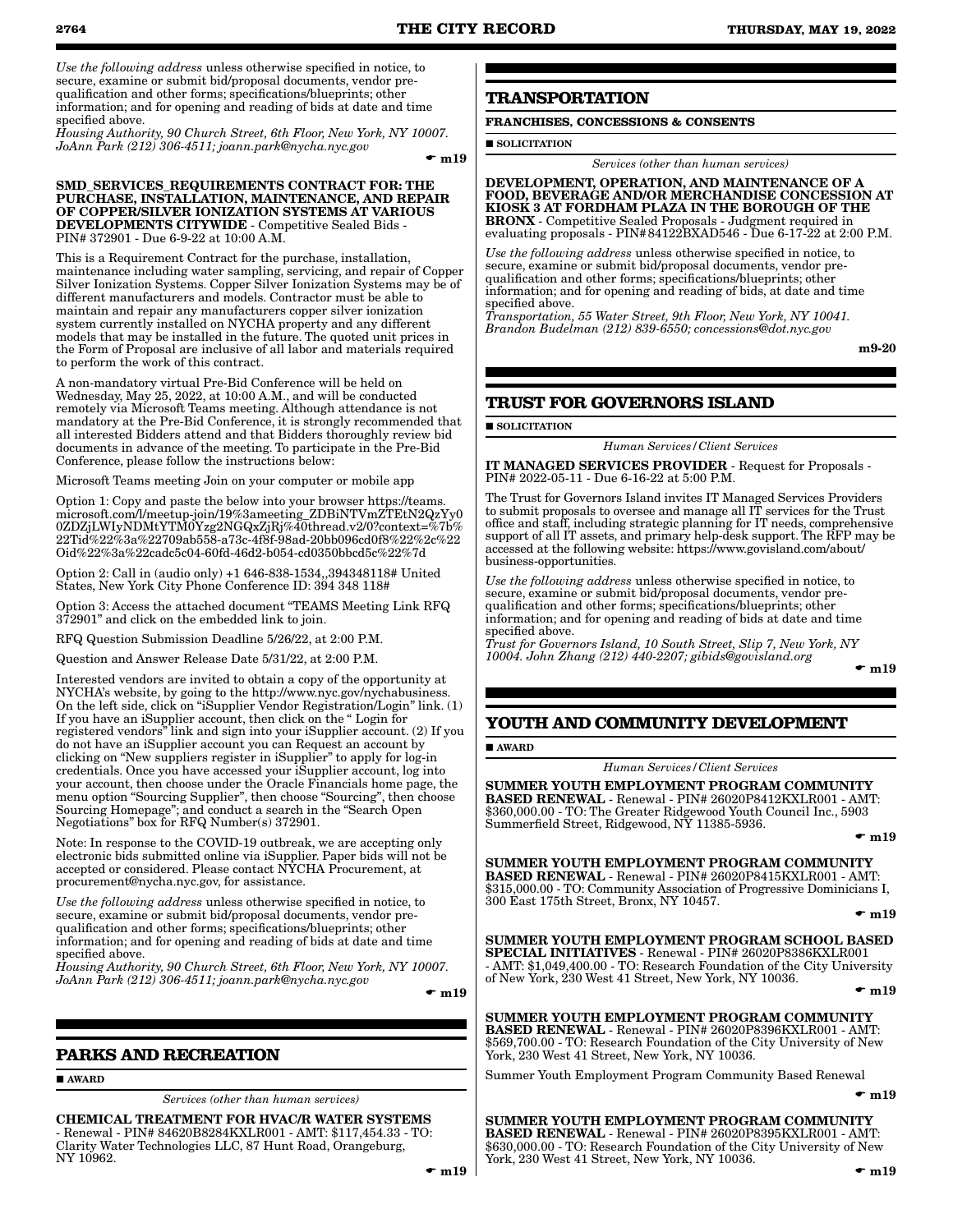*Use the following address* unless otherwise specified in notice, to secure, examine or submit bid/proposal documents, vendor prequalification and other forms; specifications/blueprints; other information; and for opening and reading of bids at date and time specified above.

*Housing Authority, 90 Church Street, 6th Floor, New York, NY 10007. JoAnn Park (212) 306-4511; joann.park@nycha.nyc.gov*

 $\bullet$  m19

#### SMD\_SERVICES\_REQUIREMENTS CONTRACT FOR: THE PURCHASE, INSTALLATION, MAINTENANCE, AND REPAIR OF COPPER/SILVER IONIZATION SYSTEMS AT VARIOUS DEVELOPMENTS CITYWIDE - Competitive Sealed Bids - PIN# 372901 - Due 6-9-22 at 10:00 A.M.

This is a Requirement Contract for the purchase, installation, maintenance including water sampling, servicing, and repair of Copper Silver Ionization Systems. Copper Silver Ionization Systems may be of different manufacturers and models. Contractor must be able to maintain and repair any manufacturers copper silver ionization system currently installed on NYCHA property and any different models that may be installed in the future. The quoted unit prices in the Form of Proposal are inclusive of all labor and materials required to perform the work of this contract.

A non-mandatory virtual Pre-Bid Conference will be held on Wednesday, May 25, 2022, at 10:00 A.M., and will be conducted remotely via Microsoft Teams meeting. Although attendance is not mandatory at the Pre-Bid Conference, it is strongly recommended that all interested Bidders attend and that Bidders thoroughly review bid documents in advance of the meeting. To participate in the Pre-Bid Conference, please follow the instructions below:

Microsoft Teams meeting Join on your computer or mobile app

Option 1: Copy and paste the below into your browser https://teams. microsoft.com/l/meetup-join/19%3ameeting\_ZDBiNTVmZTEtN2QzYy0 0ZDZjLWIyNDMtYTM0Yzg2NGQxZjRj%40thread.v2/0?context=%7b% 22Tid%22%3a%22709ab558-a73c-4f8f-98ad-20bb096cd0f8%22%2c%22 Oid%22%3a%22cadc5c04-60fd-46d2-b054-cd0350bbcd5c%22%7d

Option 2: Call in (audio only) +1 646-838-1534,,394348118# United States, New York City Phone Conference ID: 394 348 118#

Option 3: Access the attached document "TEAMS Meeting Link RFQ 372901" and click on the embedded link to join.

RFQ Question Submission Deadline 5/26/22, at 2:00 P.M.

Question and Answer Release Date 5/31/22, at 2:00 P.M.

Interested vendors are invited to obtain a copy of the opportunity at NYCHA's website, by going to the http://www.nyc.gov/nychabusiness. On the left side, click on "iSupplier Vendor Registration/Login" link. (1) If you have an iSupplier account, then click on the " Login for registered vendors" link and sign into your iSupplier account. (2) If you do not have an iSupplier account you can Request an account by clicking on "New suppliers register in iSupplier" to apply for log-in credentials. Once you have accessed your iSupplier account, log into your account, then choose under the Oracle Financials home page, the menu option "Sourcing Supplier", then choose "Sourcing", then choose Sourcing Homepage"; and conduct a search in the "Search Open Negotiations" box for RFQ Number(s) 372901.

Note: In response to the COVID-19 outbreak, we are accepting only electronic bids submitted online via iSupplier. Paper bids will not be accepted or considered. Please contact NYCHA Procurement, at procurement@nycha.nyc.gov, for assistance.

*Use the following address* unless otherwise specified in notice, to secure, examine or submit bid/proposal documents, vendor prequalification and other forms; specifications/blueprints; other information; and for opening and reading of bids at date and time specified above.

*Housing Authority, 90 Church Street, 6th Floor, New York, NY 10007. JoAnn Park (212) 306-4511; joann.park@nycha.nyc.gov*

 $\mathbf{m}$ 19

# **PARKS AND RECREATION**

AWARD

*Services (other than human services)*

CHEMICAL TREATMENT FOR HVAC/R WATER SYSTEMS - Renewal - PIN# 84620B8284KXLR001 - AMT: \$117,454.33 - TO: Clarity Water Technologies LLC, 87 Hunt Road, Orangeburg, NY 10962.

# **TRANSPORTATION**

# **FRANCHISES, CONCESSIONS & CONSENTS**

**SOLICITATION** 

*Services (other than human services)*

DEVELOPMENT, OPERATION, AND MAINTENANCE OF A FOOD, BEVERAGE AND/OR MERCHANDISE CONCESSION AT KIOSK 3 AT FORDHAM PLAZA IN THE BOROUGH OF THE BRONX - Competitive Sealed Proposals - Judgment required in evaluating proposals - PIN#84122BXAD546 - Due 6-17-22 at 2:00 P.M.

*Use the following address* unless otherwise specified in notice, to secure, examine or submit bid/proposal documents, vendor prequalification and other forms; specifications/blueprints; other information; and for opening and reading of bids, at date and time specified above.

*Transportation, 55 Water Street, 9th Floor, New York, NY 10041. Brandon Budelman (212) 839-6550; concessions@dot.nyc.gov*

m9-20

# **TRUST FOR GOVERNORS ISLAND**

**SOLICITATION** 

*Human Services/Client Services*

IT MANAGED SERVICES PROVIDER - Request for Proposals - PIN# 2022-05-11 - Due 6-16-22 at 5:00 P.M.

The Trust for Governors Island invites IT Managed Services Providers to submit proposals to oversee and manage all IT services for the Trust office and staff, including strategic planning for IT needs, comprehensive support of all IT assets, and primary help-desk support. The RFP may be accessed at the following website: https://www.govisland.com/about/ business-opportunities.

*Use the following address* unless otherwise specified in notice, to secure, examine or submit bid/proposal documents, vendor prequalification and other forms; specifications/blueprints; other information; and for opening and reading of bids at date and time specified above.

*Trust for Governors Island, 10 South Street, Slip 7, New York, NY 10004. John Zhang (212) 440-2207; gibids@govisland.org*

 $\bullet$  m19

# **YOUTH AND COMMUNITY DEVELOPMENT**

AWARD

*Human Services/Client Services*

SUMMER YOUTH EMPLOYMENT PROGRAM COMMUNITY BASED RENEWAL - Renewal - PIN# 26020P8412KXLR001 - AMT: \$360,000.00 - TO: The Greater Ridgewood Youth Council Inc., 5903 Summerfield Street, Ridgewood, NY 11385-5936.

 $\mathbf{m}$ 19

#### SUMMER YOUTH EMPLOYMENT PROGRAM COMMUNITY

BASED RENEWAL - Renewal - PIN# 26020P8415KXLR001 - AMT: \$315,000.00 - TO: Community Association of Progressive Dominicians I, 300 East 175th Street, Bronx, NY 10457.

 $\mathbf{m}$ 19

SUMMER YOUTH EMPLOYMENT PROGRAM SCHOOL BASED SPECIAL INITIATIVES - Renewal - PIN# 26020P8386KXLR001 - AMT: \$1,049,400.00 - TO: Research Foundation of the City University of New York, 230 West 41 Street, New York, NY 10036.

 $\bullet$  m19

SUMMER YOUTH EMPLOYMENT PROGRAM COMMUNITY

BASED RENEWAL - Renewal - PIN# 26020P8396KXLR001 - AMT: \$569,700.00 - TO: Research Foundation of the City University of New York, 230 West 41 Street, New York, NY 10036.

Summer Youth Employment Program Community Based Renewal

 $\mathbf{m}$ 19

SUMMER YOUTH EMPLOYMENT PROGRAM COMMUNITY BASED RENEWAL - Renewal - PIN# 26020P8395KXLR001 - AMT: \$630,000.00 - TO: Research Foundation of the City University of New York, 230 West 41 Street, New York, NY 10036.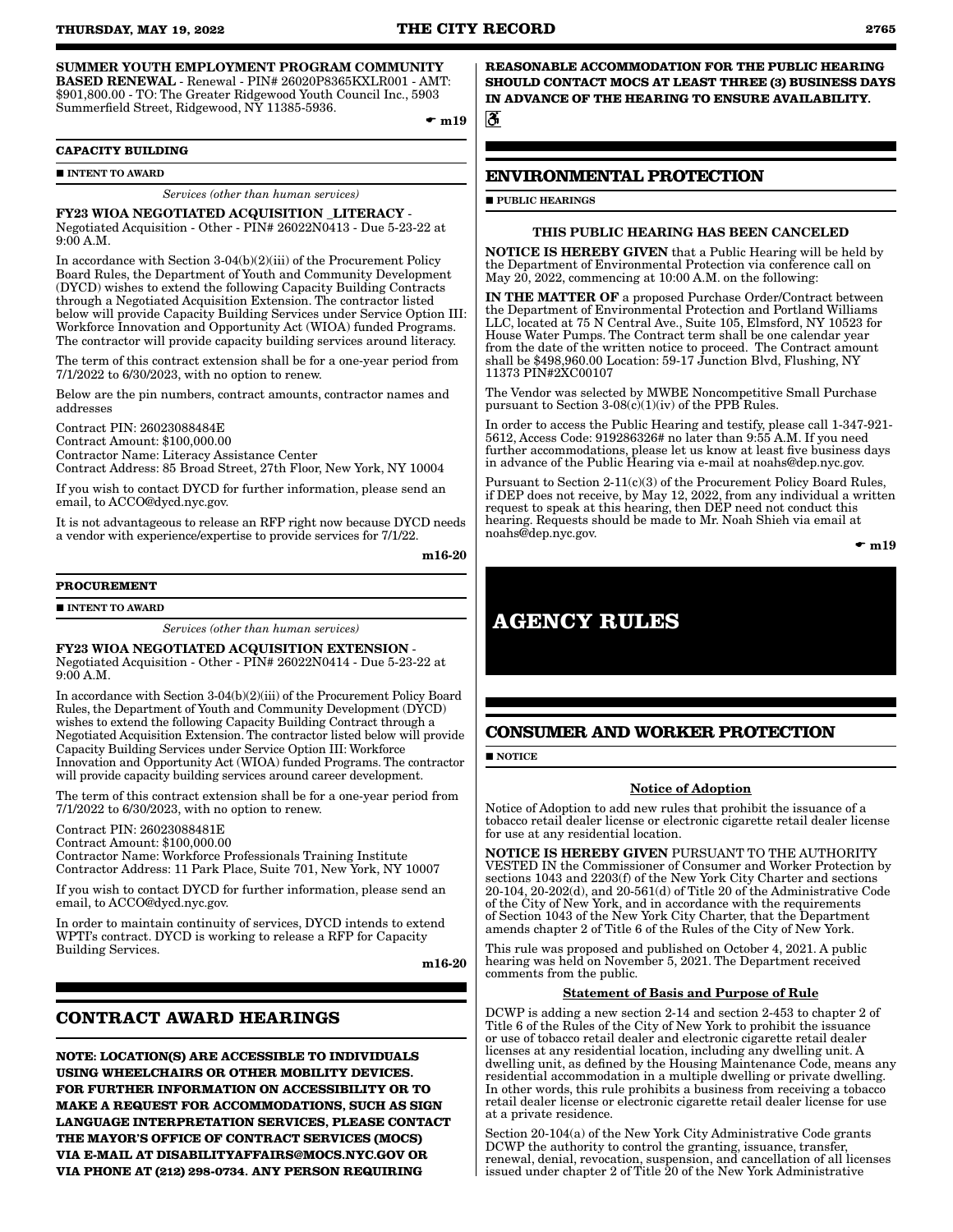#### SUMMER YOUTH EMPLOYMENT PROGRAM COMMUNITY BASED RENEWAL - Renewal - PIN# 26020P8365KXLR001 - AMT: \$901,800.00 - TO: The Greater Ridgewood Youth Council Inc., 5903 Summerfield Street, Ridgewood, NY 11385-5936.

 $\bullet$  m19

#### **CAPACITY BUILDING**

**INTENT TO AWARD** 

#### *Services (other than human services)*

#### FY23 WIOA NEGOTIATED ACQUISITION \_LITERACY -

Negotiated Acquisition - Other - PIN# 26022N0413 - Due 5-23-22 at 9:00 A.M.

In accordance with Section 3-04(b)(2)(iii) of the Procurement Policy Board Rules, the Department of Youth and Community Development (DYCD) wishes to extend the following Capacity Building Contracts through a Negotiated Acquisition Extension. The contractor listed below will provide Capacity Building Services under Service Option III: Workforce Innovation and Opportunity Act (WIOA) funded Programs. The contractor will provide capacity building services around literacy.

The term of this contract extension shall be for a one-year period from 7/1/2022 to 6/30/2023, with no option to renew.

Below are the pin numbers, contract amounts, contractor names and addresses

Contract PIN: 26023088484E Contract Amount: \$100,000.00 Contractor Name: Literacy Assistance Center Contract Address: 85 Broad Street, 27th Floor, New York, NY 10004

If you wish to contact DYCD for further information, please send an email, to ACCO@dycd.nyc.gov.

It is not advantageous to release an RFP right now because DYCD needs a vendor with experience/expertise to provide services for 7/1/22.

m16-20

#### **PROCUREMENT**

**INTENT TO AWARD** 

*Services (other than human services)*

FY23 WIOA NEGOTIATED ACQUISITION EXTENSION - Negotiated Acquisition - Other - PIN# 26022N0414 - Due 5-23-22 at 9:00 A.M.

In accordance with Section 3-04(b)(2)(iii) of the Procurement Policy Board Rules, the Department of Youth and Community Development (DYCD) wishes to extend the following Capacity Building Contract through a Negotiated Acquisition Extension. The contractor listed below will provide Capacity Building Services under Service Option III: Workforce Innovation and Opportunity Act (WIOA) funded Programs. The contractor will provide capacity building services around career development.

The term of this contract extension shall be for a one-year period from 7/1/2022 to 6/30/2023, with no option to renew.

Contract PIN: 26023088481E

Contract Amount: \$100,000.00 Contractor Name: Workforce Professionals Training Institute Contractor Address: 11 Park Place, Suite 701, New York, NY 10007

If you wish to contact DYCD for further information, please send an email, to ACCO@dycd.nyc.gov.

In order to maintain continuity of services, DYCD intends to extend WPTI's contract. DYCD is working to release a RFP for Capacity Building Services.

m16-20

# **CONTRACT AWARD HEARINGS**

**NOTE: LOCATION(S) ARE ACCESSIBLE TO INDIVIDUALS USING WHEELCHAIRS OR OTHER MOBILITY DEVICES. FOR FURTHER INFORMATION ON ACCESSIBILITY OR TO MAKE A REQUEST FOR ACCOMMODATIONS, SUCH AS SIGN LANGUAGE INTERPRETATION SERVICES, PLEASE CONTACT THE MAYOR'S OFFICE OF CONTRACT SERVICES (MOCS) VIA E-MAIL AT DISABILITYAFFAIRS@MOCS.NYC.GOV OR VIA PHONE AT (212) 298-0734. ANY PERSON REQUIRING** 

**REASONABLE ACCOMMODATION FOR THE PUBLIC HEARING SHOULD CONTACT MOCS AT LEAST THREE (3) BUSINESS DAYS IN ADVANCE OF THE HEARING TO ENSURE AVAILABILITY.**

ैं

# **ENVIRONMENTAL PROTECTION**

**PUBLIC HEARINGS** 

#### THIS PUBLIC HEARING HAS BEEN CANCELED

NOTICE IS HEREBY GIVEN that a Public Hearing will be held by the Department of Environmental Protection via conference call on May 20, 2022, commencing at 10:00 A.M. on the following:

IN THE MATTER OF a proposed Purchase Order/Contract between the Department of Environmental Protection and Portland Williams LLC, located at 75 N Central Ave., Suite 105, Elmsford, NY 10523 for House Water Pumps. The Contract term shall be one calendar year from the date of the written notice to proceed. The Contract amount shall be \$498,960.00 Location: 59-17 Junction Blvd, Flushing, NY 11373 PIN#2XC00107

The Vendor was selected by MWBE Noncompetitive Small Purchase pursuant to Section  $3-08(c)(1)(iv)$  of the PPB Rules.

In order to access the Public Hearing and testify, please call 1-347-921- 5612, Access Code: 919286326# no later than 9:55 A.M. If you need further accommodations, please let us know at least five business days in advance of the Public Hearing via e-mail at noahs@dep.nyc.gov.

Pursuant to Section 2-11(c)(3) of the Procurement Policy Board Rules, if DEP does not receive, by May 12, 2022, from any individual a written request to speak at this hearing, then DEP need not conduct this hearing. Requests should be made to Mr. Noah Shieh via email at noahs@dep.nyc.gov.

 $\bullet$  m19

# **AGENCY RULES**

# **CONSUMER AND WORKER PROTECTION**

**NOTICE** 

#### Notice of Adoption

Notice of Adoption to add new rules that prohibit the issuance of a tobacco retail dealer license or electronic cigarette retail dealer license for use at any residential location.

NOTICE IS HEREBY GIVEN PURSUANT TO THE AUTHORITY VESTED IN the Commissioner of Consumer and Worker Protection by sections 1043 and 2203(f) of the New York City Charter and sections 20-104, 20-202(d), and 20-561(d) of Title 20 of the Administrative Code of the City of New York, and in accordance with the requirements of Section 1043 of the New York City Charter, that the Department amends chapter 2 of Title 6 of the Rules of the City of New York.

This rule was proposed and published on October 4, 2021. A public hearing was held on November 5, 2021. The Department received comments from the public.

#### Statement of Basis and Purpose of Rule

DCWP is adding a new section 2-14 and section 2-453 to chapter 2 of Title 6 of the Rules of the City of New York to prohibit the issuance or use of tobacco retail dealer and electronic cigarette retail dealer licenses at any residential location, including any dwelling unit. A dwelling unit, as defined by the Housing Maintenance Code, means any residential accommodation in a multiple dwelling or private dwelling. In other words, this rule prohibits a business from receiving a tobacco retail dealer license or electronic cigarette retail dealer license for use at a private residence.

Section 20-104(a) of the New York City Administrative Code grants DCWP the authority to control the granting, issuance, transfer, renewal, denial, revocation, suspension, and cancellation of all licenses issued under chapter 2 of Title 20 of the New York Administrative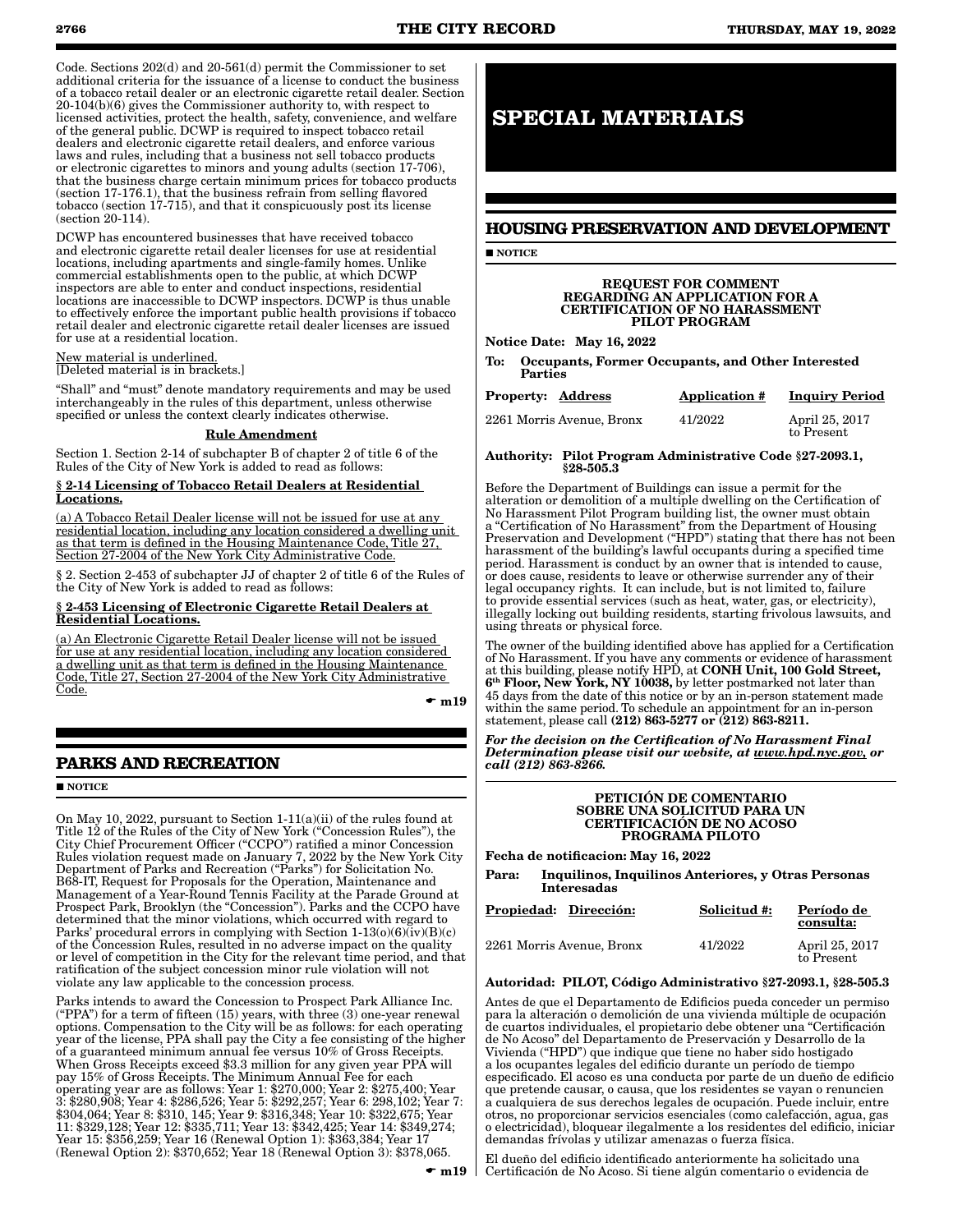Code. Sections 202(d) and 20-561(d) permit the Commissioner to set additional criteria for the issuance of a license to conduct the business of a tobacco retail dealer or an electronic cigarette retail dealer. Section 20-104(b)(6) gives the Commissioner authority to, with respect to licensed activities, protect the health, safety, convenience, and welfare of the general public. DCWP is required to inspect tobacco retail dealers and electronic cigarette retail dealers, and enforce various laws and rules, including that a business not sell tobacco products or electronic cigarettes to minors and young adults (section 17-706), that the business charge certain minimum prices for tobacco products (section 17-176.1), that the business refrain from selling flavored tobacco (section  $17-715$ ), and that it conspicuously post its license (section 20-114).

DCWP has encountered businesses that have received tobacco and electronic cigarette retail dealer licenses for use at residential locations, including apartments and single-family homes. Unlike commercial establishments open to the public, at which DCWP inspectors are able to enter and conduct inspections, residential locations are inaccessible to DCWP inspectors. DCWP is thus unable to effectively enforce the important public health provisions if tobacco retail dealer and electronic cigarette retail dealer licenses are issued for use at a residential location.

New material is underlined. [Deleted material is in brackets.]

"Shall" and "must" denote mandatory requirements and may be used interchangeably in the rules of this department, unless otherwise specified or unless the context clearly indicates otherwise.

#### Rule Amendment

Section 1. Section 2-14 of subchapter B of chapter 2 of title 6 of the Rules of the City of New York is added to read as follows:

#### § 2-14 Licensing of Tobacco Retail Dealers at Residential Locations.

(a) A Tobacco Retail Dealer license will not be issued for use at any residential location, including any location considered a dwelling unit as that term is defined in the Housing Maintenance Code, Title 27, Section 27-2004 of the New York City Administrative Code.

§ 2. Section 2-453 of subchapter JJ of chapter 2 of title 6 of the Rules of the City of New York is added to read as follows:

#### § 2-453 Licensing of Electronic Cigarette Retail Dealers at Residential Locations.

(a) An Electronic Cigarette Retail Dealer license will not be issued for use at any residential location, including any location considered a dwelling unit as that term is defined in the Housing Maintenance Code, Title 27, Section 27-2004 of the New York City Administrative Code.

 $\bullet$  m19

# **PARKS AND RECREATION**

**NOTICE** 

On May 10, 2022, pursuant to Section 1-11(a)(ii) of the rules found at Title 12 of the Rules of the City of New York ("Concession Rules"), the City Chief Procurement Officer ("CCPO") ratified a minor Concession Rules violation request made on January 7, 2022 by the New York City Department of Parks and Recreation ("Parks") for Solicitation No. B68-IT, Request for Proposals for the Operation, Maintenance and Management of a Year-Round Tennis Facility at the Parade Ground at Prospect Park, Brooklyn (the "Concession"). Parks and the CCPO have determined that the minor violations, which occurred with regard to Parks' procedural errors in complying with Section 1-13(o)(6)(iv)(B)(c) of the Concession Rules, resulted in no adverse impact on the quality or level of competition in the City for the relevant time period, and that ratification of the subject concession minor rule violation will not violate any law applicable to the concession process.

Parks intends to award the Concession to Prospect Park Alliance Inc. ("PPA") for a term of fifteen  $(15)$  years, with three  $(3)$  one-year renewal options. Compensation to the City will be as follows: for each operating year of the license, PPA shall pay the City a fee consisting of the higher of a guaranteed minimum annual fee versus 10% of Gross Receipts. When Gross Receipts exceed \$3.3 million for any given year PPA will pay 15% of Gross Receipts. The Minimum Annual Fee for each operating year are as follows: Year 1: \$270,000; Year 2: \$275,400; Year 3: \$280,908; Year 4: \$286,526; Year 5: \$292,257; Year 6: 298,102; Year 7: \$304,064; Year 8: \$310, 145; Year 9: \$316,348; Year 10: \$322,675; Year 11: \$329,128; Year 12: \$335,711; Year 13: \$342,425; Year 14: \$349,274; Year 15: \$356,259; Year 16 (Renewal Option 1): \$363,384; Year 17 (Renewal Option 2): \$370,652; Year 18 (Renewal Option 3): \$378,065.

 $\bullet$  m19  $\vert$ 

# **SPECIAL MATERIALS**

# **HOUSING PRESERVATION AND DEVELOPMENT**

**NOTICE** 

#### REQUEST FOR COMMENT REGARDING AN APPLICATION FOR A CERTIFICATION OF NO HARASSMENT PILOT PROGRAM

Notice Date: May 16, 2022

To: Occupants, Former Occupants, and Other Interested **Parties** 

| <b>Property: Address</b>  | <b>Application #</b> | <b>Inquiry Period</b>        |
|---------------------------|----------------------|------------------------------|
| 2261 Morris Avenue, Bronx | 41/2022              | April 25, 2017<br>to Present |

#### Authority: Pilot Program Administrative Code §27-2093.1, §28-505.3

Before the Department of Buildings can issue a permit for the alteration or demolition of a multiple dwelling on the Certification of No Harassment Pilot Program building list, the owner must obtain a "Certification of No Harassment" from the Department of Housing Preservation and Development ("HPD") stating that there has not been harassment of the building's lawful occupants during a specified time period. Harassment is conduct by an owner that is intended to cause, or does cause, residents to leave or otherwise surrender any of their legal occupancy rights. It can include, but is not limited to, failure to provide essential services (such as heat, water, gas, or electricity), illegally locking out building residents, starting frivolous lawsuits, and using threats or physical force.

The owner of the building identified above has applied for a Certification of No Harassment. If you have any comments or evidence of harassment at this building, please notify HPD, at CONH Unit, 100 Gold Street, 6th Floor, New York, NY 10038, by letter postmarked not later than 45 days from the date of this notice or by an in-person statement made within the same period. To schedule an appointment for an in-person statement, please call (212) 863-5277 or (212) 863-8211.

*For the decision on the Certification of No Harassment Final Determination please visit our website, at www.hpd.nyc.gov, or call (212) 863-8266.*

#### PETICIÓN DE COMENTARIO SOBRE UNA SOLICITUD PARA UN CERTIFICACIÓN DE NO ACOSO PROGRAMA PILOTO

Fecha de notificacion: May 16, 2022

Para: Inquilinos, Inquilinos Anteriores, y Otras Personas Interesadas

| Propiedad: Dirección:     | Solicitud #: | Período de<br>consulta:      |
|---------------------------|--------------|------------------------------|
| 2261 Morris Avenue, Bronx | 41/2022      | April 25, 2017<br>to Present |

# Autoridad: PILOT, Código Administrativo §27-2093.1, §28-505.3

Antes de que el Departamento de Edificios pueda conceder un permiso para la alteración o demolición de una vivienda múltiple de ocupación de cuartos individuales, el propietario debe obtener una "Certificación de No Acoso" del Departamento de Preservación y Desarrollo de la Vivienda ("HPD") que indique que tiene no haber sido hostigado a los ocupantes legales del edificio durante un período de tiempo especificado. El acoso es una conducta por parte de un dueño de edificio que pretende causar, o causa, que los residentes se vayan o renuncien a cualquiera de sus derechos legales de ocupación. Puede incluir, entre otros, no proporcionar servicios esenciales (como calefacción, agua, gas o electricidad), bloquear ilegalmente a los residentes del edificio, iniciar demandas frívolas y utilizar amenazas o fuerza física.

El dueño del edificio identificado anteriormente ha solicitado una Certificación de No Acoso. Si tiene algún comentario o evidencia de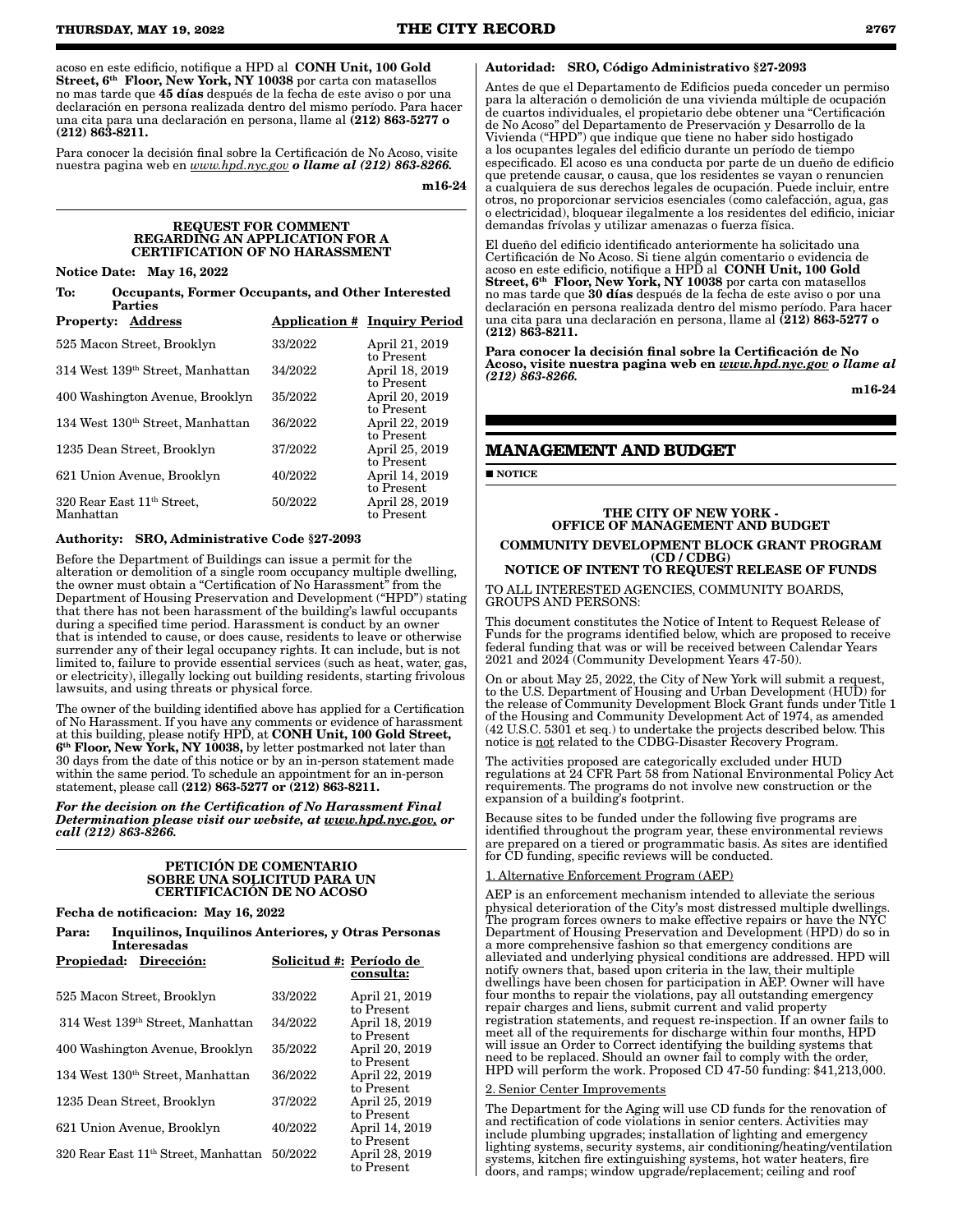acoso en este edificio, notifique a HPD al CONH Unit, 100 Gold Street, 6<sup>th</sup> Floor, New York, NY 10038 por carta con matasellos no mas tarde que 45 días después de la fecha de este aviso o por una declaración en persona realizada dentro del mismo período. Para hacer una cita para una declaración en persona, llame al (212) 863-5277 o (212) 863-8211.

Para conocer la decisión final sobre la Certificación de No Acoso, visite nuestra pagina web en *www.hpd.nyc.gov o llame al (212) 863-8266.*

m16-24

#### REQUEST FOR COMMENT REGARDING AN APPLICATION FOR A CERTIFICATION OF NO HARASSMENT

Notice Date: May 16, 2022

To: Occupants, Former Occupants, and Other Interested **Parties** 

| <b>Property: Address</b>                            |         | <b>Application # Inquiry Period</b> |
|-----------------------------------------------------|---------|-------------------------------------|
| 525 Macon Street, Brooklyn                          | 33/2022 | April 21, 2019<br>to Present        |
| 314 West 139th Street, Manhattan                    | 34/2022 | April 18, 2019<br>to Present        |
| 400 Washington Avenue, Brooklyn                     | 35/2022 | April 20, 2019<br>to Present        |
| 134 West 130 <sup>th</sup> Street, Manhattan        | 36/2022 | April 22, 2019<br>to Present        |
| 1235 Dean Street, Brooklyn                          | 37/2022 | April 25, 2019<br>to Present        |
| 621 Union Avenue, Brooklyn                          | 40/2022 | April 14, 2019<br>to Present        |
| 320 Rear East 11 <sup>th</sup> Street,<br>Manhattan | 50/2022 | April 28, 2019<br>to Present        |

#### Authority: SRO, Administrative Code §27-2093

Before the Department of Buildings can issue a permit for the alteration or demolition of a single room occupancy multiple dwelling, the owner must obtain a "Certification of No Harassment" from the Department of Housing Preservation and Development ("HPD") stating that there has not been harassment of the building's lawful occupants during a specified time period. Harassment is conduct by an owner that is intended to cause, or does cause, residents to leave or otherwise surrender any of their legal occupancy rights. It can include, but is not limited to, failure to provide essential services (such as heat, water, gas, or electricity), illegally locking out building residents, starting frivolous lawsuits, and using threats or physical force.

The owner of the building identified above has applied for a Certification of No Harassment. If you have any comments or evidence of harassment at this building, please notify HPD, at CONH Unit, 100 Gold Street, 6th Floor, New York, NY 10038, by letter postmarked not later than 30 days from the date of this notice or by an in-person statement made within the same period. To schedule an appointment for an in-person statement, please call (212) 863-5277 or (212) 863-8211.

*For the decision on the Certification of No Harassment Final Determination please visit our website, at www.hpd.nyc.gov, or call (212) 863-8266.*

#### PETICIÓN DE COMENTARIO SOBRE UNA SOLICITUD PARA UN CERTIFICACIÓN DE NO ACOSO

# Fecha de notificacion: May 16, 2022

Para: Inquilinos, Inquilinos Anteriores, y Otras Personas Interesadas

| Propiedad:<br>Dirección:                         |         | Solicitud #: Período de<br>consulta: |
|--------------------------------------------------|---------|--------------------------------------|
| 525 Macon Street, Brooklyn                       | 33/2022 | April 21, 2019<br>to Present         |
| 314 West 139th Street, Manhattan                 | 34/2022 | April 18, 2019<br>to Present         |
| 400 Washington Avenue, Brooklyn                  | 35/2022 | April 20, 2019<br>to Present         |
| 134 West 130 <sup>th</sup> Street, Manhattan     | 36/2022 | April 22, 2019<br>to Present         |
| 1235 Dean Street, Brooklyn                       | 37/2022 | April 25, 2019<br>to Present         |
| 621 Union Avenue, Brooklyn                       | 40/2022 | April 14, 2019<br>to Present         |
| 320 Rear East 11 <sup>th</sup> Street, Manhattan | 50/2022 | April 28, 2019<br>to Present         |

#### Autoridad: SRO, Código Administrativo §27-2093

Antes de que el Departamento de Edificios pueda conceder un permiso para la alteración o demolición de una vivienda múltiple de ocupación de cuartos individuales, el propietario debe obtener una "Certificación de No Acoso" del Departamento de Preservación y Desarrollo de la Vivienda ("HPD") que indique que tiene no haber sido hostigado a los ocupantes legales del edificio durante un período de tiempo especificado. El acoso es una conducta por parte de un dueño de edificio que pretende causar, o causa, que los residentes se vayan o renuncien a cualquiera de sus derechos legales de ocupación. Puede incluir, entre otros, no proporcionar servicios esenciales (como calefacción, agua, gas o electricidad), bloquear ilegalmente a los residentes del edificio, iniciar demandas frívolas y utilizar amenazas o fuerza física.

El dueño del edificio identificado anteriormente ha solicitado una Certificación de No Acoso. Si tiene algún comentario o evidencia de acoso en este edificio, notifique a HPD al CONH Unit, 100 Gold Street, 6<sup>th</sup> Floor, New York, NY 10038 por carta con matasellos no mas tarde que 30 días después de la fecha de este aviso o por una declaración en persona realizada dentro del mismo período. Para hacer una cita para una declaración en persona, llame al (212) 863-5277 o (212) 863-8211.

Para conocer la decisión final sobre la Certificación de No Acoso, visite nuestra pagina web en *www.hpd.nyc.gov o llame al (212) 863-8266.*

m16-24

# **MANAGEMENT AND BUDGET**

**NOTICE** 

#### THE CITY OF NEW YORK - OFFICE OF MANAGEMENT AND BUDGET COMMUNITY DEVELOPMENT BLOCK GRANT PROGRAM (CD / CDBG)

NOTICE OF INTENT TO REQUEST RELEASE OF FUNDS TO ALL INTERESTED AGENCIES, COMMUNITY BOARDS, GROUPS AND PERSONS:

This document constitutes the Notice of Intent to Request Release of Funds for the programs identified below, which are proposed to receive federal funding that was or will be received between Calendar Years 2021 and 2024 (Community Development Years 47-50).

On or about May 25, 2022, the City of New York will submit a request, to the U.S. Department of Housing and Urban Development (HUD) for the release of Community Development Block Grant funds under Title 1 of the Housing and Community Development Act of 1974, as amended (42 U.S.C. 5301 et seq.) to undertake the projects described below. This notice is not related to the CDBG-Disaster Recovery Program.

The activities proposed are categorically excluded under HUD regulations at 24 CFR Part 58 from National Environmental Policy Act requirements. The programs do not involve new construction or the expansion of a building's footprint.

Because sites to be funded under the following five programs are identified throughout the program year, these environmental reviews are prepared on a tiered or programmatic basis. As sites are identified for CD funding, specific reviews will be conducted.

### 1. Alternative Enforcement Program (AEP)

AEP is an enforcement mechanism intended to alleviate the serious physical deterioration of the City's most distressed multiple dwellings. The program forces owners to make effective repairs or have the NYC Department of Housing Preservation and Development (HPD) do so in a more comprehensive fashion so that emergency conditions are alleviated and underlying physical conditions are addressed. HPD will notify owners that, based upon criteria in the law, their multiple dwellings have been chosen for participation in AEP. Owner will have four months to repair the violations, pay all outstanding emergency repair charges and liens, submit current and valid property registration statements, and request re-inspection. If an owner fails to meet all of the requirements for discharge within four months, HPD will issue an Order to Correct identifying the building systems that need to be replaced. Should an owner fail to comply with the order, HPD will perform the work. Proposed CD 47-50 funding: \$41,213,000.

#### 2. Senior Center Improvements

The Department for the Aging will use CD funds for the renovation of and rectification of code violations in senior centers. Activities may include plumbing upgrades; installation of lighting and emergency lighting systems, security systems, air conditioning/heating/ventilation systems, kitchen fire extinguishing systems, hot water heaters, fire doors, and ramps; window upgrade/replacement; ceiling and roof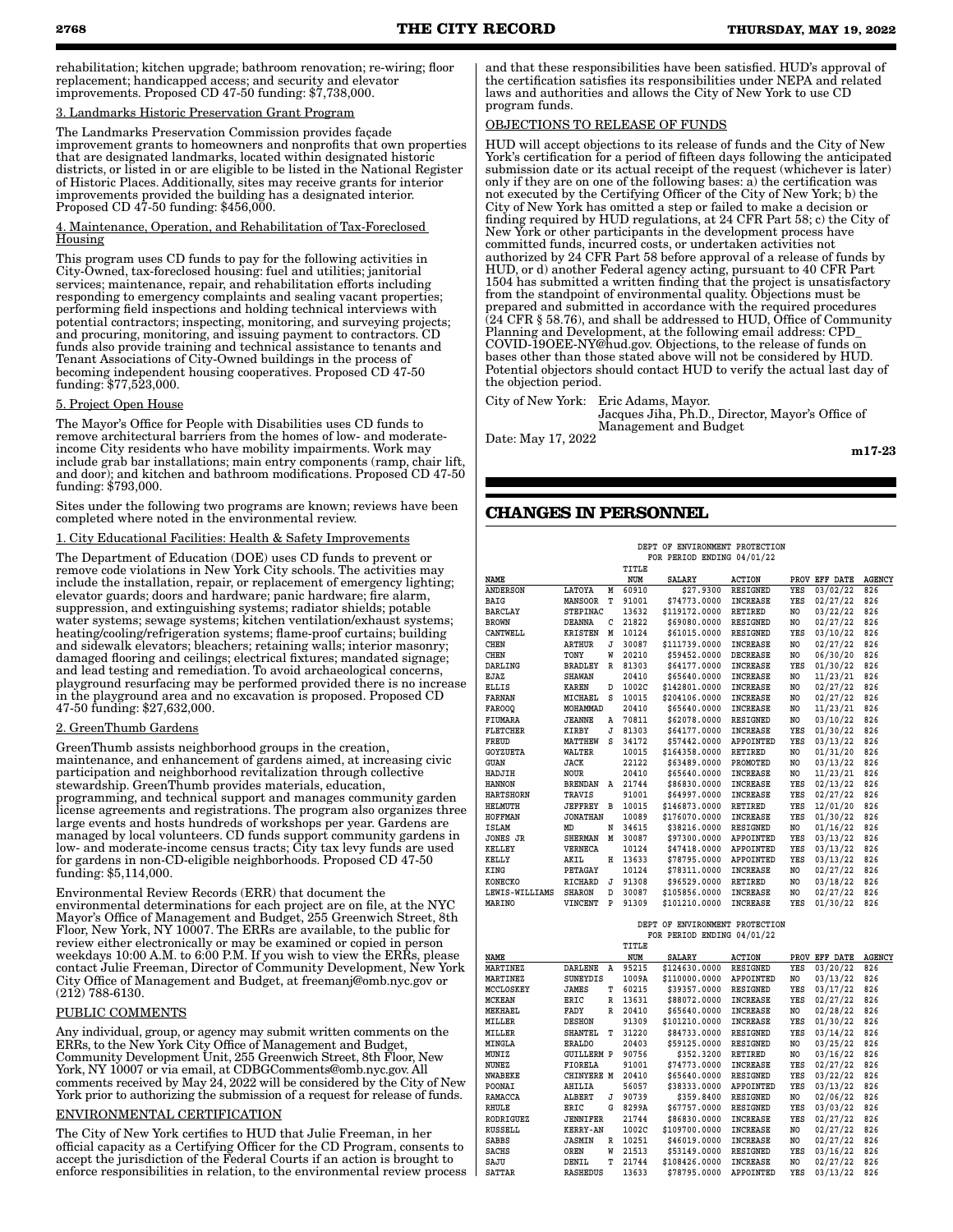rehabilitation; kitchen upgrade; bathroom renovation; re-wiring; floor replacement; handicapped access; and security and elevator improvements. Proposed CD 47-50 funding: \$7,738,000.

#### **Landmarks Historic Preservation Grant Program**

The Landmarks Preservation Commission provides façade improvement grants to homeowners and nonprofits that own properties that are designated landmarks, located within designated historic districts, or listed in or are eligible to be listed in the National Register of Historic Places. Additionally, sites may receive grants for interior improvements provided the building has a designated interior. Proposed CD 47-50 funding: \$456,000.

# Maintenance, Operation, and Rehabilitation of Tax-Foreclosed **Housing**

This program uses CD funds to pay for the following activities in City-Owned, tax-foreclosed housing: fuel and utilities; janitorial services; maintenance, repair, and rehabilitation efforts including responding to emergency complaints and sealing vacant properties; performing field inspections and holding technical interviews with potential contractors; inspecting, monitoring, and surveying projects; and procuring, monitoring, and issuing payment to contractors. CD funds also provide training and technical assistance to tenants and Tenant Associations of City-Owned buildings in the process of becoming independent housing cooperatives. Proposed CD 47-50 funding: \$77,523,000.

### 5. Project Open House

The Mayor's Office for People with Disabilities uses CD funds to remove architectural barriers from the homes of low- and moderateincome City residents who have mobility impairments. Work may include grab bar installations; main entry components (ramp, chair lift, and door); and kitchen and bathroom modifications. Proposed CD 47-50 funding: \$793,000.

Sites under the following two programs are known; reviews have been completed where noted in the environmental review.

# 1. City Educational Facilities: Health & Safety Improvements

The Department of Education (DOE) uses CD funds to prevent or remove code violations in New York City schools. The activities may include the installation, repair, or replacement of emergency lighting; elevator guards; doors and hardware; panic hardware; fire alarm, suppression, and extinguishing systems; radiator shields; potable water systems; sewage systems; kitchen ventilation/exhaust systems; heating/cooling/refrigeration systems; flame-proof curtains; building and sidewalk elevators; bleachers; retaining walls; interior masonry; damaged flooring and ceilings; electrical fixtures; mandated signage; and lead testing and remediation. To avoid archaeological concerns, playground resurfacing may be performed provided there is no increase in the playground area and no excavation is proposed. Proposed CD 47-50 funding: \$27,632,000.

#### 2. GreenThumb Gardens

GreenThumb assists neighborhood groups in the creation, maintenance, and enhancement of gardens aimed, at increasing civic participation and neighborhood revitalization through collective stewardship. GreenThumb provides materials, education, programming, and technical support and manages community garden license agreements and registrations. The program also organizes three large events and hosts hundreds of workshops per year. Gardens are managed by local volunteers. CD funds support community gardens in low- and moderate-income census tracts; City tax levy funds are used for gardens in non-CD-eligible neighborhoods. Proposed CD 47-50 funding: \$5,114,000.

Environmental Review Records (ERR) that document the environmental determinations for each project are on file, at the NYC Mayor's Office of Management and Budget, 255 Greenwich Street, 8th Floor, New York, NY 10007. The ERRs are available, to the public for review either electronically or may be examined or copied in person weekdays 10:00 A.M. to 6:00 P.M. If you wish to view the ERRs, please contact Julie Freeman, Director of Community Development, New York City Office of Management and Budget, at freemanj@omb.nyc.gov or (212) 788-6130.

#### PUBLIC COMMENTS

Any individual, group, or agency may submit written comments on the ERRs, to the New York City Office of Management and Budget, Community Development Unit, 255 Greenwich Street, 8th Floor, New York, NY 10007 or via email, at CDBGComments@omb.nyc.gov. All comments received by May 24, 2022 will be considered by the City of New York prior to authorizing the submission of a request for release of funds.

## ENVIRONMENTAL CERTIFICATION

The City of New York certifies to HUD that Julie Freeman, in her official capacity as a Certifying Officer for the CD Program, consents to accept the jurisdiction of the Federal Courts if an action is brought to enforce responsibilities in relation, to the environmental review process and that these responsibilities have been satisfied. HUD's approval of the certification satisfies its responsibilities under NEPA and related laws and authorities and allows the City of New York to use CD program funds.

# OBJECTIONS TO RELEASE OF FUNDS

HUD will accept objections to its release of funds and the City of New York's certification for a period of fifteen days following the anticipated submission date or its actual receipt of the request (whichever is later) only if they are on one of the following bases: a) the certification was not executed by the Certifying Officer of the City of New York; b) the City of New York has omitted a step or failed to make a decision or finding required by HUD regulations, at 24 CFR Part 58; c) the City of New York or other participants in the development process have committed funds, incurred costs, or undertaken activities not authorized by 24 CFR Part 58 before approval of a release of funds by HUD, or d) another Federal agency acting, pursuant to 40 CFR Part 1504 has submitted a written finding that the project is unsatisfactory from the standpoint of environmental quality. Objections must be prepared and submitted in accordance with the required procedures (24 CFR § 58.76), and shall be addressed to HUD, Office of Community Planning and Development, at the following email address: CPD\_ COVID-19OEE-NY@hud.gov. Objections, to the release of funds on bases other than those stated above will not be considered by HUD. Potential objectors should contact HUD to verify the actual last day of the objection period.

City of New York: Eric Adams, Mayor. Jacques Jiha, Ph.D., Director, Mayor's Office of Management and Budget

Date: May 17, 2022

m17-23

# **CHANGES IN PERSONNEL**

|                  | DEPT OF ENVIRONMENT PROTECTION<br>FOR PERIOD ENDING 04/01/22 |   |       |               |                  |     |               |               |
|------------------|--------------------------------------------------------------|---|-------|---------------|------------------|-----|---------------|---------------|
|                  |                                                              |   | TITLE |               |                  |     |               |               |
| <b>NAME</b>      |                                                              |   | NUM   | <b>SALARY</b> | <b>ACTION</b>    |     | PROV EFF DATE | <b>AGENCY</b> |
| <b>ANDERSON</b>  | LATOYA                                                       | M | 60910 | \$27.9300     | <b>RESIGNED</b>  | YES | 03/02/22      | 826           |
| BAIG             | <b>MANSOOR</b>                                               | T | 91001 | \$74773.0000  | <b>INCREASE</b>  | YES | 02/27/22      | 826           |
| <b>BARCLAY</b>   | <b>STEPINAC</b>                                              |   | 13632 | \$119172.0000 | <b>RETIRED</b>   | NO. | 03/22/22      | 826           |
| <b>BROWN</b>     | <b>DEANNA</b>                                                | C | 21822 | \$69080.0000  | <b>RESIGNED</b>  | NO. | 02/27/22      | 826           |
| CANTWELL         | <b>KRISTEN</b>                                               | M | 10124 | \$61015.0000  | <b>RESIGNED</b>  | YES | 03/10/22      | 826           |
| <b>CHEN</b>      |                                                              | J | 30087 |               | <b>INCREASE</b>  |     | 02/27/22      | 826           |
|                  | <b>ARTHUR</b>                                                | W |       | \$111739.0000 |                  | NO. |               |               |
| <b>CHEN</b>      | TONY                                                         |   | 20210 | \$59452.0000  | <b>DECREASE</b>  | NO. | 06/30/20      | 826           |
| DARLING          | <b>BRADLEY</b>                                               | R | 81303 | \$64177.0000  | <b>INCREASE</b>  | YES | 01/30/22      | 826           |
| <b>EJAZ</b>      | <b>SHAWAN</b>                                                |   | 20410 | \$65640.0000  | <b>INCREASE</b>  | NO. | 11/23/21      | 826           |
| <b>ELLIS</b>     | <b>KAREN</b>                                                 | D | 1002C | \$142801.0000 | <b>INCREASE</b>  | NO. | 02/27/22      | 826           |
| <b>FARNAN</b>    | MICHAEL                                                      | s | 10015 | \$204106.0000 | <b>INCREASE</b>  | NO. | 02/27/22      | 826           |
| <b>FAR000</b>    | MOHAMMAD                                                     |   | 20410 | \$65640.0000  | <b>INCREASE</b>  | NO. | 11/23/21      | 826           |
| FIUMARA          | <b>JEANNE</b>                                                | Α | 70811 | \$62078.0000  | <b>RESIGNED</b>  | NO. | 03/10/22      | 826           |
| <b>FLETCHER</b>  | <b>KIRBY</b>                                                 | J | 81303 | \$64177.0000  | <b>INCREASE</b>  | YES | 01/30/22      | 826           |
| FREUD            | <b>MATTHEW</b>                                               | s | 34172 | \$57442.0000  | APPOINTED        | YES | 03/13/22      | 826           |
| <b>GOYZUETA</b>  | <b>WALTER</b>                                                |   | 10015 | \$164358.0000 | RETIRED          | NO. | 01/31/20      | 826           |
| <b>GUAN</b>      | <b>JACK</b>                                                  |   | 22122 | \$63489.0000  | PROMOTED         | NO. | 03/13/22      | 826           |
| HADJIH           | <b>NOUR</b>                                                  |   | 20410 | \$65640.0000  | <b>INCREASE</b>  | NO. | 11/23/21      | 826           |
| <b>HANNON</b>    | <b>BRENDAN</b>                                               | Α | 21744 | \$86830.0000  | <b>INCREASE</b>  | YES | 02/13/22      | 826           |
| <b>HARTSHORN</b> | TRAVIS                                                       |   | 91001 | \$64997.0000  | <b>INCREASE</b>  | YES | 02/27/22      | 826           |
| <b>HELMUTH</b>   | <b>JEFFREY</b>                                               | в | 10015 | \$146873.0000 | <b>RETIRED</b>   | YES | 12/01/20      | 826           |
| <b>HOFFMAN</b>   | <b>JONATHAN</b>                                              |   | 10089 | \$176070.0000 | <b>INCREASE</b>  | YES | 01/30/22      | 826           |
| <b>ISLAM</b>     | MD                                                           | N | 34615 | \$38216.0000  | <b>RESIGNED</b>  | NO. | 01/16/22      | 826           |
| JONES JR         | <b>SHERMAN</b>                                               | M | 30087 | \$97300.0000  | <b>APPOINTED</b> | YES | 03/13/22      | 826           |
| <b>KELLEY</b>    | <b>VERNECA</b>                                               |   | 10124 | \$47418.0000  | APPOINTED        | YES | 03/13/22      | 826           |
| <b>KELLY</b>     | AKIL                                                         | н | 13633 | \$78795.0000  | APPOINTED        | YES | 03/13/22      | 826           |
| <b>KING</b>      | PETAGAY                                                      |   | 10124 | \$78311.0000  | <b>INCREASE</b>  | NO. | 02/27/22      | 826           |
| KONECKO          | <b>RICHARD</b>                                               | J | 91308 | \$96529.0000  | <b>RETIRED</b>   | NO. | 03/18/22      | 826           |
| LEWIS-WILLIAMS   | <b>SHARON</b>                                                | D | 30087 | \$105856.0000 | <b>INCREASE</b>  | NO. | 02/27/22      | 826           |
| <b>MARINO</b>    | VINCENT                                                      | P | 91309 | \$101210.0000 | <b>INCREASE</b>  | YES | 01/30/22      | 826           |
|                  |                                                              |   |       |               |                  |     |               |               |

 **DEPT OF ENVIRONMENT PROTECTION FOR PERIOD ENDING 04/01/22**

|                  |                   |   | TITLE |               |                 |      |          |               |
|------------------|-------------------|---|-------|---------------|-----------------|------|----------|---------------|
| NAME             |                   |   | NUM   | <b>SALARY</b> | <b>ACTION</b>   | PROV | EFF DATE | <b>AGENCY</b> |
| MARTINEZ         | <b>DARLENE</b>    | Α | 95215 | \$124630.0000 | <b>RESIGNED</b> | YES  | 03/20/22 | 826           |
| MARTINEZ         | <b>SUNEYDIS</b>   |   | 1009A | \$110000.0000 | APPOINTED       | NO   | 03/13/22 | 826           |
| MCCLOSKEY        | <b>JAMES</b>      | т | 60215 | \$39357.0000  | RESIGNED        | YES  | 03/17/22 | 826           |
| <b>MCKEAN</b>    | ERIC              | R | 13631 | \$88072.0000  | <b>INCREASE</b> | YES  | 02/27/22 | 826           |
| MEKHAEL          | FADY              | R | 20410 | \$65640.0000  | <b>INCREASE</b> | NO   | 02/28/22 | 826           |
| MILLER           | <b>DESHON</b>     |   | 91309 | \$101210.0000 | <b>INCREASE</b> | YES  | 01/30/22 | 826           |
| MILLER           | <b>SHANTEL</b>    | т | 31220 | \$84733.0000  | RESIGNED        | YES  | 03/14/22 | 826           |
| <b>MINGLA</b>    | <b>ERALDO</b>     |   | 20403 | \$59125.0000  | RESIGNED        | NO   | 03/25/22 | 826           |
| <b>MUNIZ</b>     | <b>GUILLERM P</b> |   | 90756 | \$352.3200    | RETIRED         | NO   | 03/16/22 | 826           |
| NUNEZ            | <b>FIORELA</b>    |   | 91001 | \$74773.0000  | <b>INCREASE</b> | YES  | 02/27/22 | 826           |
| NWABEKE          | <b>CHINYERE M</b> |   | 20410 | \$65640.0000  | RESIGNED        | YES  | 03/22/22 | 826           |
| POONAI           | AHILIA            |   | 56057 | \$38333.0000  | APPOINTED       | YES  | 03/13/22 | 826           |
| RAMACCA          | <b>ALBERT</b>     | J | 90739 | \$359.8400    | RESIGNED        | NO   | 02/06/22 | 826           |
| RHULE            | ERIC              | G | 8299A | \$67757.0000  | RESIGNED        | YES  | 03/03/22 | 826           |
| <b>RODRIGUEZ</b> | <b>JENNIFER</b>   |   | 21744 | \$86830,0000  | <b>INCREASE</b> | YES  | 02/27/22 | 826           |
| RUSSELL          | <b>KERRY-AN</b>   |   | 1002C | \$109700.0000 | <b>INCREASE</b> | NO   | 02/27/22 | 826           |
| <b>SABBS</b>     | <b>JASMIN</b>     | R | 10251 | \$46019,0000  | <b>INCREASE</b> | NO   | 02/27/22 | 826           |
| <b>SACHS</b>     | OREN              | W | 21513 | \$53149.0000  | RESIGNED        | YES  | 03/16/22 | 826           |
| SAJU             | DENIL             | т | 21744 | \$108426.0000 | <b>INCREASE</b> | NO   | 02/27/22 | 826           |
| <b>SATTAR</b>    | <b>RASHEDUS</b>   |   | 13633 | \$78795.0000  | APPOINTED       | YES  | 03/13/22 | 826           |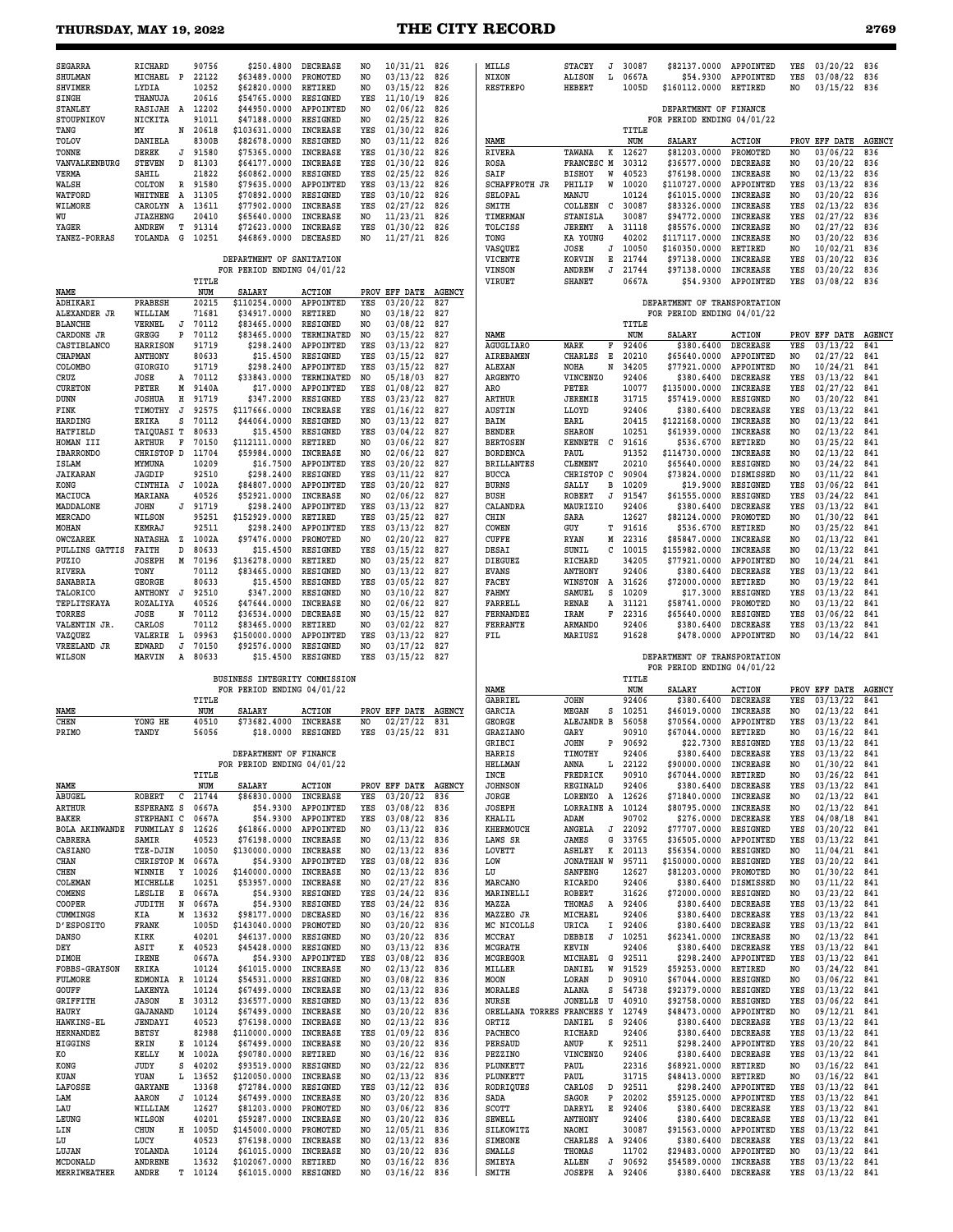# **THURSDAY, MAY 19, 2022 THE CITY RECORD 2769**

| <b>SEGARRA</b>                | RICHARD                          | 90756            | \$250.4800                    | <b>DECREASE</b>                    | NO             | 10/31/21 826                   |               | MILLS                              | <b>STACEY</b><br>J             | 30087              | \$82137.0000                  | APPOINTED                          | YES                              | 03/20/22 836              |                      |
|-------------------------------|----------------------------------|------------------|-------------------------------|------------------------------------|----------------|--------------------------------|---------------|------------------------------------|--------------------------------|--------------------|-------------------------------|------------------------------------|----------------------------------|---------------------------|----------------------|
| SHULMAN                       | MICHAEL<br>$\mathbf{P}$          | 22122            | \$63489.0000                  | PROMOTED                           | NO.            | 03/13/22                       | 826           | NIXON                              | <b>ALISON</b><br>Ŀ             | 0667A              | \$54.9300                     | APPOINTED                          | YES                              | 03/08/22                  | 836                  |
| <b>SHVIMER</b>                | LYDIA                            | 10252            | \$62820.0000                  | RETIRED                            | NO             | 03/15/22                       | 826           | <b>RESTREPO</b>                    | <b>HEBERT</b>                  | 1005D              | \$160112.0000                 | RETIRED                            | NO                               | 03/15/22                  | 836                  |
| <b>SINGH</b>                  | THANUJA                          | 20616            | \$54765.0000                  | <b>RESIGNED</b>                    | YES            | 11/10/19                       | 826           |                                    |                                |                    |                               |                                    |                                  |                           |                      |
| <b>STANLEY</b>                | RASIJAH<br>A                     | 12202            | \$44950.0000                  | APPOINTED                          | N <sub>O</sub> | 02/06/22                       | 826           |                                    |                                |                    | DEPARTMENT OF FINANCE         |                                    |                                  |                           |                      |
| STOUPNIKOV                    | NICKITA                          | 91011            | \$47188.0000                  | RESIGNED                           | NO.            | 02/25/22                       | 826           |                                    |                                |                    | FOR PERIOD ENDING 04/01/22    |                                    |                                  |                           |                      |
| TANG                          | MY<br>N                          | 20618            | \$103631.0000                 | <b>INCREASE</b>                    | YES            | 01/30/22                       | 826           |                                    |                                | TITLE              |                               |                                    |                                  |                           |                      |
| <b>TOLOV</b><br>TONNE         | DANIELA<br><b>DEREK</b><br>J     | 8300B<br>91580   | \$82678.0000<br>\$75365.0000  | RESIGNED<br><b>INCREASE</b>        | NO<br>YES      | 03/11/22<br>01/30/22           | 826<br>826    | NAME<br><b>RIVERA</b>              | TAWANA<br>к                    | NUM<br>12627       | <b>SALARY</b><br>\$81203.0000 | <b>ACTION</b><br>PROMOTED          | NO                               | PROV EFF DATE<br>03/06/22 | <b>AGENCY</b><br>836 |
| VANVALKENBURG                 | <b>STEVEN</b><br>D               | 81303            | \$64177.0000                  | <b>INCREASE</b>                    | YES            | 01/30/22                       | 826           | ROSA                               | FRANCESC M                     | 30312              | \$36577.0000                  | <b>DECREASE</b>                    | NO.                              | 03/20/22                  | 836                  |
| VERMA                         | SAHIL                            | 21822            | \$60862.0000                  | RESIGNED                           | YES            | 02/25/22                       | 826           | SAIF                               | <b>BISHOY</b><br>W             | 40523              | \$76198.0000                  | <b>INCREASE</b>                    | NO.                              | 02/13/22                  | 836                  |
| WALSH                         | COLTON<br>R                      | 91580            | \$79635.0000                  | APPOINTED                          | YES            | 03/13/22                       | 826           | SCHAFFROTH JR                      | PHILIP<br>W                    | 10020              | \$110727.0000                 | APPOINTED                          | YES                              | 03/13/22                  | 836                  |
| WATFORD                       | WHITNEE<br>A                     | 31305            | \$70892.0000                  | RESIGNED                           | YES            | 03/10/22                       | 826           | SELOPAL                            | MANJU                          | 10124              | \$61015.0000                  | <b>INCREASE</b>                    | NO                               | 03/20/22                  | 836                  |
| WILMORE                       | CAROLYN<br>A                     | 13611            | \$77902.0000                  | <b>INCREASE</b>                    | YES            | 02/27/22                       | 826           | SMITH                              | COLLEEN<br>C                   | 30087              | \$83326.0000                  | <b>INCREASE</b>                    | YES                              | 02/13/22                  | 836                  |
| WU                            | <b>JIAZHENG</b>                  | 20410            | \$65640.0000                  | <b>INCREASE</b>                    | NO.            | 11/23/21                       | 826           | TIMERMAN                           | STANISLA                       | 30087              | \$94772.0000                  | <b>INCREASE</b>                    | YES                              | 02/27/22<br>02/27/22      | 836                  |
| YAGER<br>YANEZ-PORRAS         | ANDREW<br>т<br>YOLANDA<br>G      | 91314<br>10251   | \$72623.0000<br>\$46869,0000  | <b>INCREASE</b><br><b>DECEASED</b> | YES<br>NO.     | 01/30/22<br>$11/27/21$ 826     | 826           | TOLCISS<br>TONG                    | JEREMY<br>Α<br><b>KA YOUNG</b> | 31118<br>40202     | \$85576.0000<br>\$117117.0000 | <b>INCREASE</b><br><b>INCREASE</b> | NO.<br>N <sub>O</sub>            | 03/20/22                  | 836<br>836           |
|                               |                                  |                  |                               |                                    |                |                                |               | VASQUEZ                            | JOSE<br>J                      | 10050              | \$160350.0000                 | <b>RETIRED</b>                     | NO                               | 10/02/21                  | 836                  |
|                               |                                  |                  | DEPARTMENT OF SANITATION      |                                    |                |                                |               | VICENTE                            | KORVIN<br>Е                    | 21744              | \$97138.0000                  | <b>INCREASE</b>                    | YES                              | 03/20/22                  | 836                  |
|                               |                                  |                  | FOR PERIOD ENDING 04/01/22    |                                    |                |                                |               | VINSON                             | ANDREW<br>J                    | 21744              | \$97138.0000                  | <b>INCREASE</b>                    | YES                              | 03/20/22                  | 836                  |
|                               |                                  | TITLE            |                               |                                    |                |                                |               | VIRUET                             | <b>SHANET</b>                  | 0667A              | \$54.9300                     | APPOINTED                          | YES                              | 03/08/22                  | 836                  |
| NAME                          |                                  | NUM              | <b>SALARY</b>                 | <b>ACTION</b>                      | PROV           | EFF DATE                       | <b>AGENCY</b> |                                    |                                |                    |                               |                                    |                                  |                           |                      |
| ADHIKARI                      | PRABESH                          | 20215            | \$110254.0000                 | APPOINTED                          | YES            | 03/20/22                       | 827           |                                    |                                |                    | DEPARTMENT OF TRANSPORTATION  |                                    |                                  |                           |                      |
| ALEXANDER JR                  | WILLIAM                          | 71681            | \$34917.0000                  | RETIRED                            | NO.            | 03/18/22                       | 827           |                                    |                                |                    | FOR PERIOD ENDING 04/01/22    |                                    |                                  |                           |                      |
| <b>BLANCHE</b><br>CARDONE JR  | VERNEL<br>J<br>P<br>GREGG        | 70112<br>70112   | \$83465.0000<br>\$83465.0000  | RESIGNED<br>TERMINATED             | NO.<br>NO.     | 03/08/22<br>03/15/22           | 827<br>827    | NAME                               |                                | TITLE<br>NUM       | SALARY                        | <b>ACTION</b>                      |                                  | PROV EFF DATE AGENCY      |                      |
| CASTIBLANCO                   | <b>HARRISON</b>                  | 91719            | \$298.2400                    | APPOINTED                          | YES            | 03/13/22                       | 827           | AGUGLIARO                          | MARK<br>F                      | 92406              | \$380.6400                    | <b>DECREASE</b>                    | YES                              | 03/13/22                  | 841                  |
| <b>CHAPMAN</b>                | <b>ANTHONY</b>                   | 80633            | \$15.4500                     | RESIGNED                           | YES            | 03/15/22                       | 827           | AIREBAMEN                          | <b>CHARLES</b><br>Е            | 20210              | \$65640.0000                  | APPOINTED                          | NO                               | 02/27/22                  | 841                  |
| COLOMBO                       | GIORGIO                          | 91719            | \$298.2400                    | APPOINTED                          | YES            | 03/15/22                       | 827           | <b>ALEXAN</b>                      | N<br>NOHA                      | 34205              | \$77921.0000                  | APPOINTED                          | NO.                              | 10/24/21                  | 841                  |
| CRUZ                          | JOSE<br>Α                        | 70112            | \$33843.0000                  | TERMINATED                         | NO.            | 05/18/03                       | 827           | ARGENTO                            | VINCENZO                       | 92406              | \$380.6400                    | <b>DECREASE</b>                    | YES                              | 03/13/22                  | 841                  |
| <b>CURETON</b>                | PETER<br>М                       | 9140A            | \$17.0000                     | APPOINTED                          | YES            | 01/08/22                       | 827           | ARO                                | PETER                          | 10077              | \$135000.0000                 | <b>INCREASE</b>                    | YES                              | 02/27/22                  | 841                  |
| DUNN                          | <b>JOSHUA</b><br>н               | 91719            | \$347.2000                    | <b>RESIGNED</b>                    | YES            | 03/23/22                       | 827           | <b>ARTHUR</b>                      | <b>JEREMIE</b>                 | 31715              | \$57419.0000                  | <b>RESIGNED</b>                    | NO                               | 03/20/22                  | 841                  |
| FINK                          | TIMOTHY<br>J                     | 92575            | \$117666.0000                 | <b>INCREASE</b>                    | YES            | 01/16/22                       | 827           | <b>AUSTIN</b>                      | LLOYD                          | 92406              | \$380.6400                    | <b>DECREASE</b>                    | YES                              | 03/13/22                  | 841                  |
| HARDING                       | ERIKA<br>s                       | 70112            | \$44064.0000                  | RESIGNED                           | NO.            | 03/13/22                       | 827           | BAIM                               | EARL                           | 20415              | \$122168.0000                 | <b>INCREASE</b>                    | NO                               | 02/13/22                  | 841                  |
| <b>HATFIELD</b>               | TAIQUASI T                       | 80633            | \$15.4500                     | <b>RESIGNED</b>                    | YES            | 03/04/22<br>03/06/22           | 827           | <b>BENDER</b>                      | <b>SHARON</b><br>C             | 10251<br>91616     | \$61939.0000<br>\$536.6700    | <b>INCREASE</b>                    | NO                               | 02/13/22                  | 841                  |
| HOMAN III<br><b>IBARRONDO</b> | <b>ARTHUR</b><br>F<br>CHRISTOP D | 70150<br>11704   | \$112111.0000<br>\$59984.0000 | RETIRED<br><b>INCREASE</b>         | NO<br>NO.      | 02/06/22                       | 827<br>827    | <b>BERTOSEN</b><br><b>BORDENCA</b> | <b>KENNETH</b><br>PAUL         | 91352              | \$114730.0000                 | RETIRED<br><b>INCREASE</b>         | NO<br>N <sub>O</sub>             | 03/25/22<br>02/13/22      | 841<br>841           |
| ISLAM                         | MYMUNA                           | 10209            | \$16.7500                     | APPOINTED                          | YES            | 03/20/22                       | 827           | <b>BRILLANTES</b>                  | <b>CLEMENT</b>                 | 20210              | \$65640.0000                  | RESIGNED                           | NO                               | 03/24/22                  | 841                  |
| <b><i>JAIKARAN</i></b>        | JAGDIP                           | 92510            | \$298.2400                    | RESIGNED                           | YES            | 03/11/22                       | 827           | <b>BUCCA</b>                       | CHRISTOP C                     | 90904              | \$73824.0000                  | DISMISSED                          | NO.                              | 03/11/22                  | 841                  |
| KONG                          | CINTHIA<br>J                     | 1002A            | \$84807.0000                  | APPOINTED                          | YES            | 03/20/22                       | 827           | <b>BURNS</b>                       | SALLY<br>в                     | 10209              | \$19.9000                     | RESIGNED                           | YES                              | 03/06/22                  | 841                  |
| MACIUCA                       | MARIANA                          | 40526            | \$52921.0000                  | INCREASE                           | NO             | 02/06/22                       | 827           | BUSH                               | <b>ROBERT</b><br>J             | 91547              | \$61555.0000                  | RESIGNED                           | YES                              | 03/24/22                  | 841                  |
| MADDALONE                     | <b>JOHN</b><br>J                 | 91719            | \$298.2400                    | APPOINTED                          | YES            | 03/13/22                       | 827           | CALANDRA                           | MAURIZIO                       | 92406              | \$380.6400                    | <b>DECREASE</b>                    | YES                              | 03/13/22                  | 841                  |
| <b>MERCADO</b>                | WILSON                           | 95251            | \$152929.0000                 | RETIRED                            | YES            | 03/25/22                       | 827           | CHIN                               | SARA                           | 12627              | \$82124.0000                  | PROMOTED                           | NO                               | 01/30/22                  | 841                  |
| MOHAN                         | KEMRAJ                           | 92511            | \$298.2400                    | APPOINTED                          | YES            | 03/13/22                       | 827           | COWEN                              | GUY<br>т                       | 91616              | \$536.6700                    | RETIRED                            | NO.                              | 03/25/22                  | 841                  |
| OWCZAREK                      | <b>NATASHA</b><br>z              | 1002A            | \$97476.0000                  | PROMOTED                           | NO.            | 02/20/22                       | 827           | CUFFE                              | RYAN<br>М                      | 22316              | \$85847.0000                  | <b>INCREASE</b>                    | NO                               | 02/13/22                  | 841                  |
| PULLINS GATTIS<br>PUZIO       | D<br>FAITH<br><b>JOSEPH</b><br>М | 80633<br>70196   | \$15.4500<br>\$136278.0000    | RESIGNED<br><b>RETIRED</b>         | YES<br>NO.     | 03/15/22<br>03/25/22           | 827<br>827    | DESAI<br>DIEGUEZ                   | c<br>SUNIL<br>RICHARD          | 10015<br>34205     | \$155982.0000<br>\$77921.0000 | <b>INCREASE</b><br>APPOINTED       | N <sub>O</sub><br>N <sub>O</sub> | 02/13/22<br>10/24/21      | 841<br>841           |
| RIVERA                        | TONY                             | 70112            | \$83465.0000                  | RESIGNED                           | NO.            | 03/13/22                       | 827           | <b>EVANS</b>                       | <b>ANTHONY</b>                 | 92406              | \$380.6400                    | <b>DECREASE</b>                    | YES                              | 03/13/22                  | 841                  |
| SANABRIA                      | GEORGE                           | 80633            | \$15.4500                     | RESIGNED                           | YES            | 03/05/22                       | 827           | FACEY                              | WINSTON<br>A                   | 31626              | \$72000.0000                  | RETIRED                            | NO.                              | 03/19/22                  | 841                  |
| TALORICO                      | ANTHONY<br>J                     | 92510            | \$347.2000                    | RESIGNED                           | NO             | 03/10/22                       | 827           | FAHMY                              | SAMUEL<br>s                    | 10209              | \$17.3000                     | RESIGNED                           | YES                              | 03/13/22                  | 841                  |
| TEPLITSKAYA                   | ROZALIYA                         |                  |                               |                                    |                |                                |               |                                    |                                |                    |                               |                                    |                                  |                           |                      |
|                               |                                  | 40526            | \$47644.0000                  | <b>INCREASE</b>                    | NO             | 02/06/22                       | 827           | FARRELL                            | RENAE<br>Α                     | 31121              | \$58741.0000                  | PROMOTED                           | NO                               | 03/13/22                  | 841                  |
| TORRES                        | JOSE<br>N                        | 70112            | \$36534.0000                  | <b>DECREASE</b>                    | N <sub>O</sub> | 03/15/22                       | 827           | <b>FERNANDEZ</b>                   | IRAM<br>F                      | 22316              | \$65640.0000                  | RESIGNED                           | YES                              | 03/06/22                  | 841                  |
| VALENTIN JR.                  | CARLOS                           | 70112            | \$83465.0000                  | RETIRED                            | N <sub>O</sub> | 03/02/22                       | 827           | <b>FERRANTE</b>                    | ARMANDO                        | 92406              | \$380.6400                    | <b>DECREASE</b>                    | YES                              | 03/13/22                  | 841                  |
| VAZQUEZ                       | VALERIE<br>L                     | 09963            | \$150000.0000                 | APPOINTED                          | YES            | 03/13/22                       | 827           | FIL                                | MARIUSZ                        | 91628              | \$478.0000                    | APPOINTED                          | N <sub>O</sub>                   | 03/14/22                  | 841                  |
| VREELAND JR                   | <b>EDWARD</b><br>J               | 70150            | \$92576.0000                  | RESIGNED                           | NO.            | 03/17/22                       | 827           |                                    |                                |                    |                               |                                    |                                  |                           |                      |
| WILSON                        | MARVIN<br>Α                      | 80633            | \$15,4500                     | RESIGNED                           | YES            | 03/15/22                       | 827           |                                    |                                |                    | DEPARTMENT OF TRANSPORTATION  |                                    |                                  |                           |                      |
|                               |                                  |                  | BUSINESS INTEGRITY COMMISSION |                                    |                |                                |               |                                    |                                | TITLE              | FOR PERIOD ENDING 04/01/22    |                                    |                                  |                           |                      |
|                               |                                  |                  | FOR PERIOD ENDING 04/01/22    |                                    |                |                                |               | NAME                               |                                | NUM                | SALARY                        | <b>ACTION</b>                      |                                  | PROV EFF DATE AGENCY      |                      |
|                               |                                  | TITLE            |                               |                                    |                |                                |               | <b>GABRIEL</b>                     | <b>JOHN</b>                    | 92406              | \$380.6400                    | <b>DECREASE</b>                    | YES                              | 03/13/22                  | 841                  |
| <b>NAME</b>                   |                                  | NUM              | <b>SALARY</b>                 | <b>ACTION</b>                      | PROV           | EFF DATE                       | <b>AGENCY</b> | GARCIA                             | MEGAN<br>s                     | 10251              | \$46019.0000                  | <b>INCREASE</b>                    | NO                               | 02/13/22                  | 841                  |
| <b>CHEN</b>                   | YONG HE                          | 40510            | \$73682.4000                  | INCREASE                           | NO.            | 02/27/22                       | 831           | <b>GEORGE</b>                      | ALEJANDR B                     | 56058              | \$70564.0000                  | APPOINTED                          | YES                              | 03/13/22                  | 841                  |
| PRIMO                         | TANDY                            | 56056            | \$18,0000                     | RESIGNED                           | YES            | 03/25/22                       | 831           | <b>GRAZIANO</b>                    | GARY                           | 90910              | \$67044.0000                  | <b>RETIRED</b>                     | NO.                              | 03/16/22                  | 841                  |
|                               |                                  |                  |                               |                                    |                |                                |               | GRIECI                             | $\, {\bf p}$<br>JOHN           | 90692              | \$22.7300                     | <b>RESIGNED</b>                    | YES                              | 03/13/22                  | 841                  |
|                               |                                  |                  | DEPARTMENT OF FINANCE         |                                    |                |                                |               | <b>HARRIS</b>                      | TIMOTHY                        | 92406              | \$380.6400                    | <b>DECREASE</b>                    | YES                              | 03/13/22                  | 841                  |
|                               |                                  |                  | FOR PERIOD ENDING 04/01/22    |                                    |                |                                |               | <b>HELLMAN</b>                     | ANNA<br>L                      | 22122              | \$90000.0000                  | INCREASE                           | NO                               | 01/30/22                  | 841                  |
| NAME                          |                                  | TITLE<br>NUM     | <b>SALARY</b>                 | <b>ACTION</b>                      |                | PROV EFF DATE AGENCY           |               | INCE<br><b>JOHNSON</b>             | FREDRICK<br>REGINALD           | 90910<br>92406     | \$67044.0000<br>\$380.6400    | RETIRED<br><b>DECREASE</b>         | NO<br>YES                        | 03/26/22<br>03/13/22      | 841<br>841           |
| ABUGEL                        | c<br>ROBERT                      | 21744            | \$86830.0000                  | INCREASE                           | YES            | 03/20/22                       | 836           | JORGE                              | LORENZO A                      | 12626              | \$71840.0000                  | INCREASE                           | NO.                              | $02/13/22$ 841            |                      |
| ARTHUR                        | ESPERANZ S                       | 0667A            |                               | \$54.9300 APPOINTED                | YES            | 03/08/22                       | 836           | JOSEPH                             | LORRAINE A 10124               |                    | \$80795.0000                  | INCREASE                           | NO.                              | 02/13/22                  | 841                  |
| BAKER                         | STEPHANI C                       | 0667A            | \$54.9300                     | APPOINTED                          | YES            | 03/08/22                       | 836           | KHALIL                             | ADAM                           | 90702              | \$276.0000                    | DECREASE                           | YES                              | 04/08/18                  | 841                  |
| BOLA AKINWANDE                | FUNMILAY S                       | 12626            | \$61866.0000                  | APPOINTED                          | NO             | 03/13/22 836                   |               | KHERMOUCH                          | ANGELA<br>J                    | 22092              | \$77707.0000                  | RESIGNED                           | YES                              | 03/20/22                  | 841                  |
| CABRERA                       | SAMIR                            | 40523            | \$76198.0000                  | INCREASE                           | NO             | 02/13/22                       | 836           | LAWS SR                            | JAMES<br>G                     | 33765              | \$36505.0000                  | APPOINTED                          | YES                              | 03/13/22                  | 841                  |
| CASIANO<br>CHAN               | TZE-DJIN<br>CHRISTOP M           | 10050<br>0667A   | \$130000.0000<br>\$54.9300    | INCREASE<br>APPOINTED              | NO.<br>YES     | 02/13/22<br>03/08/22 836       | 836           | LOVETT<br>LOW                      | ASHLEY<br>к<br>JONATHAN W      | 20113<br>95711     | \$56354.0000<br>\$150000.0000 | RESIGNED<br>RESIGNED               | NO<br>YES                        | 11/04/21<br>03/20/22      | 841<br>841           |
| CHEN                          | WINNIE                           | Y 10026          | \$140000.0000                 | INCREASE                           | NO.            | 02/13/22                       | 836           | LU                                 | SANFENG                        | 12627              | \$81203.0000                  | PROMOTED                           | NO                               | 01/30/22                  | 841                  |
| COLEMAN                       | MICHELLE                         | 10251            | \$53957.0000                  | INCREASE                           | NO.            | 02/27/22                       | 836           | MARCANO                            | RICARDO                        | 92406              | \$380.6400                    | DISMISSED                          | NO                               | 03/11/22                  | 841                  |
| COMENS                        | Е<br>LESLIE                      | 0667A            | \$54.9300                     | RESIGNED                           | YES            | 03/24/22                       | 836           | MARINELLI                          | <b>ROBERT</b>                  | 31626              | \$72000.0000                  | RESIGNED                           | NO.                              | 03/23/22                  | 841                  |
| COOPER                        | JUDITH<br>N                      | 0667A            | \$54.9300                     | RESIGNED                           | YES            | 03/24/22                       | 836           | MAZZA                              | THOMAS                         | A 92406            | \$380.6400                    | DECREASE                           | YES                              | 03/13/22 841              |                      |
| CUMMINGS                      | KIA<br>М                         | 13632            | \$98177.0000                  | DECEASED                           | NO.            | 03/16/22                       | 836           | MAZZEO JR                          | MICHAEL                        | 92406              | \$380.6400                    | DECREASE                           | YES                              | 03/13/22                  | 841                  |
| D'ESPOSITO                    | FRANK                            | 1005D            | \$143040.0000                 | PROMOTED                           | NO             | 03/20/22                       | 836           | MC NICOLLS                         | URICA<br>Ι.                    | 92406              | \$380.6400                    | <b>DECREASE</b>                    | YES                              | 03/13/22                  | 841                  |
| <b>DANSO</b>                  | KIRK                             | 40201            | \$46137.0000                  | RESIGNED                           | N <sub>O</sub> | 03/20/22                       | 836           | MCCRAY                             | DEBBIE<br>J                    | 10251              | \$62341.0000                  | INCREASE                           | NO                               | $02/13/22$ 841            |                      |
| DEY                           | ASIT                             | K 40523          | \$45428.0000                  | RESIGNED                           | NO             | 03/13/22                       | 836           | MCGRATH                            | KEVIN                          | 92406              | \$380.6400                    | DECREASE                           | YES                              | 03/13/22                  | 841                  |
| DIMOH<br><b>FOBBS-GRAYSON</b> | <b>IRENE</b><br>ERIKA            | 0667A<br>10124   | \$54.9300<br>\$61015.0000     | APPOINTED<br><b>INCREASE</b>       | YES<br>NO.     | 03/08/22<br>02/13/22           | 836<br>836    | <b>MCGREGOR</b><br>MILLER          | MICHAEL<br>G<br>W<br>DANIEL    | 92511<br>91529     | \$298.2400<br>\$59253.0000    | APPOINTED<br>RETIRED               | YES<br>NO                        | 03/13/22<br>03/24/22      | 841<br>841           |
| FULMORE                       | EDMONIA R 10124                  |                  | \$54531.0000                  | RESIGNED                           | NO             | 03/08/22 836                   |               | MOON                               | LORAN<br>D                     | 90910              | \$67044.0000                  | RESIGNED                           | NO                               | 03/06/22                  | 841                  |
| GOUFF                         | LAKENYA                          | 10124            | \$67499.0000                  | INCREASE                           | NO             | 02/13/22                       | 836           | MORALES                            | ALANA<br>s                     | 54738              | \$92379.0000                  | RESIGNED                           | YES                              | 03/13/22                  | 841                  |
| <b>GRIFFITH</b>               | JASON<br>Е                       | 30312            | \$36577.0000                  | RESIGNED                           | NO.            | 03/13/22                       | 836           | NURSE                              | <b>JONELLE</b><br>U            | 40910              | \$92758.0000                  | RESIGNED                           | YES                              | 03/06/22                  | 841                  |
| HAURY                         | GAJANAND                         | 10124            | \$67499.0000                  | <b>INCREASE</b>                    | NO             | 03/20/22                       | 836           | ORELLANA TORRES FRANCHES Y         |                                | 12749              | \$48473.0000                  | APPOINTED                          | NO                               | 09/12/21 841              |                      |
| HAWKINS-EL                    | JENDAYI                          | 40523            | \$76198.0000                  | INCREASE                           | NO.            | 02/13/22                       | 836           | ORTIZ                              | DANIEL<br>s                    | 92406              | \$380.6400                    | DECREASE                           | YES                              | 03/13/22                  | 841                  |
| <b>HERNANDEZ</b>              | <b>BETSY</b>                     | 82988            | \$110000.0000                 | <b>INCREASE</b>                    | YES            | 01/09/22                       | 836           | PACHECO                            | RICHARD                        | 92406              | \$380.6400                    | <b>DECREASE</b>                    | YES                              | 03/13/22                  | 841                  |
| HIGGINS                       | ERIN                             | E 10124          | \$67499.0000                  | INCREASE                           | NO.            | 03/20/22                       | 836           | PERSAUD                            | ANUP<br>K                      | 92511              | \$298.2400                    | APPOINTED                          | YES                              | 03/20/22                  | 841                  |
| КO                            | KELLY<br>М                       | 1002A            | \$90780.0000                  | RETIRED                            | NO             | 03/16/22 836                   |               | PEZZINO                            | <b>VINCENZO</b>                | 92406              | \$380.6400                    | DECREASE                           | YES                              | 03/13/22                  | 841                  |
| KONG<br>KUAN                  | JUDY<br>s<br>Ŀ                   | 40202            | \$93519.0000                  | RESIGNED                           | NO<br>NO.      | 03/22/22                       | 836<br>836    | PLUNKETT<br>PLUNKETT               | PAUL                           | 22316<br>31715     | \$68921.0000                  | RETIRED                            | NO<br>NO.                        | 03/16/22                  | 841<br>841           |
| LAFOSSE                       | YUAN<br><b>GARYANE</b>           | 13652<br>13368   | \$120050.0000<br>\$72784.0000 | INCREASE<br>RESIGNED               | YES            | 02/13/22<br>03/12/22           | 836           | RODRIQUES                          | PAUL<br>CARLOS<br>D            | 92511              | \$48413.0000<br>\$298.2400    | RETIRED<br>APPOINTED               | YES                              | 03/16/22<br>03/13/22      | 841                  |
| LAM                           | AARON                            | $J$ 10124        | \$67499.0000                  | INCREASE                           | NO.            | 03/20/22                       | 836           | SADA                               | SAGOR<br>P                     | 20202              | \$59125.0000                  | APPOINTED                          | YES                              | 03/13/22                  | 841                  |
| LAU                           | WILLIAM                          | 12627            | \$81203.0000                  | PROMOTED                           | NO.            | 03/06/22                       | 836           | SCOTT                              | Е<br>DARRYL                    | 92406              | \$380.6400                    | DECREASE                           | YES                              | 03/13/22                  | 841                  |
| LEUNG                         | WILSON                           | 40201            | \$59287.0000                  | <b>INCREASE</b>                    | NO             | 03/20/22 836                   |               | <b>SEWELL</b>                      | ANTHONY                        | 92406              | \$380.6400                    | DECREASE                           | YES                              | 03/13/22                  | 841                  |
| LIN                           | CHUN<br>н                        | 1005D            | \$145000.0000                 | PROMOTED                           | NO             | 12/05/21                       | 836           | SILKOWITZ                          | NAOMI                          | 30087              | \$91563.0000                  | APPOINTED                          | YES                              | 03/13/22                  | 841                  |
| LU                            | LUCY                             | 40523            | \$76198.0000                  | INCREASE                           | NO             | 02/13/22                       | 836           | <b>SIMEONE</b>                     | <b>CHARLES</b><br>A            | 92406              | \$380.6400                    | <b>DECREASE</b>                    | YES                              | 03/13/22                  | 841                  |
| LUJAN                         | YOLANDA                          | 10124            | \$61015.0000                  | INCREASE                           | NO             | 03/20/22 836                   |               | SMALLS                             | THOMAS                         | 11702              | \$29483.0000                  | APPOINTED                          | NO                               | 03/13/22 841              |                      |
| MCDONALD<br>MERRIWEATHER      | ANDRENE<br>ANDRE                 | 13632<br>T 10124 | \$102067.0000<br>\$61015.0000 | RETIRED<br>RESIGNED                | NO<br>NO       | 03/16/22 836<br>$03/16/22$ 836 |               | SMIEYA<br>SMITH                    | ALLEN<br>JOSEPH                | J 90692<br>A 92406 | \$54589.0000<br>\$380.6400    | INCREASE<br><b>DECREASE</b>        | YES<br>YES                       | 03/13/22 841<br>03/13/22  | 841                  |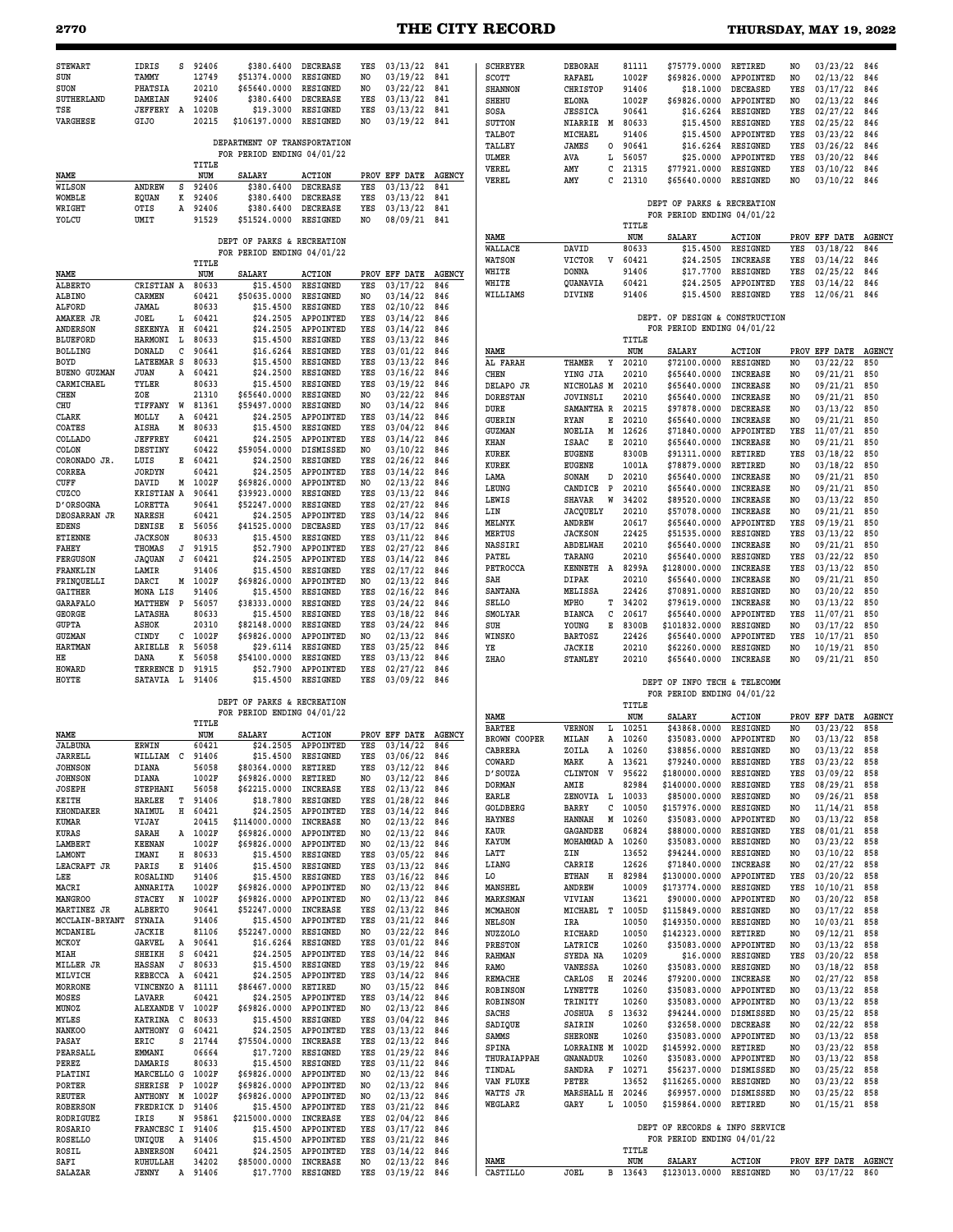# **2770 THE CITY RECORD THURSDAY, MAY 19, 2022**

| <b>STEWART</b><br>SUN<br>SUON<br>SUTHERLAND<br>TSE<br>VARGHESE | IDRIS<br>TAMMY<br>PHATSIA<br>DAMEIAN<br>JEFFERY A<br><b>GIJO</b> | s           | 92406<br>12749<br>20210<br>92406<br>1020B<br>20215 | \$380.6400<br>\$51374.0000<br>\$65640.0000<br>\$380.6400<br>\$19.3000<br>\$106197.0000<br>DEPARTMENT OF TRANSPORTATION | <b>DECREASE</b><br><b>RESIGNED</b><br>RESIGNED<br><b>DECREASE</b><br>RESIGNED<br>RESIGNED | YES<br>NO<br>NO<br>YES<br>YES<br>NO. | 03/13/22<br>03/19/22<br>03/22/22<br>03/13/22<br>03/13/22<br>03/19/22 | 841<br>841<br>841<br>841<br>841<br>841 | <b>SCHREYER</b><br>SCOTT<br><b>SHANNON</b><br>SHEHU<br>SOSA<br><b>SUTTON</b><br>TALBOT | <b>DEBORAH</b><br><b>RAFAEL</b><br><b>CHRISTOP</b><br><b>ELONA</b><br><b>JESSICA</b><br>NIARRIE<br>M<br>MICHAEL | 81111<br>1002F<br>91406<br>1002F<br>90641<br>80633<br>91406 | \$75779.0000<br>\$69826.0000<br>\$18,1000<br>\$69826.0000<br>\$16.6264<br>\$15.4500<br>\$15.4500 | RETIRED<br>APPOINTED<br><b>DECEASED</b><br>APPOINTED<br>RESIGNED<br>RESIGNED<br>APPOINTED | N <sub>O</sub><br>NO<br>YES<br>NO.<br>YES<br>YES<br>YES | 03/23/22<br>02/13/22<br>03/17/22<br>02/13/22<br>02/27/22<br>02/25/22<br>03/23/22 | 846<br>846<br>846<br>846<br>846<br>846<br>846 |
|----------------------------------------------------------------|------------------------------------------------------------------|-------------|----------------------------------------------------|------------------------------------------------------------------------------------------------------------------------|-------------------------------------------------------------------------------------------|--------------------------------------|----------------------------------------------------------------------|----------------------------------------|----------------------------------------------------------------------------------------|-----------------------------------------------------------------------------------------------------------------|-------------------------------------------------------------|--------------------------------------------------------------------------------------------------|-------------------------------------------------------------------------------------------|---------------------------------------------------------|----------------------------------------------------------------------------------|-----------------------------------------------|
|                                                                |                                                                  |             | TITLE                                              | FOR PERIOD ENDING 04/01/22                                                                                             |                                                                                           |                                      |                                                                      |                                        | TALLEY<br>ULMER<br>VEREL                                                               | <b>JAMES</b><br>0<br>AVA<br>L<br>AMY<br>с                                                                       | 90641<br>56057<br>21315                                     | \$16.6264<br>\$25,0000<br>\$77921.0000                                                           | RESIGNED<br>APPOINTED<br>RESIGNED                                                         | YES<br>YES<br>YES                                       | 03/26/22<br>03/20/22<br>03/10/22                                                 | 846<br>846<br>846                             |
| NAME<br>WILSON                                                 | ANDREW                                                           | s           | NUM<br>92406                                       | <b>SALARY</b><br>\$380.6400                                                                                            | <b>ACTION</b><br><b>DECREASE</b>                                                          | YES                                  | PROV EFF DATE<br>03/13/22                                            | <b>AGENCY</b><br>841                   | VEREL                                                                                  | AMY<br>c                                                                                                        | 21310                                                       | \$65640.0000                                                                                     | RESIGNED                                                                                  | NO                                                      | 03/10/22                                                                         | 846                                           |
| WOMBLE<br>WRIGHT<br>YOLCU                                      | <b>EQUAN</b><br>OTIS<br>UMIT                                     | к<br>А      | 92406<br>92406<br>91529                            | \$380.6400<br>\$380.6400<br>\$51524.0000                                                                               | <b>DECREASE</b><br><b>DECREASE</b><br>RESIGNED                                            | YES<br>YES<br>NO                     | 03/13/22<br>03/13/22<br>08/09/21                                     | 841<br>841<br>841                      |                                                                                        |                                                                                                                 | TITLE                                                       | DEPT OF PARKS & RECREATION<br>FOR PERIOD ENDING 04/01/22                                         |                                                                                           |                                                         |                                                                                  |                                               |
|                                                                |                                                                  |             |                                                    | DEPT OF PARKS & RECREATION                                                                                             |                                                                                           |                                      |                                                                      |                                        | NAME<br>WALLACE                                                                        | DAVID                                                                                                           | NUM<br>80633                                                | <b>SALARY</b><br>\$15,4500                                                                       | <b>ACTION</b><br>RESIGNED                                                                 | YES                                                     | PROV EFF DATE<br>03/18/22                                                        | <b>AGENCY</b><br>846                          |
|                                                                |                                                                  |             | TITLE                                              | FOR PERIOD ENDING 04/01/22                                                                                             |                                                                                           |                                      |                                                                      |                                        | WATSON<br>WHITE                                                                        | <b>VICTOR</b><br>V<br><b>DONNA</b>                                                                              | 60421<br>91406                                              | \$24.2505<br>\$17.7700                                                                           | <b>INCREASE</b><br>RESIGNED                                                               | YES<br>YES                                              | 03/14/22<br>02/25/22                                                             | 846<br>846                                    |
| NAME<br>ALBERTO                                                | CRISTIAN A                                                       |             | NUM<br>80633                                       | <b>SALARY</b><br>\$15.4500                                                                                             | <b>ACTION</b><br>RESIGNED                                                                 | YES                                  | PROV EFF DATE<br>03/17/22                                            | <b>AGENCY</b><br>846                   | WHITE<br>WILLIAMS                                                                      | QUANAVIA<br>DIVINE                                                                                              | 60421<br>91406                                              | \$24.2505<br>\$15,4500                                                                           | APPOINTED<br>RESIGNED                                                                     | YES<br>YES                                              | 03/14/22<br>12/06/21                                                             | 846<br>846                                    |
| ALBINO<br>ALFORD                                               | <b>CARMEN</b><br>JAMAL                                           |             | 60421<br>80633                                     | \$50635.0000<br>\$15,4500                                                                                              | RESIGNED<br>RESIGNED                                                                      | NO<br>YES                            | 03/14/22<br>02/10/22                                                 | 846<br>846                             |                                                                                        |                                                                                                                 |                                                             |                                                                                                  |                                                                                           |                                                         |                                                                                  |                                               |
| AMAKER JR<br>ANDERSON                                          | JOEL<br>SEKENYA                                                  | L<br>н      | 60421<br>60421                                     | \$24.2505<br>\$24.2505                                                                                                 | APPOINTED<br>APPOINTED                                                                    | YES<br>YES                           | 03/14/22<br>03/14/22                                                 | 846<br>846                             |                                                                                        |                                                                                                                 |                                                             | DEPT. OF DESIGN & CONSTRUCTION<br>FOR PERIOD ENDING 04/01/22                                     |                                                                                           |                                                         |                                                                                  |                                               |
| <b>BLUEFORD</b><br><b>BOLLING</b>                              | <b>HARMONI</b><br><b>DONALD</b>                                  | L<br>с      | 80633<br>90641                                     | \$15.4500<br>\$16.6264                                                                                                 | RESIGNED<br>RESIGNED                                                                      | YES<br>YES                           | 03/13/22<br>03/01/22                                                 | 846<br>846                             | NAME                                                                                   |                                                                                                                 | TITLE<br>NUM                                                | <b>SALARY</b>                                                                                    | <b>ACTION</b>                                                                             |                                                         | PROV EFF DATE                                                                    | <b>AGENCY</b>                                 |
| BOYD<br><b>BUENO GUZMAN</b>                                    | <b>LATEEMAR S</b><br><b>JUAN</b>                                 | Α           | 80633<br>60421                                     | \$15.4500<br>\$24.2500                                                                                                 | RESIGNED<br>RESIGNED                                                                      | YES<br>YES                           | 03/13/22<br>03/16/22                                                 | 846<br>846                             | AL FARAH<br>CHEN                                                                       | THAMER<br>Y<br>YING JIA                                                                                         | 20210<br>20210                                              | \$72100.0000<br>\$65640.0000                                                                     | <b>RESIGNED</b><br><b>INCREASE</b>                                                        | NO.<br>NO                                               | 03/22/22<br>09/21/21                                                             | 850<br>850                                    |
| CARMICHAEL<br>CHEN                                             | TYLER<br>ZOE                                                     |             | 80633<br>21310                                     | \$15.4500<br>\$65640.0000                                                                                              | <b>RESIGNED</b><br>RESIGNED                                                               | YES<br>NO                            | 03/19/22<br>03/22/22                                                 | 846<br>846                             | DELAPO JR                                                                              | NICHOLAS M                                                                                                      | 20210                                                       | \$65640.0000                                                                                     | <b>INCREASE</b>                                                                           | NO                                                      | 09/21/21                                                                         | 850                                           |
| CHU                                                            | TIFFANY                                                          | W           | 81361                                              | \$59497.0000                                                                                                           | RESIGNED                                                                                  | NO                                   | 03/14/22                                                             | 846                                    | <b>DORESTAN</b><br>DURE                                                                | <b>JOVINSLI</b><br>SAMANTHA R                                                                                   | 20210<br>20215                                              | \$65640.0000<br>\$97878.0000                                                                     | <b>INCREASE</b><br><b>DECREASE</b>                                                        | NO.<br>NO.                                              | 09/21/21<br>03/13/22                                                             | 850<br>850                                    |
| CLARK<br>COATES                                                | MOLLY<br>AISHA                                                   | Α<br>М      | 60421<br>80633                                     | \$24,2505<br>\$15.4500                                                                                                 | APPOINTED<br>RESIGNED                                                                     | YES<br>YES                           | 03/14/22<br>03/04/22                                                 | 846<br>846                             | GUERIN<br>GUZMAN                                                                       | <b>RYAN</b><br>Е<br>М<br><b>NOELIA</b>                                                                          | 20210<br>12626                                              | \$65640.0000<br>\$71840.0000                                                                     | <b>INCREASE</b><br>APPOINTED                                                              | NO<br>YES                                               | 09/21/21<br>11/07/21                                                             | 850<br>850                                    |
| COLLADO<br>COLON                                               | <b>JEFFREY</b><br>DESTINY                                        |             | 60421<br>60422                                     | \$24.2505<br>\$59054.0000                                                                                              | APPOINTED<br>DISMISSED                                                                    | YES<br>NO.                           | 03/14/22<br>03/10/22                                                 | 846<br>846                             | KHAN                                                                                   | Е<br>ISAAC                                                                                                      | 20210                                                       | \$65640.0000                                                                                     | <b>INCREASE</b>                                                                           | N <sub>O</sub>                                          | 09/21/21                                                                         | 850                                           |
| CORONADO JR.                                                   | LUIS                                                             | Е           | 60421                                              | \$24.2500                                                                                                              | RESIGNED                                                                                  | YES                                  | 02/26/22                                                             | 846                                    | KUREK<br>KUREK                                                                         | <b>EUGENE</b><br><b>EUGENE</b>                                                                                  | 8300B<br>1001A                                              | \$91311.0000<br>\$78879.0000                                                                     | RETIRED<br>RETIRED                                                                        | YES<br>NO.                                              | 03/18/22<br>03/18/22                                                             | 850<br>850                                    |
| CORREA<br>CUFF                                                 | <b>JORDYN</b><br>DAVID                                           | м           | 60421<br>1002F                                     | \$24.2505<br>\$69826.0000                                                                                              | APPOINTED<br>APPOINTED                                                                    | YES<br>NO                            | 03/14/22<br>02/13/22                                                 | 846<br>846                             | LAMA                                                                                   | SONAM<br>D                                                                                                      | 20210                                                       | \$65640.0000                                                                                     | <b>INCREASE</b>                                                                           | NO                                                      | 09/21/21                                                                         | 850                                           |
| CUZCO<br><b>D'ORSOGNA</b>                                      | <b>KRISTIAN A</b><br>LORETTA                                     |             | 90641<br>90641                                     | \$39923.0000<br>\$52247.0000                                                                                           | <b>RESIGNED</b><br>RESIGNED                                                               | YES<br>YES                           | 03/13/22<br>02/27/22                                                 | 846<br>846                             | LEUNG<br>LEWIS                                                                         | CANDICE<br>P<br><b>SHAVAR</b><br>W                                                                              | 20210<br>34202                                              | \$65640.0000<br>\$89520.0000                                                                     | <b>INCREASE</b><br><b>INCREASE</b>                                                        | NO.<br>NO                                               | 09/21/21<br>03/13/22                                                             | 850<br>850                                    |
| DEOSARRAN JR                                                   | <b>NARESH</b>                                                    |             | 60421                                              | \$24.2505                                                                                                              | APPOINTED                                                                                 | YES                                  | 03/14/22                                                             | 846                                    | LIN<br>MELNYK                                                                          | JACQUELY<br>ANDREW                                                                                              | 20210<br>20617                                              | \$57078.0000<br>\$65640.0000                                                                     | <b>INCREASE</b><br>APPOINTED                                                              | NO.<br>YES                                              | 09/21/21<br>09/19/21                                                             | 850<br>850                                    |
| <b>EDENS</b><br><b>ETIENNE</b>                                 | DENISE<br><b>JACKSON</b>                                         | Е           | 56056<br>80633                                     | \$41525.0000<br>\$15.4500                                                                                              | <b>DECEASED</b><br>RESIGNED                                                               | YES<br>YES                           | 03/17/22<br>03/11/22                                                 | 846<br>846                             | MERTUS                                                                                 | <b>JACKSON</b>                                                                                                  | 22425                                                       | \$51535.0000                                                                                     | RESIGNED                                                                                  | YES                                                     | 03/13/22                                                                         | 850                                           |
| FAHEY<br><b>FERGUSON</b>                                       | THOMAS                                                           | J<br>J      | 91915<br>60421                                     | \$52.7900<br>\$24.2505                                                                                                 | APPOINTED<br>APPOINTED                                                                    | YES<br>YES                           | 02/27/22<br>03/14/22                                                 | 846<br>846                             | NASSIRI<br>PATEL                                                                       | ABDELWAH<br>TARANG                                                                                              | 20210<br>20210                                              | \$65640.0000<br>\$65640.0000                                                                     | <b>INCREASE</b><br><b>RESIGNED</b>                                                        | N <sub>O</sub><br>YES                                   | 09/21/21<br>03/22/22                                                             | 850<br>850                                    |
| FRANKLIN                                                       | JAQUAN<br>LAMIR                                                  |             | 91406                                              | \$15.4500                                                                                                              | RESIGNED                                                                                  | YES                                  | 02/17/22                                                             | 846                                    | PETROCCA                                                                               | <b>KENNETH</b><br>A                                                                                             | 8299A                                                       | \$128000.0000                                                                                    | <b>INCREASE</b>                                                                           | YES                                                     | 03/13/22                                                                         | 850                                           |
| FRINQUELLI<br><b>GAITHER</b>                                   | DARCI<br>MONA LIS                                                | M           | 1002F<br>91406                                     | \$69826.0000<br>\$15.4500                                                                                              | APPOINTED<br>RESIGNED                                                                     | NO.<br>YES                           | 02/13/22<br>02/16/22                                                 | 846<br>846                             | SAH<br>SANTANA                                                                         | DIPAK<br>MELISSA                                                                                                | 20210<br>22426                                              | \$65640.0000<br>\$70891.0000                                                                     | <b>INCREASE</b><br>RESIGNED                                                               | NO.<br>N <sub>O</sub>                                   | 09/21/21<br>03/20/22                                                             | 850<br>850                                    |
| <b>GARAFALO</b>                                                | MATTHEW                                                          | $\mathbf P$ | 56057                                              | \$38333.0000                                                                                                           | RESIGNED                                                                                  | YES                                  | 03/24/22                                                             | 846                                    | <b>SELLO</b>                                                                           | MPHO<br>т                                                                                                       | 34202                                                       | \$79619.0000                                                                                     | <b>INCREASE</b>                                                                           | NO                                                      | 03/13/22                                                                         | 850                                           |
| GEORGE<br><b>GUPTA</b>                                         | LATASHA<br>ASHOK                                                 |             | 80633<br>20310                                     | \$15,4500<br>\$82148.0000                                                                                              | RESIGNED<br>RESIGNED                                                                      | YES<br>YES                           | 03/18/22<br>03/24/22                                                 | 846<br>846                             | <b>SMOLYAR</b><br>SUH                                                                  | с<br><b>BIANCA</b><br>Е<br>YOUNG                                                                                | 20617<br>8300B                                              | \$65640.0000<br>\$101832.0000                                                                    | APPOINTED<br>RESIGNED                                                                     | YES<br>NO                                               | 11/07/21<br>03/17/22                                                             | 850<br>850                                    |
| <b>GUZMAN</b><br><b>HARTMAN</b>                                | CINDY<br>ARIELLE                                                 | c<br>R      | 1002F<br>56058                                     | \$69826.0000<br>\$29.6114                                                                                              | APPOINTED<br>RESIGNED                                                                     | NO.<br>YES                           | 02/13/22<br>03/25/22                                                 | 846<br>846                             | WINSKO<br>ΥE                                                                           | <b>BARTOSZ</b><br><b>JACKIE</b>                                                                                 | 22426<br>20210                                              | \$65640.0000<br>\$62260.0000                                                                     | APPOINTED<br>RESIGNED                                                                     | YES<br>N <sub>O</sub>                                   | 10/17/21<br>10/19/21                                                             | 850<br>850                                    |
| HЕ                                                             | DANA                                                             | к           | 56058                                              | \$54100.0000                                                                                                           | RESIGNED                                                                                  | YES                                  | 03/13/22                                                             | 846                                    | ZHAO                                                                                   | <b>STANLEY</b>                                                                                                  | 20210                                                       | \$65640.0000                                                                                     | <b>INCREASE</b>                                                                           | N <sub>O</sub>                                          | 09/21/21                                                                         | 850                                           |
| HOWARD<br>HOYTE                                                | TERRENCE D<br>SATAVIA L                                          |             | 91915<br>91406                                     | \$52.7900<br>\$15.4500                                                                                                 | APPOINTED<br>RESIGNED                                                                     | YES<br>YES                           | 02/27/22<br>03/09/22                                                 | 846<br>846                             |                                                                                        |                                                                                                                 |                                                             | DEPT OF INFO TECH & TELECOMM<br>FOR PERIOD ENDING 04/01/22                                       |                                                                                           |                                                         |                                                                                  |                                               |
|                                                                |                                                                  |             |                                                    | DEPT OF PARKS & RECREATION<br>FOR PERIOD ENDING 04/01/22                                                               |                                                                                           |                                      |                                                                      |                                        | NAME                                                                                   |                                                                                                                 | TITLE<br>NUM                                                | <b>SALARY</b>                                                                                    | <b>ACTION</b>                                                                             |                                                         | PROV EFF DATE                                                                    | <b>AGENCY</b>                                 |
| NAME                                                           |                                                                  |             | TITLE<br>NUM                                       | <b>SALARY</b>                                                                                                          | <b>ACTION</b>                                                                             |                                      | PROV EFF DATE                                                        | <b>AGENCY</b>                          | <b>BARTEE</b>                                                                          | VERNON<br>L                                                                                                     | 10251                                                       | \$43868.0000                                                                                     | RESIGNED                                                                                  | NO                                                      | 03/23/22                                                                         | 858                                           |
| <b>JALBUNA</b>                                                 | <b>ERWIN</b>                                                     |             | 60421                                              | \$24.2505                                                                                                              | APPOINTED                                                                                 | YES                                  | 03/14/22                                                             | 846                                    | BROWN COOPER<br>CABRERA                                                                | MILAN<br>Α<br><b>7.0TT.Z</b>                                                                                    | 10260<br>10260                                              | \$35083.0000<br>\$38856.0000                                                                     | APPOINTED<br><b>RESIGNED</b>                                                              | NO<br>N <sub>O</sub>                                    | 03/13/22<br>03/13/22                                                             | 858<br>858                                    |
| JARRELL<br><b>JOHNSON</b>                                      | WILLIAM<br>DIANA                                                 | C           | 91406<br>56058                                     | \$15.4500<br>\$80364.0000                                                                                              | RESIGNED<br>RETIRED                                                                       | YES<br>YES                           | 03/06/22<br>03/12/22                                                 | 846<br>846                             | COWARD                                                                                 | MARK                                                                                                            | A 13621                                                     | \$79240.0000                                                                                     | RESIGNED                                                                                  | YES                                                     | 03/23/22                                                                         | 858                                           |
| <b>JOHNSON</b>                                                 | DIANA                                                            |             | 1002F<br>56058                                     | \$69826.0000<br>\$62215.0000                                                                                           | RETIRED<br><b>INCREASE</b>                                                                | NO                                   | 03/12/22<br>02/13/22                                                 | 846                                    | D' SOUZA<br><b>DORMAN</b>                                                              | V<br>CLINTON<br>AMIE                                                                                            | 95622<br>82984                                              | \$180000.0000<br>\$140000.0000                                                                   | RESIGNED<br>RESIGNED                                                                      | YES<br>YES                                              | 03/09/22<br>08/29/21                                                             | 858<br>858                                    |
| <b>JOSEPH</b><br>KEITH                                         | <b>STEPHANI</b><br>HARLEE                                        | т           | 91406                                              | \$18.7800                                                                                                              | RESIGNED                                                                                  | YES<br>YES                           | 01/28/22                                                             | 846<br>846                             | EARLE                                                                                  | ZENOVIA L                                                                                                       | 10033                                                       | \$85000.0000                                                                                     | RESIGNED                                                                                  | NO                                                      | 09/26/21                                                                         | 858                                           |
| <b>KHONDAKER</b><br>KUMAR                                      | NAIMUL<br>VIJAY                                                  | н           | 60421<br>20415                                     | \$24.2505<br>\$114000.0000                                                                                             | APPOINTED<br>INCREASE                                                                     | YES<br>NO.                           | 03/14/22<br>02/13/22                                                 | 846<br>846                             | GOLDBERG<br><b>HAYNES</b>                                                              | BARRY<br>с<br>М<br><b>HANNAH</b>                                                                                | 10050<br>10260                                              | \$157976.0000<br>\$35083.0000                                                                    | RESIGNED<br>APPOINTED                                                                     | NO<br>NO                                                | 11/14/21<br>03/13/22                                                             | 858<br>858                                    |
| KURAS                                                          | SARAH                                                            |             | A 1002F                                            | \$69826.0000                                                                                                           | APPOINTED                                                                                 | NO.                                  | 02/13/22                                                             | 846                                    | KAUR<br>KAYUM                                                                          | GAGANDEE<br>MOHAMMAD A                                                                                          | 06824<br>10260                                              | \$88000.0000<br>\$35083.0000                                                                     | RESIGNED<br>RESIGNED                                                                      | YES<br>NO                                               | 08/01/21<br>03/23/22                                                             | 858<br>858                                    |
| LAMBERT<br>LAMONT                                              | <b>KEENAN</b><br>IMANI                                           | н           | 1002F<br>80633                                     | \$69826.0000<br>\$15.4500                                                                                              | APPOINTED<br>RESIGNED                                                                     | N0<br>YES                            | 02/13/22<br>03/05/22                                                 | 846<br>846                             | LATT                                                                                   | ZIN                                                                                                             | 13652                                                       | \$94244.0000                                                                                     | RESIGNED                                                                                  | NO.                                                     | 03/10/22                                                                         | 858                                           |
| LEACRAFT JR<br>LEE                                             | PARIS<br>ROSALIND                                                | Е           | 91406<br>91406                                     | \$15.4500<br>\$15.4500                                                                                                 | RESIGNED<br>RESIGNED                                                                      | YES<br>YES                           | 03/13/22<br>03/16/22                                                 | 846<br>846                             | LIANG<br>L0                                                                            | CARRIE<br>ETHAN<br>н                                                                                            | 12626<br>82984                                              | \$71840.0000<br>\$130000.0000                                                                    | <b>INCREASE</b><br>APPOINTED                                                              | NO<br>YES                                               | 02/27/22<br>03/20/22                                                             | 858<br>858                                    |
| MACRI                                                          | ANNARITA                                                         |             | 1002F                                              | \$69826.0000                                                                                                           | APPOINTED                                                                                 | NO.                                  | 02/13/22                                                             | 846                                    | <b>MANSHEL</b>                                                                         | ANDREW                                                                                                          | 10009                                                       | \$173774.0000                                                                                    | RESIGNED                                                                                  | YES                                                     | 10/10/21                                                                         | 858                                           |
| <b>MANGROO</b><br>MARTINEZ JR                                  | <b>STACEY</b><br>ALBERTO                                         | N           | 1002F<br>90641                                     | \$69826.0000<br>\$52247.0000                                                                                           | APPOINTED<br>INCREASE                                                                     | NO.<br>YES                           | 02/13/22<br>02/13/22                                                 | 846<br>846                             | <b>MARKSMAN</b><br>MCMAHON                                                             | VIVIAN<br>MICHAEL<br>т                                                                                          | 13621<br>1005D                                              | \$90000.0000<br>\$115849.0000                                                                    | APPOINTED<br>RESIGNED                                                                     | NO.<br>NO                                               | 03/20/22<br>03/17/22                                                             | 858<br>858                                    |
| MCCLAIN-BRYANT<br>MCDANIEL                                     | SYNAIA<br><b>JACKIE</b>                                          |             | 91406<br>81106                                     | \$15.4500<br>\$52247.0000                                                                                              | APPOINTED<br>RESIGNED                                                                     | YES<br>NO.                           | 03/21/22<br>03/22/22                                                 | 846<br>846                             | <b>NELSON</b>                                                                          | IRA                                                                                                             | 10050                                                       | \$149350.0000                                                                                    | RESIGNED                                                                                  | NO                                                      | 10/03/21                                                                         | 858                                           |
| MCKOY                                                          | GARVEL                                                           | A           | 90641                                              | \$16.6264                                                                                                              | RESIGNED                                                                                  | YES                                  | 03/01/22                                                             | 846                                    | NUZZOLO<br>PRESTON                                                                     | RICHARD<br>LATRICE                                                                                              | 10050<br>10260                                              | \$142323.0000<br>\$35083.0000                                                                    | RETIRED<br>APPOINTED                                                                      | NO<br>NO.                                               | 09/12/21<br>03/13/22                                                             | 858<br>858                                    |
| MIAH<br>MILLER JR                                              | SHEIKH<br><b>HASSAN</b>                                          | s<br>J      | 60421<br>80633                                     | \$24.2505<br>\$15.4500                                                                                                 | APPOINTED<br>RESIGNED                                                                     | YES<br>YES                           | 03/14/22<br>03/19/22                                                 | 846<br>846                             | <b>RAHMAN</b><br>RAMO                                                                  | SYEDA NA<br>VANESSA                                                                                             | 10209<br>10260                                              | \$16.0000<br>\$35083.0000                                                                        | RESIGNED<br>RESIGNED                                                                      | YES<br>NO                                               | 03/20/22<br>03/18/22                                                             | 858<br>858                                    |
| MILVICH<br>MORRONE                                             | REBECCA<br>VINCENZO A                                            | A           | 60421<br>81111                                     | \$24.2505<br>\$86467.0000                                                                                              | APPOINTED<br>RETIRED                                                                      | YES<br>NO                            | 03/14/22<br>03/15/22                                                 | 846<br>846                             | REMACHE                                                                                | CARLOS<br>н                                                                                                     | 20246                                                       | \$79200.0000                                                                                     | <b>INCREASE</b>                                                                           | NO.                                                     | 02/27/22                                                                         | 858                                           |
| MOSES                                                          | LAVARR                                                           |             | 60421                                              | \$24.2505                                                                                                              | APPOINTED                                                                                 | YES                                  | 03/14/22                                                             | 846                                    | <b>ROBINSON</b><br><b>ROBINSON</b>                                                     | LYNETTE<br>TRINITY                                                                                              | 10260<br>10260                                              | \$35083.0000<br>\$35083.0000                                                                     | APPOINTED<br>APPOINTED                                                                    | NO<br>NO.                                               | 03/13/22<br>03/13/22                                                             | 858<br>858                                    |
| MUNOZ<br>MYLES                                                 | ALEXANDE V<br>KATRINA C                                          |             | 1002F<br>80633                                     | \$69826.0000<br>\$15.4500                                                                                              | APPOINTED<br>RESIGNED                                                                     | NO<br>YES                            | 02/13/22<br>03/04/22                                                 | 846<br>846                             | SACHS                                                                                  | <b>JOSHUA</b><br>s                                                                                              | 13632                                                       | \$94244.0000                                                                                     | DISMISSED                                                                                 | NO                                                      | 03/25/22                                                                         | 858                                           |
| <b>NANKOO</b>                                                  | ANTHONY G                                                        |             | 60421                                              | \$24.2505                                                                                                              | APPOINTED                                                                                 | YES                                  | 03/13/22                                                             | 846                                    | SADIQUE<br>SAMMS                                                                       | SAIRIN<br><b>SHERONE</b>                                                                                        | 10260<br>10260                                              | \$32658.0000<br>\$35083.0000                                                                     | <b>DECREASE</b><br>APPOINTED                                                              | NO.<br>NO                                               | 02/22/22<br>03/13/22                                                             | 858<br>858                                    |
| PASAY<br>PEARSALL                                              | ERIC<br>EMMANI                                                   | s           | 21744<br>06664                                     | \$75504.0000<br>\$17.7200                                                                                              | <b>INCREASE</b><br>RESIGNED                                                               | YES<br>YES                           | 02/13/22<br>01/29/22                                                 | 846<br>846                             | SPINA<br>THURAIAPPAH                                                                   | LORRAINE M 1002D<br>GNANADUR                                                                                    | 10260                                                       | \$145992.0000<br>\$35083.0000                                                                    | RETIRED<br>APPOINTED                                                                      | NO<br>NO                                                | 03/23/22<br>03/13/22                                                             | 858<br>858                                    |
| PEREZ<br>PLATINI                                               | DAMARIS<br>MARCELLO G                                            |             | 80633<br>1002F                                     | \$15.4500<br>\$69826.0000                                                                                              | RESIGNED<br>APPOINTED                                                                     | YES<br>NO.                           | 03/11/22<br>02/13/22                                                 | 846<br>846                             | TINDAL                                                                                 | SANDRA<br>F                                                                                                     | 10271                                                       | \$56237.0000                                                                                     | DISMISSED                                                                                 | NO                                                      | 03/25/22                                                                         | 858                                           |
| PORTER                                                         | SHERISE P                                                        |             | 1002F                                              | \$69826.0000                                                                                                           | APPOINTED                                                                                 | NO.                                  | 02/13/22                                                             | 846                                    | VAN FLUKE<br>WATTS JR                                                                  | PETER<br>MARSHALL H                                                                                             | 13652<br>20246                                              | \$116265.0000<br>\$69957.0000                                                                    | RESIGNED<br>DISMISSED                                                                     | NO.<br>NO                                               | 03/23/22<br>03/25/22                                                             | 858<br>858                                    |
| REUTER<br><b>ROBERSON</b>                                      | ANTHONY M<br>FREDRICK D                                          |             | 1002F<br>91406                                     | \$69826.0000<br>\$15.4500                                                                                              | APPOINTED<br>APPOINTED                                                                    | NO<br>YES                            | 02/13/22<br>03/21/22                                                 | 846<br>846                             | WEGLARZ                                                                                | GARY<br>Ŀ                                                                                                       | 10050                                                       | \$159864.0000                                                                                    | RETIRED                                                                                   | NO.                                                     | 01/15/21                                                                         | 858                                           |
| RODRIGUEZ<br>ROSARIO                                           | IRIS<br>FRANCESC I                                               | N           | 95861<br>91406                                     | \$215000.0000<br>\$15.4500                                                                                             | INCREASE<br>APPOINTED                                                                     | YES<br>YES                           | 02/04/22<br>03/17/22                                                 | 846<br>846                             |                                                                                        |                                                                                                                 |                                                             | DEPT OF RECORDS & INFO SERVICE                                                                   |                                                                                           |                                                         |                                                                                  |                                               |
| <b>ROSELLO</b>                                                 | UNIQUE                                                           | A           | 91406                                              | \$15.4500                                                                                                              | APPOINTED                                                                                 | YES                                  | 03/21/22                                                             | 846                                    |                                                                                        |                                                                                                                 |                                                             | FOR PERIOD ENDING 04/01/22                                                                       |                                                                                           |                                                         |                                                                                  |                                               |
| ROSIL<br>SAFI                                                  | <b>ABNERSON</b><br>RUHULLAH                                      |             | 60421<br>34202                                     | \$24.2505<br>\$85000.0000                                                                                              | APPOINTED<br>INCREASE                                                                     | YES<br>NO                            | 03/14/22<br>02/13/22                                                 | 846<br>846                             | NAME                                                                                   |                                                                                                                 | TITLE<br>NUM                                                | SALARY                                                                                           | <b>ACTION</b>                                                                             |                                                         | PROV EFF DATE                                                                    | <b>AGENCY</b>                                 |
| SALAZAR                                                        | <b>JENNY</b>                                                     |             | A 91406                                            | \$17.7700                                                                                                              | <b>RESIGNED</b>                                                                           | YES                                  | 03/19/22                                                             | 846                                    | CASTILLO                                                                               | JOEL<br>в                                                                                                       | 13643                                                       | \$123013.0000                                                                                    | RESIGNED                                                                                  | NO                                                      | $03/17/22$ 860                                                                   |                                               |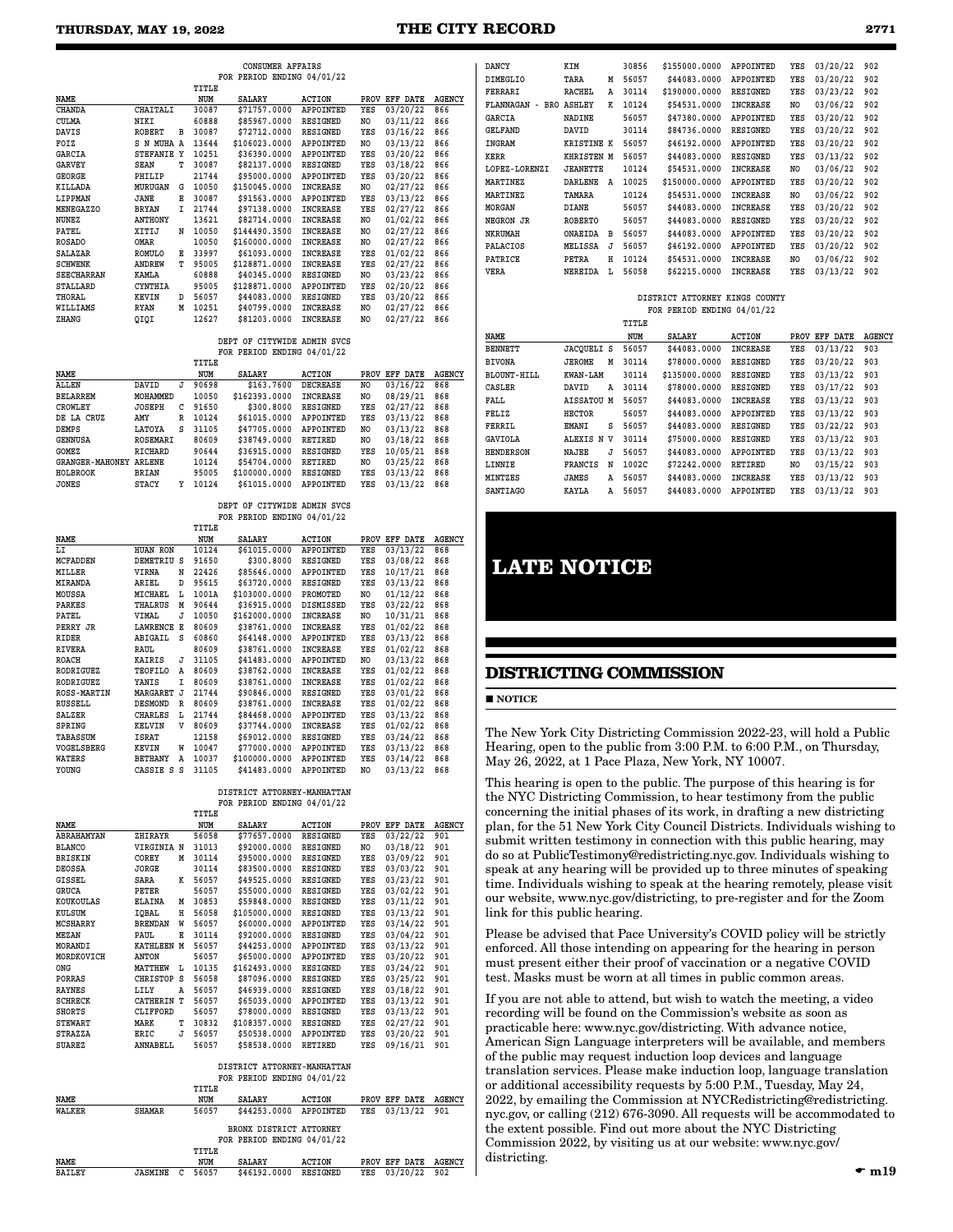# **THURSDAY, MAY 19, 2022 THE CITY RECORD 2771**

|                   |                 |   |       | FOR PERIOD ENDING 04/01/22 |                 |      |          |               |
|-------------------|-----------------|---|-------|----------------------------|-----------------|------|----------|---------------|
|                   |                 |   | TITLE |                            |                 |      |          |               |
| NAME              |                 |   | NUM   | <b>SALARY</b>              | <b>ACTION</b>   | PROV | EFF DATE | <b>AGENCY</b> |
| <b>CHANDA</b>     | <b>CHAITALI</b> |   | 30087 | \$71757.0000               | APPOINTED       | YES  | 03/20/22 | 866           |
| <b>CULMA</b>      | NIKI            |   | 60888 | \$85967.0000               | RESIGNED        | NO   | 03/11/22 | 866           |
| <b>DAVIS</b>      | <b>ROBERT</b>   | в | 30087 | \$72712.0000               | RESIGNED        | YES  | 03/16/22 | 866           |
| FOIZ              | S N MUHA A      |   | 13644 | \$106023.0000              | APPOINTED       | NO   | 03/13/22 | 866           |
| <b>GARCIA</b>     | STEFANIE Y      |   | 10251 | \$36390.0000               | APPOINTED       | YES  | 03/20/22 | 866           |
| <b>GARVEY</b>     | <b>SEAN</b>     | T | 30087 | \$82137.0000               | RESIGNED        | YES  | 03/18/22 | 866           |
| <b>GEORGE</b>     | PHILIP          |   | 21744 | \$95000.0000               | APPOINTED       | YES  | 03/20/22 | 866           |
| KILLADA           | MURUGAN         | G | 10050 | \$150045.0000              | <b>INCREASE</b> | NO   | 02/27/22 | 866           |
| LIPPMAN           | JANE            | E | 30087 | \$91563.0000               | APPOINTED       | YES  | 03/13/22 | 866           |
| MENEGAZZO         | <b>BRYAN</b>    | I | 21744 | \$97138.0000               | <b>INCREASE</b> | YES  | 02/27/22 | 866           |
| NUNEZ             | <b>ANTHONY</b>  |   | 13621 | \$82714.0000               | <b>INCREASE</b> | NO   | 01/02/22 | 866           |
| PATEL             | XITIJ           | N | 10050 | \$144490.3500              | <b>INCREASE</b> | NO.  | 02/27/22 | 866           |
| <b>ROSADO</b>     | OMAR            |   | 10050 | \$160000.0000              | <b>INCREASE</b> | NO   | 02/27/22 | 866           |
| <b>SALAZAR</b>    | <b>ROMULO</b>   | Е | 33997 | \$61093.0000               | <b>INCREASE</b> | YES  | 01/02/22 | 866           |
| <b>SCHWENK</b>    | <b>ANDREW</b>   | T | 95005 | \$128871.0000              | <b>INCREASE</b> | YES  | 02/27/22 | 866           |
| <b>SEECHARRAN</b> | KAMLA           |   | 60888 | \$40345.0000               | RESIGNED        | NO   | 03/23/22 | 866           |
| <b>STALLARD</b>   | <b>CYNTHIA</b>  |   | 95005 | \$128871.0000              | APPOINTED       | YES  | 02/20/22 | 866           |
| THORAL            | KEVIN           | D | 56057 | \$44083.0000               | RESIGNED        | YES  | 03/20/22 | 866           |
| WILLIAMS          | <b>RYAN</b>     | M | 10251 | \$40799.0000               | <b>INCREASE</b> | NO   | 02/27/22 | 866           |
| ZHANG             | QIQI            |   | 12627 | \$81203.0000               | <b>INCREASE</b> | NO   | 02/27/22 | 866           |
|                   |                 |   |       |                            |                 |      |          |               |

 **CONSUMER AFFAIRS**

#### **DEPT OF CITYWIDE ADMIN SVCS FOR PERIOD ENDING 04/01/22**

|                        |                 |   | TITLE |               |                  |      |             |        |
|------------------------|-----------------|---|-------|---------------|------------------|------|-------------|--------|
| <b>NAME</b>            |                 |   | NUM   | SALARY        | <b>ACTION</b>    | PROV | DATE<br>EFF | AGENCY |
| <b>ALLEN</b>           | DAVID           | J | 90698 | \$163,7600    | <b>DECREASE</b>  | NO   | 03/16/22    | 868    |
| <b>BELARREM</b>        | MOHAMMED        |   | 10050 | \$162393.0000 | <b>INCREASE</b>  | NO   | 08/29/21    | 868    |
| <b>CROWLEY</b>         | <b>JOSEPH</b>   | c | 91650 | \$300,8000    | RESIGNED         | YES  | 02/27/22    | 868    |
| DE LA CRUZ             | AMY             | R | 10124 | \$61015.0000  | <b>APPOINTED</b> | YES  | 03/13/22    | 868    |
| <b>DEMPS</b>           | LATOYA          | s | 31105 | \$47705.0000  | <b>APPOINTED</b> | NO.  | 03/13/22    | 868    |
| <b>GENNUSA</b>         | <b>ROSEMARI</b> |   | 80609 | \$38749.0000  | <b>RETIRED</b>   | NO.  | 03/18/22    | 868    |
| <b>GOMEZ</b>           | <b>RICHARD</b>  |   | 90644 | \$36915.0000  | <b>RESIGNED</b>  | YES  | 10/05/21    | 868    |
| <b>GRANGER-MAHONEY</b> | <b>ARLENE</b>   |   | 10124 | \$54704.0000  | <b>RETIRED</b>   | NO   | 03/25/22    | 868    |
| HOLBROOK               | <b>BRIAN</b>    |   | 95005 | \$100000.0000 | <b>RESIGNED</b>  | YES  | 03/13/22    | 868    |
| <b>JONES</b>           | <b>STACY</b>    | γ | 10124 | \$61015.0000  | <b>APPOINTED</b> | YES  | 03/13/22    | 868    |

#### **DEPT OF CITYWIDE ADMIN SVCS FOR PERIOD ENDING 04/01/22**

|                    |                 |   | TITLE |               |                  |      |          |               |
|--------------------|-----------------|---|-------|---------------|------------------|------|----------|---------------|
| NAME               |                 |   | NUM   | <b>SALARY</b> | <b>ACTION</b>    | PROV | EFF DATE | <b>AGENCY</b> |
| LI                 | <b>HUAN RON</b> |   | 10124 | \$61015.0000  | APPOINTED        | YES  | 03/13/22 | 868           |
| <b>MCFADDEN</b>    | DEMETRIU        | s | 91650 | \$300.8000    | <b>RESIGNED</b>  | YES  | 03/08/22 | 868           |
| MILLER             | VIRNA           | N | 22426 | \$85646.0000  | APPOINTED        | YES  | 10/17/21 | 868           |
| MIRANDA            | ARIEL           | D | 95615 | \$63720.0000  | RESIGNED         | YES  | 03/13/22 | 868           |
| MOUSSA             | MICHAEL         | L | 1001A | \$103000.0000 | PROMOTED         | NO   | 01/12/22 | 868           |
| <b>PARKES</b>      | <b>THALRUS</b>  | M | 90644 | \$36915.0000  | <b>DISMISSED</b> | YES  | 03/22/22 | 868           |
| PATEL              | VIMAL           | J | 10050 | \$162000.0000 | <b>INCREASE</b>  | NO   | 10/31/21 | 868           |
| PERRY JR           | <b>LAWRENCE</b> | E | 80609 | \$38761.0000  | <b>INCREASE</b>  | YES  | 01/02/22 | 868           |
| RIDER              | ABIGAIL         | s | 60860 | \$64148.0000  | APPOINTED        | YES  | 03/13/22 | 868           |
| <b>RIVERA</b>      | RAUL            |   | 80609 | \$38761.0000  | <b>INCREASE</b>  | YES  | 01/02/22 | 868           |
| ROACH              | <b>KAIRIS</b>   | J | 31105 | \$41483.0000  | APPOINTED        | NO   | 03/13/22 | 868           |
| <b>RODRIGUEZ</b>   | <b>TEOFILO</b>  | A | 80609 | \$38762.0000  | <b>INCREASE</b>  | YES  | 01/02/22 | 868           |
| <b>RODRIGUEZ</b>   | YANIS           | I | 80609 | \$38761.0000  | <b>INCREASE</b>  | YES  | 01/02/22 | 868           |
| <b>ROSS-MARTIN</b> | MARGARET        | J | 21744 | \$90846.0000  | <b>RESIGNED</b>  | YES  | 03/01/22 | 868           |
| <b>RUSSELL</b>     | <b>DESMOND</b>  | R | 80609 | \$38761.0000  | <b>INCREASE</b>  | YES  | 01/02/22 | 868           |
| SALZER             | <b>CHARLES</b>  | L | 21744 | \$84468.0000  | APPOINTED        | YES  | 03/13/22 | 868           |
| SPRING             | <b>KELVIN</b>   | v | 80609 | \$37744.0000  | <b>INCREASE</b>  | YES  | 01/02/22 | 868           |
| TABASSUM           | ISRAT           |   | 12158 | \$69012.0000  | <b>RESIGNED</b>  | YES  | 03/24/22 | 868           |
| VOGELSBERG         | KEVIN           | W | 10047 | \$77000.0000  | APPOINTED        | YES  | 03/13/22 | 868           |
| WATERS             | <b>BETHANY</b>  | Α | 10037 | \$100000.0000 | APPOINTED        | YES  | 03/14/22 | 868           |
| YOUNG              | CASSIE S        | s | 31105 | \$41483.0000  | APPOINTED        | NO   | 03/13/22 | 868           |

#### **DISTRICT ATTORNEY-MANHATTAN FOR PERIOD ENDING 04/01/22**

|                   |                   |   | TITLE |               |                 |      |          |               |
|-------------------|-------------------|---|-------|---------------|-----------------|------|----------|---------------|
| NAME              |                   |   | NUM   | <b>SALARY</b> | <b>ACTION</b>   | PROV | EFF DATE | <b>AGENCY</b> |
| <b>ABRAHAMYAN</b> | ZHIRAYR           |   | 56058 | \$77657.0000  | <b>RESIGNED</b> | YES  | 03/22/22 | 901           |
| <b>BLANCO</b>     | VIRGINIA N        |   | 31013 | \$92000.0000  | <b>RESIGNED</b> | NO   | 03/18/22 | 901           |
| <b>BRISKIN</b>    | COREY             | M | 30114 | \$95000.0000  | <b>RESIGNED</b> | YES  | 03/09/22 | 901           |
| <b>DEOSSA</b>     | <b>JORGE</b>      |   | 30114 | \$83500.0000  | <b>RESIGNED</b> | YES  | 03/03/22 | 901           |
| GISSEL            | SARA              | к | 56057 | \$49525.0000  | <b>RESIGNED</b> | YES  | 03/23/22 | 901           |
| <b>GRUCA</b>      | PETER             |   | 56057 | \$55000.0000  | <b>RESIGNED</b> | YES  | 03/02/22 | 901           |
| KOUKOULAS         | <b>ELAINA</b>     | М | 30853 | \$59848.0000  | RESIGNED        | YES  | 03/11/22 | 901           |
| KULSUM            | IQBAL             | н | 56058 | \$105000.0000 | RESIGNED        | YES  | 03/13/22 | 901           |
| <b>MCSHARRY</b>   | <b>BRENDAN</b>    | W | 56057 | \$60000.0000  | APPOINTED       | YES  | 03/14/22 | 901           |
| MEZAN             | PAUL              | Е | 30114 | \$92000.0000  | RESIGNED        | YES  | 03/04/22 | 901           |
| MORANDI           | <b>KATHLEEN M</b> |   | 56057 | \$44253.0000  | APPOINTED       | YES  | 03/13/22 | 901           |
| MORDKOVICH        | <b>ANTON</b>      |   | 56057 | \$65000.0000  | APPOINTED       | YES  | 03/20/22 | 901           |
| ONG               | MATTHEW           | L | 10135 | \$162493.0000 | RESIGNED        | YES  | 03/24/22 | 901           |
| PORRAS            | CHRISTOP          | s | 56058 | \$87096.0000  | <b>RESIGNED</b> | YES  | 03/25/22 | 901           |
| <b>RAYNES</b>     | LILY              | Α | 56057 | \$46939,0000  | <b>RESIGNED</b> | YES  | 03/18/22 | 901           |
| <b>SCHRECK</b>    | <b>CATHERIN T</b> |   | 56057 | \$65039.0000  | APPOINTED       | YES  | 03/13/22 | 901           |
| <b>SHORTS</b>     | <b>CLIFFORD</b>   |   | 56057 | \$78000.0000  | <b>RESIGNED</b> | YES  | 03/13/22 | 901           |
| <b>STEWART</b>    | MARK              | т | 30832 | \$108357.0000 | <b>RESIGNED</b> | YES  | 02/27/22 | 901           |
| <b>STRAZZA</b>    | ERIC              | J | 56057 | \$50538.0000  | APPOINTED       | YES  | 03/20/22 | 901           |
| <b>SUAREZ</b>     | <b>ANNABELL</b>   |   | 56057 | \$58538.0000  | <b>RETIRED</b>  | YES  | 09/16/21 | 901           |

#### **DISTRICT ATTORNEY-MANHATTAN FOR PERIOD ENDING 04/01/22**

|                |                |        | TITLE |                            |                 |     |               |               |
|----------------|----------------|--------|-------|----------------------------|-----------------|-----|---------------|---------------|
| NAME           |                |        | NUM   | <b>SALARY</b>              | ACTION          |     | PROV EFF DATE | AGENCY        |
| WALKER         | <b>SHAMAR</b>  |        | 56057 | \$44253.0000               | APPOINTED       | YES | 03/13/22 901  |               |
|                |                |        |       | BRONX DISTRICT ATTORNEY    |                 |     |               |               |
|                |                |        |       | FOR PERIOD ENDING 04/01/22 |                 |     |               |               |
|                |                |        | TITLE |                            |                 |     |               |               |
| NAME           |                |        | NUM   | <b>SALARY</b>              | ACTION          |     | PROV EFF DATE | <b>AGENCY</b> |
| <b>RATT.RV</b> | <b>JASMINE</b> | $\sim$ | 56057 | <b>\$46192 0000</b>        | <b>RESTONED</b> | VRS | 03/20/22      | 902           |

| <b>DANCY</b>         | KIM               |   | 30856 | \$155000.0000 | <b>APPOINTED</b> | YES | 03/20/22 | 902 |
|----------------------|-------------------|---|-------|---------------|------------------|-----|----------|-----|
| <b>DIMEGLIO</b>      | TARA              | M | 56057 | \$44083,0000  | APPOINTED        | YES | 03/20/22 | 902 |
| FERRARI              | <b>RACHEL</b>     | A | 30114 | \$190000.0000 | <b>RESIGNED</b>  | YES | 03/23/22 | 902 |
| FLANNAGAN<br>$-$ BRO | <b>ASHLEY</b>     | K | 10124 | \$54531.0000  | <b>INCREASE</b>  | NO  | 03/06/22 | 902 |
| <b>GARCIA</b>        | <b>NADINE</b>     |   | 56057 | \$47380,0000  | APPOINTED        | YES | 03/20/22 | 902 |
| <b>GELFAND</b>       | DAVID             |   | 30114 | \$84736.0000  | <b>RESIGNED</b>  | YES | 03/20/22 | 902 |
| INGRAM               | <b>KRISTINE K</b> |   | 56057 | \$46192.0000  | APPOINTED        | YES | 03/20/22 | 902 |
| <b>KERR</b>          | <b>KHRISTEN M</b> |   | 56057 | \$44083,0000  | <b>RESIGNED</b>  | YES | 03/13/22 | 902 |
| LOPEZ-LORENZI        | <b>JEANETTE</b>   |   | 10124 | \$54531.0000  | <b>INCREASE</b>  | NO  | 03/06/22 | 902 |
| <b>MARTINEZ</b>      | <b>DARLENE</b>    | A | 10025 | \$150000.0000 | APPOINTED        | YES | 03/20/22 | 902 |
| MARTINEZ             | TAMARA            |   | 10124 | \$54531.0000  | <b>INCREASE</b>  | NO  | 03/06/22 | 902 |
| <b>MORGAN</b>        | <b>DIANE</b>      |   | 56057 | \$44083,0000  | <b>INCREASE</b>  | YES | 03/20/22 | 902 |
| NEGRON JR            | <b>ROBERTO</b>    |   | 56057 | \$44083,0000  | <b>RESIGNED</b>  | YES | 03/20/22 | 902 |
| <b>NKRUMAH</b>       | ONAEIDA           | в | 56057 | \$44083,0000  | APPOINTED        | YES | 03/20/22 | 902 |
| PALACIOS             | MELISSA           | J | 56057 | \$46192,0000  | APPOINTED        | YES | 03/20/22 | 902 |
| PATRICE              | PETRA             | н | 10124 | \$54531.0000  | <b>INCREASE</b>  | NO  | 03/06/22 | 902 |
| <b>VERA</b>          | <b>NEREIDA</b>    | L | 56058 | \$62215.0000  | <b>INCREASE</b>  | YES | 03/13/22 | 902 |
|                      |                   |   |       |               |                  |     |          |     |

#### **DISTRICT ATTORNEY KINGS COUNTY FOR PERIOD ENDING 04/01/22**

|                    |                 |   | TITLE |               |                  |             |             |               |
|--------------------|-----------------|---|-------|---------------|------------------|-------------|-------------|---------------|
| NAME               |                 |   | NUM   | <b>SALARY</b> | <b>ACTION</b>    | <b>PROV</b> | DATE<br>EFF | <b>AGENCY</b> |
| <b>BENNETT</b>     | JACOUELI        | s | 56057 | \$44083,0000  | <b>INCREASE</b>  | YES         | 03/13/22    | 903           |
| <b>BIVONA</b>      | JEROME          | М | 30114 | \$78000.0000  | <b>RESIGNED</b>  | YES         | 03/20/22    | 903           |
| <b>BLOUNT-HILL</b> | KWAN-LAM        |   | 30114 | \$135000.0000 | <b>RESIGNED</b>  | YES         | 03/13/22    | 903           |
| CASLER             | DAVID           | A | 30114 | \$78000.0000  | <b>RESIGNED</b>  | YES         | 03/17/22    | 903           |
| FALL               | <b>AISSATOU</b> | M | 56057 | \$44083,0000  | <b>INCREASE</b>  | YES         | 03/13/22    | 903           |
| FELIZ              | <b>HECTOR</b>   |   | 56057 | \$44083,0000  | APPOINTED        | YES         | 03/13/22    | 903           |
| FERRIL             | EMANI           | s | 56057 | \$44083.0000  | RESIGNED         | YES         | 03/22/22    | 903           |
| <b>GAVIOLA</b>     | ALEXIS N        | v | 30114 | \$75000.0000  | <b>RESIGNED</b>  | YES         | 03/13/22    | 903           |
| <b>HENDERSON</b>   | NAJEE           | J | 56057 | \$44083,0000  | <b>APPOINTED</b> | YES         | 03/13/22    | 903           |
| LINNIE             | FRANCIS         | N | 1002C | \$72242.0000  | RETIRED          | NO.         | 03/15/22    | 903           |
| MINTZES            | JAMES           | A | 56057 | \$44083,0000  | <b>INCREASE</b>  | YES         | 03/13/22    | 903           |
| <b>SANTIAGO</b>    | <b>KAYLA</b>    | Α | 56057 | \$44083,0000  | APPOINTED        | YES         | 03/13/22    | 903           |

# **LATE NOTICE**

# **DISTRICTING COMMISSION**

**NOTICE** 

The New York City Districting Commission 2022-23, will hold a Public Hearing, open to the public from 3:00 P.M. to 6:00 P.M., on Thursday, May 26, 2022, at 1 Pace Plaza, New York, NY 10007.

This hearing is open to the public. The purpose of this hearing is for the NYC Districting Commission, to hear testimony from the public concerning the initial phases of its work, in drafting a new districting plan, for the 51 New York City Council Districts. Individuals wishing to submit written testimony in connection with this public hearing, may do so at PublicTestimony@redistricting.nyc.gov. Individuals wishing to speak at any hearing will be provided up to three minutes of speaking time. Individuals wishing to speak at the hearing remotely, please visit our website, www.nyc.gov/districting, to pre-register and for the Zoom link for this public hearing.

Please be advised that Pace University's COVID policy will be strictly enforced. All those intending on appearing for the hearing in person must present either their proof of vaccination or a negative COVID test. Masks must be worn at all times in public common areas.

If you are not able to attend, but wish to watch the meeting, a video recording will be found on the Commission's website as soon as practicable here: www.nyc.gov/districting. With advance notice, American Sign Language interpreters will be available, and members of the public may request induction loop devices and language translation services. Please make induction loop, language translation or additional accessibility requests by 5:00 P.M., Tuesday, May 24, 2022, by emailing the Commission at NYCRedistricting@redistricting. nyc.gov, or calling (212) 676-3090. All requests will be accommodated to the extent possible. Find out more about the NYC Districting Commission 2022, by visiting us at our website: www.nyc.gov/ districting.